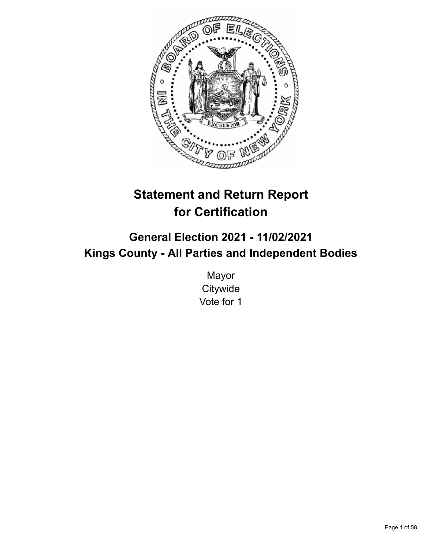

# **Statement and Return Report for Certification**

## **General Election 2021 - 11/02/2021 Kings County - All Parties and Independent Bodies**

Mayor **Citywide** Vote for 1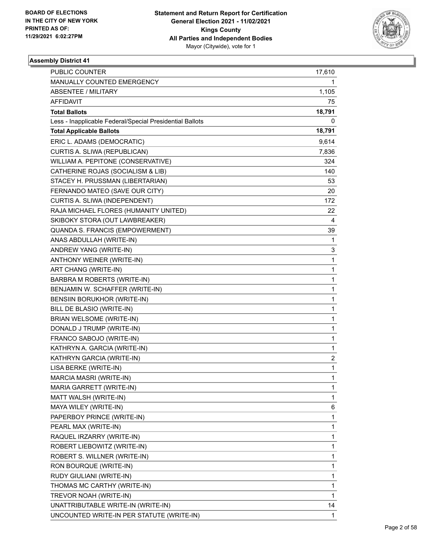

| PUBLIC COUNTER                                           | 17,610                  |
|----------------------------------------------------------|-------------------------|
| MANUALLY COUNTED EMERGENCY                               | 1                       |
| <b>ABSENTEE / MILITARY</b>                               | 1,105                   |
| <b>AFFIDAVIT</b>                                         | 75                      |
| <b>Total Ballots</b>                                     | 18,791                  |
| Less - Inapplicable Federal/Special Presidential Ballots | 0                       |
| <b>Total Applicable Ballots</b>                          | 18,791                  |
| ERIC L. ADAMS (DEMOCRATIC)                               | 9,614                   |
| CURTIS A. SLIWA (REPUBLICAN)                             | 7,836                   |
| WILLIAM A. PEPITONE (CONSERVATIVE)                       | 324                     |
| CATHERINE ROJAS (SOCIALISM & LIB)                        | 140                     |
| STACEY H. PRUSSMAN (LIBERTARIAN)                         | 53                      |
| FERNANDO MATEO (SAVE OUR CITY)                           | 20                      |
| CURTIS A. SLIWA (INDEPENDENT)                            | 172                     |
| RAJA MICHAEL FLORES (HUMANITY UNITED)                    | 22                      |
| SKIBOKY STORA (OUT LAWBREAKER)                           | 4                       |
| <b>QUANDA S. FRANCIS (EMPOWERMENT)</b>                   | 39                      |
| ANAS ABDULLAH (WRITE-IN)                                 | 1                       |
| ANDREW YANG (WRITE-IN)                                   | 3                       |
| ANTHONY WEINER (WRITE-IN)                                | $\mathbf{1}$            |
| ART CHANG (WRITE-IN)                                     | $\mathbf{1}$            |
| BARBRA M ROBERTS (WRITE-IN)                              | $\mathbf{1}$            |
| BENJAMIN W. SCHAFFER (WRITE-IN)                          | $\mathbf{1}$            |
| BENSIIN BORUKHOR (WRITE-IN)                              | 1                       |
| BILL DE BLASIO (WRITE-IN)                                | 1                       |
| <b>BRIAN WELSOME (WRITE-IN)</b>                          | $\mathbf 1$             |
| DONALD J TRUMP (WRITE-IN)                                | 1                       |
| FRANCO SABOJO (WRITE-IN)                                 | 1                       |
| KATHRYN A. GARCIA (WRITE-IN)                             | $\mathbf{1}$            |
| KATHRYN GARCIA (WRITE-IN)                                | $\overline{\mathbf{c}}$ |
| LISA BERKE (WRITE-IN)                                    | $\mathbf{1}$            |
| MARCIA MASRI (WRITE-IN)                                  | $\mathbf{1}$            |
| MARIA GARRETT (WRITE-IN)                                 | 1                       |
| MATT WALSH (WRITE-IN)                                    | 1                       |
| MAYA WILEY (WRITE-IN)                                    | 6                       |
| PAPERBOY PRINCE (WRITE-IN)                               | 1                       |
| PEARL MAX (WRITE-IN)                                     | 1                       |
| RAQUEL IRZARRY (WRITE-IN)                                | $\mathbf{1}$            |
| ROBERT LIEBOWITZ (WRITE-IN)                              | 1                       |
| ROBERT S. WILLNER (WRITE-IN)                             | 1                       |
| RON BOURQUE (WRITE-IN)                                   | $\mathbf{1}$            |
| RUDY GIULIANI (WRITE-IN)                                 | 1                       |
| THOMAS MC CARTHY (WRITE-IN)                              | 1                       |
| TREVOR NOAH (WRITE-IN)                                   | $\mathbf{1}$            |
| UNATTRIBUTABLE WRITE-IN (WRITE-IN)                       | 14                      |
| UNCOUNTED WRITE-IN PER STATUTE (WRITE-IN)                | 1                       |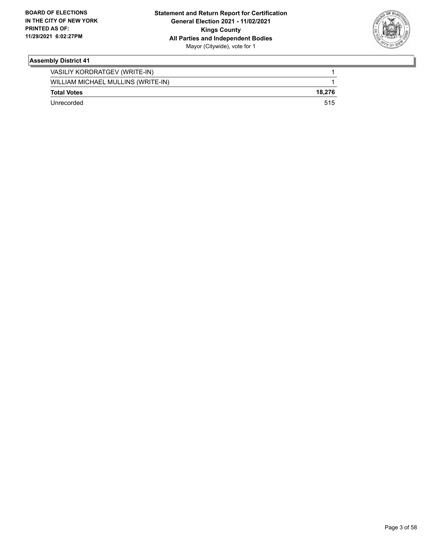

| VASILIY KORDRATGEV (WRITE-IN)      |        |
|------------------------------------|--------|
| WILLIAM MICHAEL MULLINS (WRITE-IN) |        |
| <b>Total Votes</b>                 | 18.276 |
| Unrecorded                         | 515    |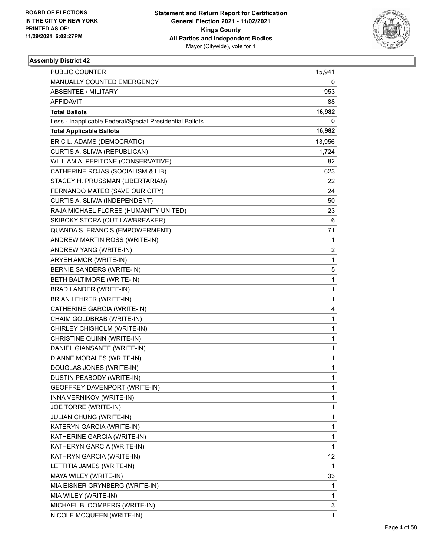

| PUBLIC COUNTER                                           | 15,941       |
|----------------------------------------------------------|--------------|
| MANUALLY COUNTED EMERGENCY                               | 0            |
| <b>ABSENTEE / MILITARY</b>                               | 953          |
| AFFIDAVIT                                                | 88           |
| <b>Total Ballots</b>                                     | 16,982       |
| Less - Inapplicable Federal/Special Presidential Ballots | 0            |
| <b>Total Applicable Ballots</b>                          | 16,982       |
| ERIC L. ADAMS (DEMOCRATIC)                               | 13,956       |
| CURTIS A. SLIWA (REPUBLICAN)                             | 1,724        |
| WILLIAM A. PEPITONE (CONSERVATIVE)                       | 82           |
| CATHERINE ROJAS (SOCIALISM & LIB)                        | 623          |
| STACEY H. PRUSSMAN (LIBERTARIAN)                         | 22           |
| FERNANDO MATEO (SAVE OUR CITY)                           | 24           |
| CURTIS A. SLIWA (INDEPENDENT)                            | 50           |
| RAJA MICHAEL FLORES (HUMANITY UNITED)                    | 23           |
| SKIBOKY STORA (OUT LAWBREAKER)                           | 6            |
| QUANDA S. FRANCIS (EMPOWERMENT)                          | 71           |
| ANDREW MARTIN ROSS (WRITE-IN)                            | 1            |
| ANDREW YANG (WRITE-IN)                                   | 2            |
| ARYEH AMOR (WRITE-IN)                                    | 1            |
| BERNIE SANDERS (WRITE-IN)                                | 5            |
| BETH BALTIMORE (WRITE-IN)                                | $\mathbf{1}$ |
| BRAD LANDER (WRITE-IN)                                   | 1            |
| <b>BRIAN LEHRER (WRITE-IN)</b>                           | $\mathbf{1}$ |
| CATHERINE GARCIA (WRITE-IN)                              | 4            |
| CHAIM GOLDBRAB (WRITE-IN)                                | 1            |
| CHIRLEY CHISHOLM (WRITE-IN)                              | $\mathbf{1}$ |
| CHRISTINE QUINN (WRITE-IN)                               | 1            |
| DANIEL GIANSANTE (WRITE-IN)                              | 1            |
| DIANNE MORALES (WRITE-IN)                                | $\mathbf{1}$ |
| DOUGLAS JONES (WRITE-IN)                                 | $\mathbf 1$  |
| DUSTIN PEABODY (WRITE-IN)                                | 1            |
| GEOFFREY DAVENPORT (WRITE-IN)                            | 1            |
| INNA VERNIKOV (WRITE-IN)                                 | 1            |
| JOE TORRE (WRITE-IN)                                     | 1            |
| JULIAN CHUNG (WRITE-IN)                                  | $\mathbf 1$  |
| KATERYN GARCIA (WRITE-IN)                                | 1            |
| KATHERINE GARCIA (WRITE-IN)                              | 1            |
| KATHERYN GARCIA (WRITE-IN)                               | 1            |
| KATHRYN GARCIA (WRITE-IN)                                | 12           |
| LETTITIA JAMES (WRITE-IN)                                | 1            |
| MAYA WILEY (WRITE-IN)                                    | 33           |
| MIA EISNER GRYNBERG (WRITE-IN)                           | 1            |
| MIA WILEY (WRITE-IN)                                     | 1            |
| MICHAEL BLOOMBERG (WRITE-IN)                             | 3            |
| NICOLE MCQUEEN (WRITE-IN)                                | $\mathbf{1}$ |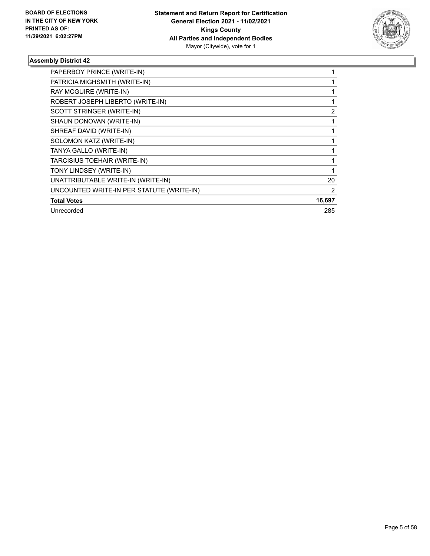

| PAPERBOY PRINCE (WRITE-IN)                |        |
|-------------------------------------------|--------|
| PATRICIA MIGHSMITH (WRITE-IN)             |        |
| RAY MCGUIRE (WRITE-IN)                    |        |
| ROBERT JOSEPH LIBERTO (WRITE-IN)          |        |
| SCOTT STRINGER (WRITE-IN)                 | 2      |
| SHAUN DONOVAN (WRITE-IN)                  |        |
| SHREAF DAVID (WRITE-IN)                   |        |
| SOLOMON KATZ (WRITE-IN)                   |        |
| TANYA GALLO (WRITE-IN)                    |        |
| TARCISIUS TOEHAIR (WRITE-IN)              |        |
| TONY LINDSEY (WRITE-IN)                   |        |
| UNATTRIBUTABLE WRITE-IN (WRITE-IN)        | 20     |
| UNCOUNTED WRITE-IN PER STATUTE (WRITE-IN) | 2      |
| <b>Total Votes</b>                        | 16,697 |
| Unrecorded                                | 285    |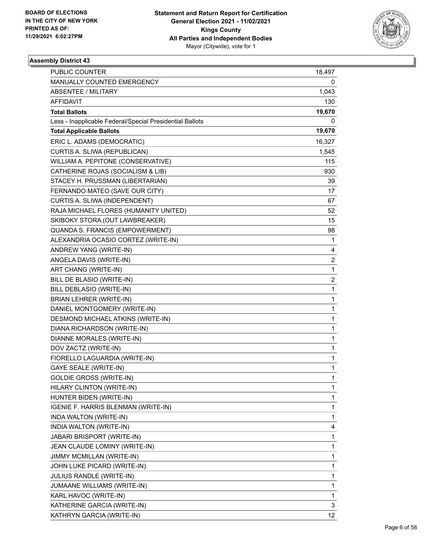

| PUBLIC COUNTER                                           | 18,497                  |
|----------------------------------------------------------|-------------------------|
| MANUALLY COUNTED EMERGENCY                               | 0                       |
| <b>ABSENTEE / MILITARY</b>                               | 1,043                   |
| AFFIDAVIT                                                | 130                     |
| <b>Total Ballots</b>                                     | 19,670                  |
| Less - Inapplicable Federal/Special Presidential Ballots | 0                       |
| <b>Total Applicable Ballots</b>                          | 19,670                  |
| ERIC L. ADAMS (DEMOCRATIC)                               | 16,327                  |
| CURTIS A. SLIWA (REPUBLICAN)                             | 1,545                   |
| WILLIAM A. PEPITONE (CONSERVATIVE)                       | 115                     |
| CATHERINE ROJAS (SOCIALISM & LIB)                        | 930                     |
| STACEY H. PRUSSMAN (LIBERTARIAN)                         | 39                      |
| FERNANDO MATEO (SAVE OUR CITY)                           | 17                      |
| CURTIS A. SLIWA (INDEPENDENT)                            | 67                      |
| RAJA MICHAEL FLORES (HUMANITY UNITED)                    | 52                      |
| SKIBOKY STORA (OUT LAWBREAKER)                           | 15                      |
| QUANDA S. FRANCIS (EMPOWERMENT)                          | 98                      |
| ALEXANDRIA OCASIO CORTEZ (WRITE-IN)                      | 1                       |
| ANDREW YANG (WRITE-IN)                                   | 4                       |
| ANGELA DAVIS (WRITE-IN)                                  | $\overline{\mathbf{c}}$ |
| ART CHANG (WRITE-IN)                                     | 1                       |
| BILL DE BLASIO (WRITE-IN)                                | 2                       |
| BILL DEBLASIO (WRITE-IN)                                 | 1                       |
| <b>BRIAN LEHRER (WRITE-IN)</b>                           | 1                       |
| DANIEL MONTGOMERY (WRITE-IN)                             | $\mathbf{1}$            |
| DESMOND MICHAEL ATKINS (WRITE-IN)                        | 1                       |
| DIANA RICHARDSON (WRITE-IN)                              | 1                       |
| DIANNE MORALES (WRITE-IN)                                | 1                       |
| DOV ZACTZ (WRITE-IN)                                     | 1                       |
| FIORELLO LAGUARDIA (WRITE-IN)                            | 1                       |
| <b>GAYE SEALE (WRITE-IN)</b>                             | $\mathbf{1}$            |
| <b>GOLDIE GROSS (WRITE-IN)</b>                           | $\mathbf{1}$            |
| HILARY CLINTON (WRITE-IN)                                | 1                       |
| HUNTER BIDEN (WRITE-IN)                                  | 1                       |
| IGENIE F. HARRIS BLENMAN (WRITE-IN)                      | 1                       |
| INDA WALTON (WRITE-IN)                                   | 1                       |
| INDIA WALTON (WRITE-IN)                                  | 4                       |
| JABARI BRISPORT (WRITE-IN)                               | 1                       |
| JEAN CLAUDE LOMINY (WRITE-IN)                            | 1                       |
| JIMMY MCMILLAN (WRITE-IN)                                | 1                       |
| JOHN LUKE PICARD (WRITE-IN)                              | 1                       |
| JULIUS RANDLE (WRITE-IN)                                 | 1                       |
| JUMAANE WILLIAMS (WRITE-IN)                              | 1                       |
| KARL HAVOC (WRITE-IN)                                    | 1                       |
| KATHERINE GARCIA (WRITE-IN)                              | 3                       |
| KATHRYN GARCIA (WRITE-IN)                                | 12                      |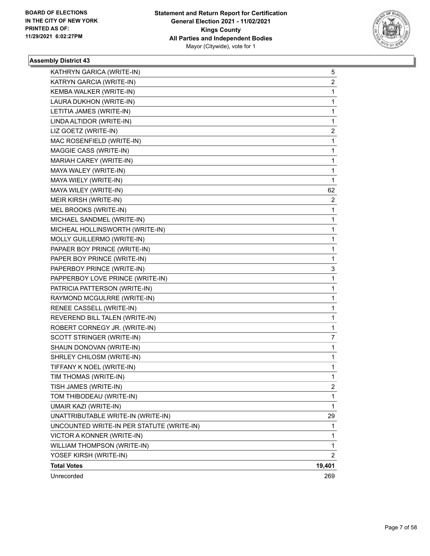

| KATHRYN GARICA (WRITE-IN)                 | 5      |
|-------------------------------------------|--------|
| KATRYN GARCIA (WRITE-IN)                  | 2      |
| KEMBA WALKER (WRITE-IN)                   | 1      |
| LAURA DUKHON (WRITE-IN)                   | 1      |
| LETITIA JAMES (WRITE-IN)                  | 1      |
| LINDA ALTIDOR (WRITE-IN)                  | 1      |
| LIZ GOETZ (WRITE-IN)                      | 2      |
| MAC ROSENFIELD (WRITE-IN)                 | 1      |
| MAGGIE CASS (WRITE-IN)                    | 1      |
| MARIAH CAREY (WRITE-IN)                   | 1      |
| MAYA WALEY (WRITE-IN)                     | 1      |
| MAYA WIELY (WRITE-IN)                     | 1      |
| MAYA WILEY (WRITE-IN)                     | 62     |
| MEIR KIRSH (WRITE-IN)                     | 2      |
| MEL BROOKS (WRITE-IN)                     | 1      |
| MICHAEL SANDMEL (WRITE-IN)                | 1      |
| MICHEAL HOLLINSWORTH (WRITE-IN)           | 1      |
| MOLLY GUILLERMO (WRITE-IN)                | 1      |
| PAPAER BOY PRINCE (WRITE-IN)              | 1      |
| PAPER BOY PRINCE (WRITE-IN)               | 1      |
| PAPERBOY PRINCE (WRITE-IN)                | 3      |
| PAPPERBOY LOVE PRINCE (WRITE-IN)          | 1      |
| PATRICIA PATTERSON (WRITE-IN)             | 1      |
| RAYMOND MCGULRRE (WRITE-IN)               | 1      |
| RENEE CASSELL (WRITE-IN)                  | 1      |
| REVEREND BILL TALEN (WRITE-IN)            | 1      |
| ROBERT CORNEGY JR. (WRITE-IN)             | 1      |
| SCOTT STRINGER (WRITE-IN)                 | 7      |
| SHAUN DONOVAN (WRITE-IN)                  | 1      |
| SHRLEY CHILOSM (WRITE-IN)                 | 1      |
| TIFFANY K NOEL (WRITE-IN)                 | 1      |
| TIM THOMAS (WRITE-IN)                     | 1      |
| TISH JAMES (WRITE-IN)                     | 2      |
| TOM THIBODEAU (WRITE-IN)                  | 1      |
| <b>UMAIR KAZI (WRITE-IN)</b>              | 1      |
| UNATTRIBUTABLE WRITE-IN (WRITE-IN)        | 29     |
| UNCOUNTED WRITE-IN PER STATUTE (WRITE-IN) | 1      |
| VICTOR A KONNER (WRITE-IN)                | 1      |
| WILLIAM THOMPSON (WRITE-IN)               | 1      |
| YOSEF KIRSH (WRITE-IN)                    | 2      |
| <b>Total Votes</b>                        | 19,401 |
| Unrecorded                                | 269    |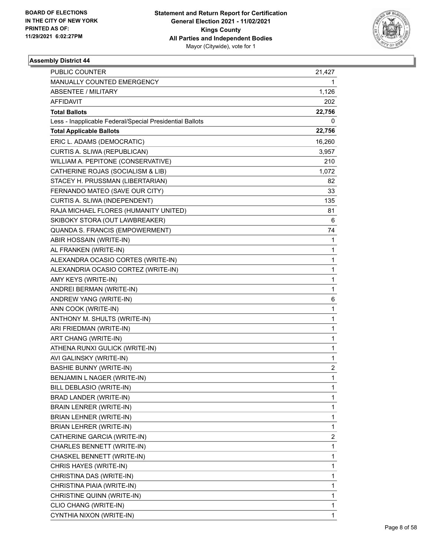

| <b>PUBLIC COUNTER</b>                                    | 21,427       |
|----------------------------------------------------------|--------------|
| MANUALLY COUNTED EMERGENCY                               | 1            |
| <b>ABSENTEE / MILITARY</b>                               | 1,126        |
| <b>AFFIDAVIT</b>                                         | 202          |
| <b>Total Ballots</b>                                     | 22,756       |
| Less - Inapplicable Federal/Special Presidential Ballots | 0            |
| <b>Total Applicable Ballots</b>                          | 22,756       |
| ERIC L. ADAMS (DEMOCRATIC)                               | 16,260       |
| CURTIS A. SLIWA (REPUBLICAN)                             | 3,957        |
| WILLIAM A. PEPITONE (CONSERVATIVE)                       | 210          |
| CATHERINE ROJAS (SOCIALISM & LIB)                        | 1,072        |
| STACEY H. PRUSSMAN (LIBERTARIAN)                         | 82           |
| FERNANDO MATEO (SAVE OUR CITY)                           | 33           |
| CURTIS A. SLIWA (INDEPENDENT)                            | 135          |
| RAJA MICHAEL FLORES (HUMANITY UNITED)                    | 81           |
| SKIBOKY STORA (OUT LAWBREAKER)                           | 6            |
| QUANDA S. FRANCIS (EMPOWERMENT)                          | 74           |
| ABIR HOSSAIN (WRITE-IN)                                  | 1            |
| AL FRANKEN (WRITE-IN)                                    | 1            |
| ALEXANDRA OCASIO CORTES (WRITE-IN)                       | 1            |
| ALEXANDRIA OCASIO CORTEZ (WRITE-IN)                      | 1            |
| AMY KEYS (WRITE-IN)                                      | 1            |
| ANDREI BERMAN (WRITE-IN)                                 | 1            |
| ANDREW YANG (WRITE-IN)                                   | 6            |
| ANN COOK (WRITE-IN)                                      | 1            |
| ANTHONY M. SHULTS (WRITE-IN)                             | 1            |
| ARI FRIEDMAN (WRITE-IN)                                  | 1            |
| ART CHANG (WRITE-IN)                                     | 1            |
| ATHENA RUNXI GULICK (WRITE-IN)                           | 1            |
| AVI GALINSKY (WRITE-IN)                                  | 1            |
| <b>BASHIE BUNNY (WRITE-IN)</b>                           | 2            |
| BENJAMIN L NAGER (WRITE-IN)                              | $\mathbf{1}$ |
| BILL DEBLASIO (WRITE-IN)                                 | 1            |
| BRAD LANDER (WRITE-IN)                                   | 1            |
| BRAIN LENRER (WRITE-IN)                                  | 1            |
| BRIAN LEHNER (WRITE-IN)                                  | 1            |
| BRIAN LEHRER (WRITE-IN)                                  | 1            |
| CATHERINE GARCIA (WRITE-IN)                              | 2            |
| CHARLES BENNETT (WRITE-IN)                               | 1            |
| CHASKEL BENNETT (WRITE-IN)                               | 1            |
| CHRIS HAYES (WRITE-IN)                                   | 1            |
| CHRISTINA DAS (WRITE-IN)                                 | 1            |
| CHRISTINA PIAIA (WRITE-IN)                               | 1            |
| CHRISTINE QUINN (WRITE-IN)                               | 1            |
| CLIO CHANG (WRITE-IN)                                    | 1            |
| CYNTHIA NIXON (WRITE-IN)                                 | 1            |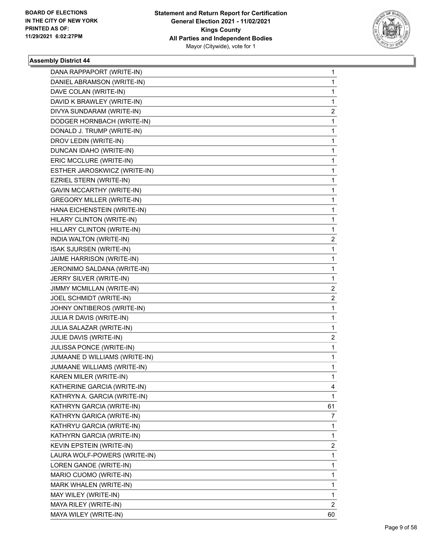

| DANA RAPPAPORT (WRITE-IN)        | $\mathbf{1}$ |
|----------------------------------|--------------|
| DANIEL ABRAMSON (WRITE-IN)       | 1            |
| DAVE COLAN (WRITE-IN)            | 1            |
| DAVID K BRAWLEY (WRITE-IN)       | 1            |
| DIVYA SUNDARAM (WRITE-IN)        | 2            |
| DODGER HORNBACH (WRITE-IN)       | 1            |
| DONALD J. TRUMP (WRITE-IN)       | 1            |
| DROV LEDIN (WRITE-IN)            | 1            |
| DUNCAN IDAHO (WRITE-IN)          | 1            |
| ERIC MCCLURE (WRITE-IN)          | 1            |
| ESTHER JAROSKWICZ (WRITE-IN)     | 1            |
| EZRIEL STERN (WRITE-IN)          | 1            |
| <b>GAVIN MCCARTHY (WRITE-IN)</b> | 1            |
| <b>GREGORY MILLER (WRITE-IN)</b> | 1            |
| HANA EICHENSTEIN (WRITE-IN)      | 1            |
| HILARY CLINTON (WRITE-IN)        | 1            |
| HILLARY CLINTON (WRITE-IN)       | 1            |
| INDIA WALTON (WRITE-IN)          | 2            |
| <b>ISAK SJURSEN (WRITE-IN)</b>   | 1            |
| JAIME HARRISON (WRITE-IN)        | 1            |
| JERONIMO SALDANA (WRITE-IN)      | 1            |
| JERRY SILVER (WRITE-IN)          | 1            |
| JIMMY MCMILLAN (WRITE-IN)        | 2            |
| JOEL SCHMIDT (WRITE-IN)          | 2            |
| JOHNY ONTIBEROS (WRITE-IN)       | 1            |
| JULIA R DAVIS (WRITE-IN)         | 1            |
| JULIA SALAZAR (WRITE-IN)         | 1            |
| JULIE DAVIS (WRITE-IN)           | 2            |
| JULISSA PONCE (WRITE-IN)         | 1            |
| JUMAANE D WILLIAMS (WRITE-IN)    | 1            |
| JUMAANE WILLIAMS (WRITE-IN)      | 1            |
| KAREN MILER (WRITE-IN)           | 1            |
| KATHERINE GARCIA (WRITE-IN)      | 4            |
| KATHRYN A. GARCIA (WRITE-IN)     | 1            |
| KATHRYN GARCIA (WRITE-IN)        | 61           |
| KATHRYN GARICA (WRITE-IN)        | 7            |
| KATHRYU GARCIA (WRITE-IN)        | 1            |
| KATHYRN GARCIA (WRITE-IN)        | 1            |
| KEVIN EPSTEIN (WRITE-IN)         | 2            |
| LAURA WOLF-POWERS (WRITE-IN)     | 1            |
| LOREN GANOE (WRITE-IN)           | 1            |
| MARIO CUOMO (WRITE-IN)           | 1            |
| MARK WHALEN (WRITE-IN)           | 1            |
| MAY WILEY (WRITE-IN)             | 1            |
| MAYA RILEY (WRITE-IN)            | 2            |
| MAYA WILEY (WRITE-IN)            | 60           |
|                                  |              |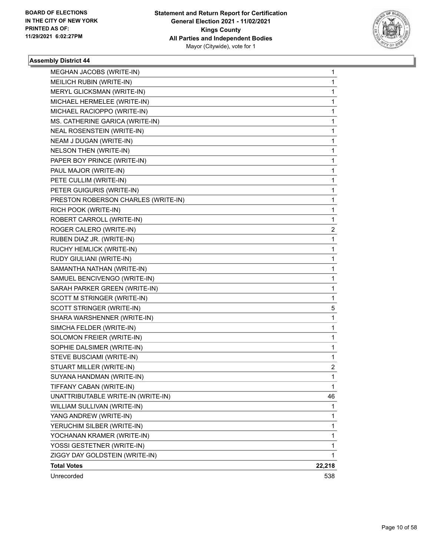

| MEGHAN JACOBS (WRITE-IN)            | 1      |
|-------------------------------------|--------|
| MEILICH RUBIN (WRITE-IN)            | 1      |
| MERYL GLICKSMAN (WRITE-IN)          | 1      |
| MICHAEL HERMELEE (WRITE-IN)         | 1      |
| MICHAEL RACIOPPO (WRITE-IN)         | 1      |
| MS. CATHERINE GARICA (WRITE-IN)     | 1      |
| NEAL ROSENSTEIN (WRITE-IN)          | 1      |
| NEAM J DUGAN (WRITE-IN)             | 1      |
| <b>NELSON THEN (WRITE-IN)</b>       | 1      |
| PAPER BOY PRINCE (WRITE-IN)         | 1      |
| PAUL MAJOR (WRITE-IN)               | 1      |
| PETE CULLIM (WRITE-IN)              | 1      |
| PETER GUIGURIS (WRITE-IN)           | 1      |
| PRESTON ROBERSON CHARLES (WRITE-IN) | 1      |
| RICH POOK (WRITE-IN)                | 1      |
| ROBERT CARROLL (WRITE-IN)           | 1      |
| ROGER CALERO (WRITE-IN)             | 2      |
| RUBEN DIAZ JR. (WRITE-IN)           | 1      |
| RUCHY HEMLICK (WRITE-IN)            | 1      |
| RUDY GIULIANI (WRITE-IN)            | 1      |
| SAMANTHA NATHAN (WRITE-IN)          | 1      |
| SAMUEL BENCIVENGO (WRITE-IN)        | 1      |
| SARAH PARKER GREEN (WRITE-IN)       | 1      |
| SCOTT M STRINGER (WRITE-IN)         | 1      |
| SCOTT STRINGER (WRITE-IN)           | 5      |
| SHARA WARSHENNER (WRITE-IN)         | 1      |
| SIMCHA FELDER (WRITE-IN)            | 1      |
| SOLOMON FREIER (WRITE-IN)           | 1      |
| SOPHIE DALSIMER (WRITE-IN)          | 1      |
| STEVE BUSCIAMI (WRITE-IN)           | 1      |
| STUART MILLER (WRITE-IN)            | 2      |
| SUYANA HANDMAN (WRITE-IN)           | 1      |
| TIFFANY CABAN (WRITE-IN)            | 1      |
| UNATTRIBUTABLE WRITE-IN (WRITE-IN)  | 46     |
| WILLIAM SULLIVAN (WRITE-IN)         | 1      |
| YANG ANDREW (WRITE-IN)              | 1      |
| YERUCHIM SILBER (WRITE-IN)          | 1      |
| YOCHANAN KRAMER (WRITE-IN)          | 1      |
| YOSSI GESTETNER (WRITE-IN)          | 1      |
| ZIGGY DAY GOLDSTEIN (WRITE-IN)      | 1      |
| <b>Total Votes</b>                  | 22,218 |
| Unrecorded                          | 538    |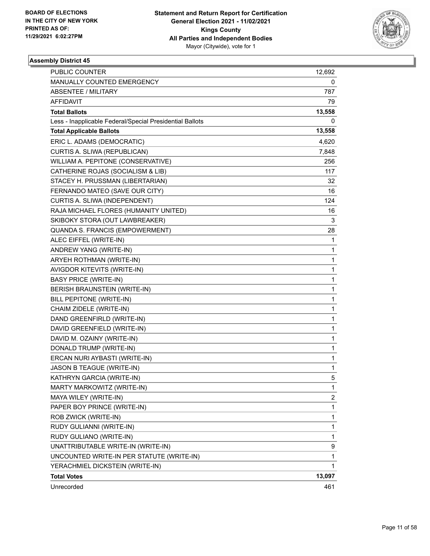

| PUBLIC COUNTER                                           | 12,692 |
|----------------------------------------------------------|--------|
| MANUALLY COUNTED EMERGENCY                               | 0      |
| <b>ABSENTEE / MILITARY</b>                               | 787    |
| AFFIDAVIT                                                | 79     |
| <b>Total Ballots</b>                                     | 13,558 |
| Less - Inapplicable Federal/Special Presidential Ballots | 0      |
| <b>Total Applicable Ballots</b>                          | 13,558 |
| ERIC L. ADAMS (DEMOCRATIC)                               | 4,620  |
| CURTIS A. SLIWA (REPUBLICAN)                             | 7,848  |
| WILLIAM A. PEPITONE (CONSERVATIVE)                       | 256    |
| CATHERINE ROJAS (SOCIALISM & LIB)                        | 117    |
| STACEY H. PRUSSMAN (LIBERTARIAN)                         | 32     |
| FERNANDO MATEO (SAVE OUR CITY)                           | 16     |
| CURTIS A. SLIWA (INDEPENDENT)                            | 124    |
| RAJA MICHAEL FLORES (HUMANITY UNITED)                    | 16     |
| SKIBOKY STORA (OUT LAWBREAKER)                           | 3      |
| QUANDA S. FRANCIS (EMPOWERMENT)                          | 28     |
| ALEC EIFFEL (WRITE-IN)                                   | 1      |
| ANDREW YANG (WRITE-IN)                                   | 1      |
| ARYEH ROTHMAN (WRITE-IN)                                 | 1      |
| AVIGDOR KITEVITS (WRITE-IN)                              | 1      |
| <b>BASY PRICE (WRITE-IN)</b>                             | 1      |
| BERISH BRAUNSTEIN (WRITE-IN)                             | 1      |
| BILL PEPITONE (WRITE-IN)                                 | 1      |
| CHAIM ZIDELE (WRITE-IN)                                  | 1      |
| DAND GREENFIRLD (WRITE-IN)                               | 1      |
| DAVID GREENFIELD (WRITE-IN)                              | 1      |
| DAVID M. OZAINY (WRITE-IN)                               | 1      |
| DONALD TRUMP (WRITE-IN)                                  | 1      |
| ERCAN NURI AYBASTI (WRITE-IN)                            | 1      |
| JASON B TEAGUE (WRITE-IN)                                | 1      |
| KATHRYN GARCIA (WRITE-IN)                                | 5      |
| MARTY MARKOWITZ (WRITE-IN)                               | 1      |
| MAYA WILEY (WRITE-IN)                                    | 2      |
| PAPER BOY PRINCE (WRITE-IN)                              | 1      |
| ROB ZWICK (WRITE-IN)                                     | 1      |
| RUDY GULIANNI (WRITE-IN)                                 | 1      |
| RUDY GULIANO (WRITE-IN)                                  | 1      |
| UNATTRIBUTABLE WRITE-IN (WRITE-IN)                       | 9      |
| UNCOUNTED WRITE-IN PER STATUTE (WRITE-IN)                | 1      |
| YERACHMIEL DICKSTEIN (WRITE-IN)                          | 1      |
| <b>Total Votes</b>                                       | 13,097 |
| Unrecorded                                               | 461    |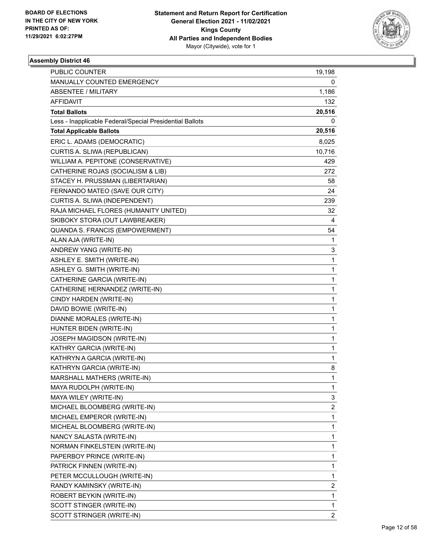

| PUBLIC COUNTER                                           | 19,198                  |
|----------------------------------------------------------|-------------------------|
| MANUALLY COUNTED EMERGENCY                               | 0                       |
| <b>ABSENTEE / MILITARY</b>                               | 1,186                   |
| AFFIDAVIT                                                | 132                     |
| <b>Total Ballots</b>                                     | 20,516                  |
| Less - Inapplicable Federal/Special Presidential Ballots | 0                       |
| <b>Total Applicable Ballots</b>                          | 20,516                  |
| ERIC L. ADAMS (DEMOCRATIC)                               | 8,025                   |
| CURTIS A. SLIWA (REPUBLICAN)                             | 10,716                  |
| WILLIAM A. PEPITONE (CONSERVATIVE)                       | 429                     |
| CATHERINE ROJAS (SOCIALISM & LIB)                        | 272                     |
| STACEY H. PRUSSMAN (LIBERTARIAN)                         | 58                      |
| FERNANDO MATEO (SAVE OUR CITY)                           | 24                      |
| CURTIS A. SLIWA (INDEPENDENT)                            | 239                     |
| RAJA MICHAEL FLORES (HUMANITY UNITED)                    | 32                      |
| SKIBOKY STORA (OUT LAWBREAKER)                           | 4                       |
| QUANDA S. FRANCIS (EMPOWERMENT)                          | 54                      |
| ALAN AJA (WRITE-IN)                                      | 1                       |
| ANDREW YANG (WRITE-IN)                                   | 3                       |
| ASHLEY E. SMITH (WRITE-IN)                               | $\mathbf{1}$            |
| ASHLEY G. SMITH (WRITE-IN)                               | $\mathbf{1}$            |
| CATHERINE GARCIA (WRITE-IN)                              | $\mathbf{1}$            |
| CATHERINE HERNANDEZ (WRITE-IN)                           | $\mathbf{1}$            |
| CINDY HARDEN (WRITE-IN)                                  | $\mathbf{1}$            |
| DAVID BOWIE (WRITE-IN)                                   | $\mathbf{1}$            |
| DIANNE MORALES (WRITE-IN)                                | $\mathbf{1}$            |
| HUNTER BIDEN (WRITE-IN)                                  | $\mathbf{1}$            |
| JOSEPH MAGIDSON (WRITE-IN)                               | $\mathbf{1}$            |
| KATHRY GARCIA (WRITE-IN)                                 | $\mathbf{1}$            |
| KATHRYN A GARCIA (WRITE-IN)                              | $\mathbf{1}$            |
| KATHRYN GARCIA (WRITE-IN)                                | 8                       |
| MARSHALL MATHERS (WRITE-IN)                              | $\mathbf{1}$            |
| MAYA RUDOLPH (WRITE-IN)                                  | 1                       |
| MAYA WILEY (WRITE-IN)                                    | 3                       |
| MICHAEL BLOOMBERG (WRITE-IN)                             | $\overline{\mathbf{c}}$ |
| MICHAEL EMPEROR (WRITE-IN)                               | $\mathbf{1}$            |
| MICHEAL BLOOMBERG (WRITE-IN)                             | $\mathbf{1}$            |
| NANCY SALASTA (WRITE-IN)                                 | $\mathbf{1}$            |
| NORMAN FINKELSTEIN (WRITE-IN)                            | 1                       |
| PAPERBOY PRINCE (WRITE-IN)                               | $\mathbf{1}$            |
| PATRICK FINNEN (WRITE-IN)                                | $\mathbf{1}$            |
| PETER MCCULLOUGH (WRITE-IN)                              | $\mathbf{1}$            |
| RANDY KAMINSKY (WRITE-IN)                                | 2                       |
| ROBERT BEYKIN (WRITE-IN)                                 | $\mathbf{1}$            |
| SCOTT STINGER (WRITE-IN)                                 | 1                       |
| SCOTT STRINGER (WRITE-IN)                                | $\overline{2}$          |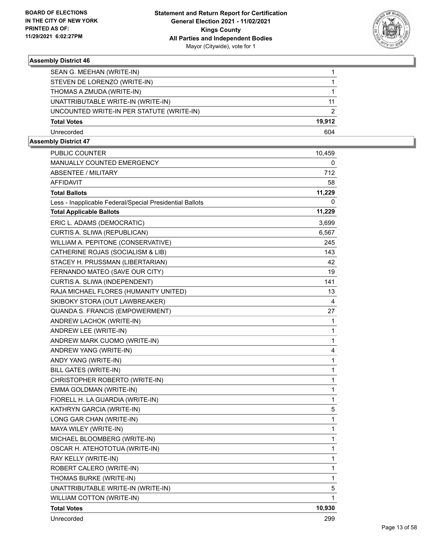

| SEAN G. MEEHAN (WRITE-IN)                 |        |
|-------------------------------------------|--------|
| STEVEN DE LORENZO (WRITE-IN)              |        |
| THOMAS A ZMUDA (WRITE-IN)                 |        |
| UNATTRIBUTABLE WRITE-IN (WRITE-IN)        | 11     |
| UNCOUNTED WRITE-IN PER STATUTE (WRITE-IN) | 2      |
| <b>Total Votes</b>                        | 19.912 |
| Unrecorded                                | 604    |

| PUBLIC COUNTER                                           | 10,459 |
|----------------------------------------------------------|--------|
| <b>MANUALLY COUNTED EMERGENCY</b>                        | 0      |
| <b>ABSENTEE / MILITARY</b>                               | 712    |
| <b>AFFIDAVIT</b>                                         | 58     |
| <b>Total Ballots</b>                                     | 11,229 |
| Less - Inapplicable Federal/Special Presidential Ballots | 0      |
| <b>Total Applicable Ballots</b>                          | 11,229 |
| ERIC L. ADAMS (DEMOCRATIC)                               | 3,699  |
| CURTIS A. SLIWA (REPUBLICAN)                             | 6,567  |
| WILLIAM A. PEPITONE (CONSERVATIVE)                       | 245    |
| CATHERINE ROJAS (SOCIALISM & LIB)                        | 143.   |
| STACEY H. PRUSSMAN (LIBERTARIAN)                         | 42     |
| FERNANDO MATEO (SAVE OUR CITY)                           | 19     |
| CURTIS A. SLIWA (INDEPENDENT)                            | 141    |
| RAJA MICHAEL FLORES (HUMANITY UNITED)                    | 13     |
| SKIBOKY STORA (OUT LAWBREAKER)                           | 4      |
| QUANDA S. FRANCIS (EMPOWERMENT)                          | 27     |
| ANDREW LACHOK (WRITE-IN)                                 | 1      |
| ANDREW LEE (WRITE-IN)                                    | 1      |
| ANDREW MARK CUOMO (WRITE-IN)                             | 1      |
| ANDREW YANG (WRITE-IN)                                   | 4      |
| ANDY YANG (WRITE-IN)                                     | 1      |
| <b>BILL GATES (WRITE-IN)</b>                             | 1      |
| CHRISTOPHER ROBERTO (WRITE-IN)                           | 1      |
| EMMA GOLDMAN (WRITE-IN)                                  | 1      |
| FIORELL H. LA GUARDIA (WRITE-IN)                         | 1      |
| KATHRYN GARCIA (WRITE-IN)                                | 5      |
| LONG GAR CHAN (WRITE-IN)                                 | 1      |
| MAYA WILEY (WRITE-IN)                                    | 1      |
| MICHAEL BLOOMBERG (WRITE-IN)                             | 1      |
| OSCAR H. ATEHOTOTUA (WRITE-IN)                           | 1      |
| RAY KELLY (WRITE-IN)                                     | 1      |
| ROBERT CALERO (WRITE-IN)                                 | 1      |
| THOMAS BURKE (WRITE-IN)                                  | 1      |
| UNATTRIBUTABLE WRITE-IN (WRITE-IN)                       | 5      |
| WILLIAM COTTON (WRITE-IN)                                | 1      |
| <b>Total Votes</b>                                       | 10,930 |
| Unrecorded                                               | 299    |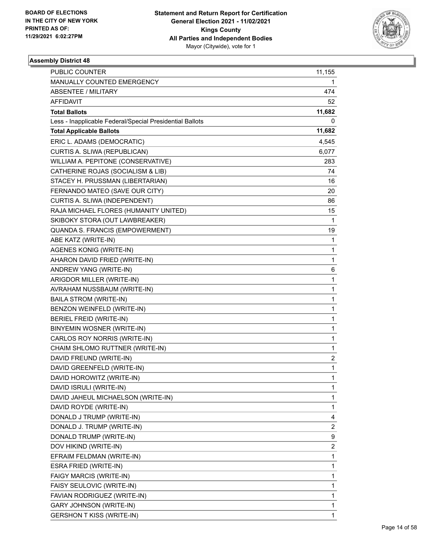

| <b>PUBLIC COUNTER</b>                                    | 11,155                  |
|----------------------------------------------------------|-------------------------|
| MANUALLY COUNTED EMERGENCY                               | 1                       |
| <b>ABSENTEE / MILITARY</b>                               | 474                     |
| AFFIDAVIT                                                | 52                      |
| <b>Total Ballots</b>                                     | 11,682                  |
| Less - Inapplicable Federal/Special Presidential Ballots | 0                       |
| <b>Total Applicable Ballots</b>                          | 11,682                  |
| ERIC L. ADAMS (DEMOCRATIC)                               | 4,545                   |
| CURTIS A. SLIWA (REPUBLICAN)                             | 6,077                   |
| WILLIAM A. PEPITONE (CONSERVATIVE)                       | 283                     |
| CATHERINE ROJAS (SOCIALISM & LIB)                        | 74                      |
| STACEY H. PRUSSMAN (LIBERTARIAN)                         | 16                      |
| FERNANDO MATEO (SAVE OUR CITY)                           | 20                      |
| CURTIS A. SLIWA (INDEPENDENT)                            | 86                      |
| RAJA MICHAEL FLORES (HUMANITY UNITED)                    | 15                      |
| SKIBOKY STORA (OUT LAWBREAKER)                           | 1                       |
| QUANDA S. FRANCIS (EMPOWERMENT)                          | 19                      |
| ABE KATZ (WRITE-IN)                                      | 1                       |
| <b>AGENES KONIG (WRITE-IN)</b>                           | 1                       |
| AHARON DAVID FRIED (WRITE-IN)                            | 1                       |
| ANDREW YANG (WRITE-IN)                                   | 6                       |
| ARIGDOR MILLER (WRITE-IN)                                | 1                       |
| AVRAHAM NUSSBAUM (WRITE-IN)                              | 1                       |
| <b>BAILA STROM (WRITE-IN)</b>                            | 1                       |
| BENZON WEINFELD (WRITE-IN)                               | 1                       |
| <b>BERIEL FREID (WRITE-IN)</b>                           | 1                       |
| BINYEMIN WOSNER (WRITE-IN)                               | 1                       |
| CARLOS ROY NORRIS (WRITE-IN)                             | 1                       |
| CHAIM SHLOMO RUTTNER (WRITE-IN)                          | 1                       |
| DAVID FREUND (WRITE-IN)                                  | 2                       |
| DAVID GREENFELD (WRITE-IN)                               | $\mathbf{1}$            |
| DAVID HOROWITZ (WRITE-IN)                                | $\mathbf{1}$            |
| DAVID ISRULI (WRITE-IN)                                  | 1                       |
| DAVID JAHEUL MICHAELSON (WRITE-IN)                       | 1                       |
| DAVID ROYDE (WRITE-IN)                                   | 1                       |
| DONALD J TRUMP (WRITE-IN)                                | 4                       |
| DONALD J. TRUMP (WRITE-IN)                               | $\overline{\mathbf{c}}$ |
| DONALD TRUMP (WRITE-IN)                                  | 9                       |
| DOV HIKIND (WRITE-IN)                                    | 2                       |
| EFRAIM FELDMAN (WRITE-IN)                                | 1                       |
| ESRA FRIED (WRITE-IN)                                    | 1                       |
| FAIGY MARCIS (WRITE-IN)                                  | 1                       |
| FAISY SEULOVIC (WRITE-IN)                                | 1                       |
| FAVIAN RODRIGUEZ (WRITE-IN)                              | 1                       |
| <b>GARY JOHNSON (WRITE-IN)</b>                           | 1                       |
| <b>GERSHON T KISS (WRITE-IN)</b>                         | 1                       |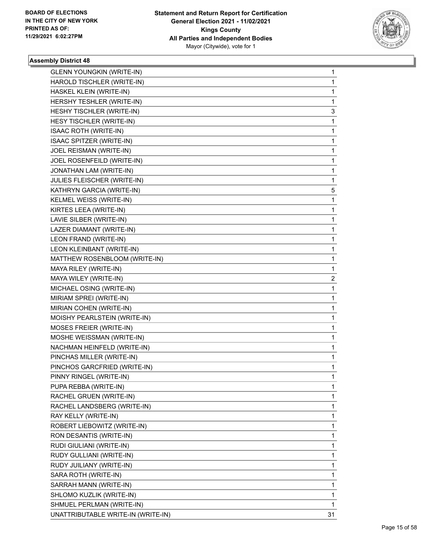

| <b>GLENN YOUNGKIN (WRITE-IN)</b>   | 1  |
|------------------------------------|----|
| HAROLD TISCHLER (WRITE-IN)         | 1  |
| HASKEL KLEIN (WRITE-IN)            | 1  |
| HERSHY TESHLER (WRITE-IN)          | 1  |
| HESHY TISCHLER (WRITE-IN)          | 3  |
| HESY TISCHLER (WRITE-IN)           | 1  |
| <b>ISAAC ROTH (WRITE-IN)</b>       | 1  |
| ISAAC SPITZER (WRITE-IN)           | 1  |
| JOEL REISMAN (WRITE-IN)            | 1  |
| JOEL ROSENFEILD (WRITE-IN)         | 1  |
| JONATHAN LAM (WRITE-IN)            | 1  |
| JULIES FLEISCHER (WRITE-IN)        | 1  |
| KATHRYN GARCIA (WRITE-IN)          | 5  |
| KELMEL WEISS (WRITE-IN)            | 1  |
| KIRTES LEEA (WRITE-IN)             | 1  |
| LAVIE SILBER (WRITE-IN)            | 1  |
| LAZER DIAMANT (WRITE-IN)           | 1  |
| LEON FRAND (WRITE-IN)              | 1  |
| LEON KLEINBANT (WRITE-IN)          | 1  |
| MATTHEW ROSENBLOOM (WRITE-IN)      | 1  |
| MAYA RILEY (WRITE-IN)              | 1  |
| MAYA WILEY (WRITE-IN)              | 2  |
| MICHAEL OSING (WRITE-IN)           | 1  |
| MIRIAM SPREI (WRITE-IN)            | 1  |
| MIRIAN COHEN (WRITE-IN)            | 1  |
| MOISHY PEARLSTEIN (WRITE-IN)       | 1  |
| MOSES FREIER (WRITE-IN)            | 1  |
| MOSHE WEISSMAN (WRITE-IN)          | 1  |
| NACHMAN HEINFELD (WRITE-IN)        | 1  |
| PINCHAS MILLER (WRITE-IN)          | 1  |
| PINCHOS GARCFRIED (WRITE-IN)       | 1  |
| PINNY RINGEL (WRITE-IN)            | 1  |
| PUPA REBBA (WRITE-IN)              | 1  |
| RACHEL GRUEN (WRITE-IN)            | 1  |
| RACHEL LANDSBERG (WRITE-IN)        | 1  |
| RAY KELLY (WRITE-IN)               | 1  |
| ROBERT LIEBOWITZ (WRITE-IN)        | 1  |
| RON DESANTIS (WRITE-IN)            | 1  |
| RUDI GIULIANI (WRITE-IN)           | 1  |
| RUDY GULLIANI (WRITE-IN)           | 1  |
| RUDY JUILIANY (WRITE-IN)           | 1  |
| SARA ROTH (WRITE-IN)               | 1  |
| SARRAH MANN (WRITE-IN)             | 1  |
| SHLOMO KUZLIK (WRITE-IN)           | 1  |
| SHMUEL PERLMAN (WRITE-IN)          | 1  |
| UNATTRIBUTABLE WRITE-IN (WRITE-IN) | 31 |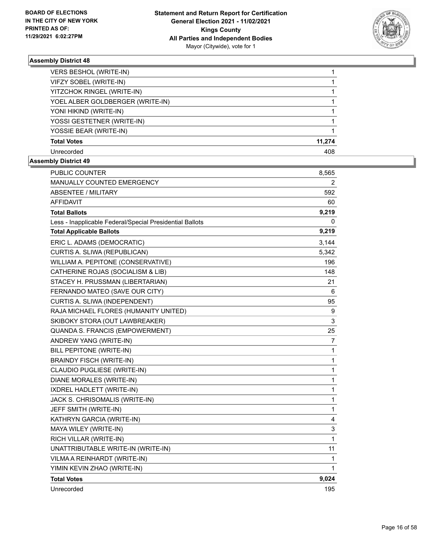

| <b>VERS BESHOL (WRITE-IN)</b>    |        |
|----------------------------------|--------|
| VIFZY SOBEL (WRITE-IN)           |        |
| YITZCHOK RINGEL (WRITE-IN)       |        |
| YOEL ALBER GOLDBERGER (WRITE-IN) |        |
| YONI HIKIND (WRITE-IN)           |        |
| YOSSI GESTETNER (WRITE-IN)       |        |
| YOSSIE BEAR (WRITE-IN)           |        |
| <b>Total Votes</b>               | 11,274 |
| Unrecorded                       | 408    |

| PUBLIC COUNTER                                           | 8,565          |
|----------------------------------------------------------|----------------|
| MANUALLY COUNTED EMERGENCY                               | 2              |
| ABSENTEE / MILITARY                                      | 592            |
| <b>AFFIDAVIT</b>                                         | 60             |
| <b>Total Ballots</b>                                     | 9,219          |
| Less - Inapplicable Federal/Special Presidential Ballots | 0              |
| <b>Total Applicable Ballots</b>                          | 9,219          |
| ERIC L. ADAMS (DEMOCRATIC)                               | 3,144          |
| CURTIS A. SLIWA (REPUBLICAN)                             | 5,342          |
| WILLIAM A. PEPITONE (CONSERVATIVE)                       | 196            |
| CATHERINE ROJAS (SOCIALISM & LIB)                        | 148            |
| STACEY H. PRUSSMAN (LIBERTARIAN)                         | 21             |
| FERNANDO MATEO (SAVE OUR CITY)                           | 6              |
| CURTIS A. SLIWA (INDEPENDENT)                            | 95             |
| RAJA MICHAEL FLORES (HUMANITY UNITED)                    | 9              |
| SKIBOKY STORA (OUT LAWBREAKER)                           | 3              |
| QUANDA S. FRANCIS (EMPOWERMENT)                          | 25             |
| ANDREW YANG (WRITE-IN)                                   | $\overline{7}$ |
| BILL PEPITONE (WRITE-IN)                                 | 1              |
| <b>BRAINDY FISCH (WRITE-IN)</b>                          | $\mathbf{1}$   |
| CLAUDIO PUGLIESE (WRITE-IN)                              | 1              |
| DIANE MORALES (WRITE-IN)                                 | 1              |
| <b>IXDREL HADLETT (WRITE-IN)</b>                         | 1              |
| JACK S. CHRISOMALIS (WRITE-IN)                           | 1              |
| JEFF SMITH (WRITE-IN)                                    | $\mathbf 1$    |
| KATHRYN GARCIA (WRITE-IN)                                | 4              |
| MAYA WILEY (WRITE-IN)                                    | 3              |
| RICH VILLAR (WRITE-IN)                                   | $\mathbf{1}$   |
| UNATTRIBUTABLE WRITE-IN (WRITE-IN)                       | 11             |
| VILMA A REINHARDT (WRITE-IN)                             | 1              |
| YIMIN KEVIN ZHAO (WRITE-IN)                              | 1              |
| <b>Total Votes</b>                                       | 9,024          |
| Unrecorded                                               | 195            |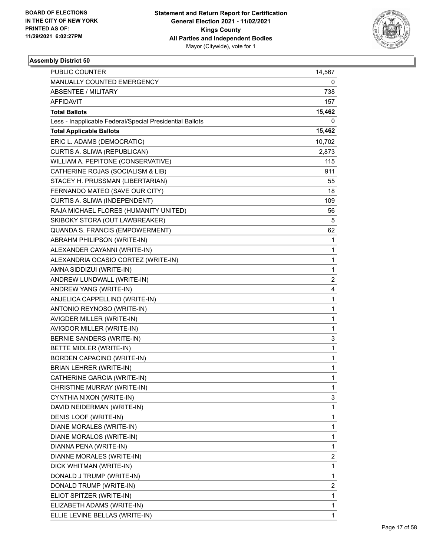

| PUBLIC COUNTER                                           | 14,567       |
|----------------------------------------------------------|--------------|
| MANUALLY COUNTED EMERGENCY                               | 0            |
| <b>ABSENTEE / MILITARY</b>                               | 738          |
| AFFIDAVIT                                                | 157          |
| <b>Total Ballots</b>                                     | 15,462       |
| Less - Inapplicable Federal/Special Presidential Ballots | 0            |
| <b>Total Applicable Ballots</b>                          | 15,462       |
| ERIC L. ADAMS (DEMOCRATIC)                               | 10,702       |
| CURTIS A. SLIWA (REPUBLICAN)                             | 2,873        |
| WILLIAM A. PEPITONE (CONSERVATIVE)                       | 115          |
| CATHERINE ROJAS (SOCIALISM & LIB)                        | 911          |
| STACEY H. PRUSSMAN (LIBERTARIAN)                         | 55           |
| FERNANDO MATEO (SAVE OUR CITY)                           | 18           |
| CURTIS A. SLIWA (INDEPENDENT)                            | 109          |
| RAJA MICHAEL FLORES (HUMANITY UNITED)                    | 56           |
| SKIBOKY STORA (OUT LAWBREAKER)                           | 5            |
| QUANDA S. FRANCIS (EMPOWERMENT)                          | 62           |
| ABRAHM PHILIPSON (WRITE-IN)                              | 1            |
| ALEXANDER CAYANNI (WRITE-IN)                             | 1            |
| ALEXANDRIA OCASIO CORTEZ (WRITE-IN)                      | 1            |
| AMNA SIDDIZUI (WRITE-IN)                                 | 1            |
| ANDREW LUNDWALL (WRITE-IN)                               | 2            |
| ANDREW YANG (WRITE-IN)                                   | 4            |
| ANJELICA CAPPELLINO (WRITE-IN)                           | 1            |
| ANTONIO REYNOSO (WRITE-IN)                               | 1            |
| AVIGDER MILLER (WRITE-IN)                                | 1            |
| AVIGDOR MILLER (WRITE-IN)                                | 1            |
| BERNIE SANDERS (WRITE-IN)                                | 3            |
| BETTE MIDLER (WRITE-IN)                                  | 1            |
| <b>BORDEN CAPACINO (WRITE-IN)</b>                        | 1            |
| <b>BRIAN LEHRER (WRITE-IN)</b>                           | 1            |
| CATHERINE GARCIA (WRITE-IN)                              | $\mathbf{1}$ |
| CHRISTINE MURRAY (WRITE-IN)                              | 1            |
| CYNTHIA NIXON (WRITE-IN)                                 | 3            |
| DAVID NEIDERMAN (WRITE-IN)                               | 1            |
| DENIS LOOF (WRITE-IN)                                    | 1            |
| DIANE MORALES (WRITE-IN)                                 | 1            |
| DIANE MORALOS (WRITE-IN)                                 | 1            |
| DIANNA PENA (WRITE-IN)                                   | 1            |
| DIANNE MORALES (WRITE-IN)                                | 2            |
| DICK WHITMAN (WRITE-IN)                                  | 1            |
| DONALD J TRUMP (WRITE-IN)                                | 1            |
| DONALD TRUMP (WRITE-IN)                                  | 2            |
| ELIOT SPITZER (WRITE-IN)                                 | 1            |
| ELIZABETH ADAMS (WRITE-IN)                               | 1            |
| ELLIE LEVINE BELLAS (WRITE-IN)                           | 1            |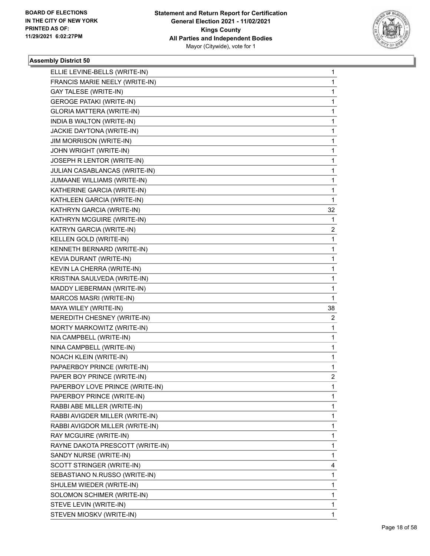

| ELLIE LEVINE-BELLS (WRITE-IN)    | $\mathbf{1}$   |
|----------------------------------|----------------|
| FRANCIS MARIE NEELY (WRITE-IN)   | 1              |
| <b>GAY TALESE (WRITE-IN)</b>     | 1              |
| <b>GEROGE PATAKI (WRITE-IN)</b>  | 1              |
| GLORIA MATTERA (WRITE-IN)        | 1              |
| INDIA B WALTON (WRITE-IN)        | 1              |
| JACKIE DAYTONA (WRITE-IN)        | 1              |
| <b>JIM MORRISON (WRITE-IN)</b>   | 1              |
| JOHN WRIGHT (WRITE-IN)           | 1              |
| JOSEPH R LENTOR (WRITE-IN)       | 1              |
| JULIAN CASABLANCAS (WRITE-IN)    | 1              |
| JUMAANE WILLIAMS (WRITE-IN)      | 1              |
| KATHERINE GARCIA (WRITE-IN)      | 1              |
| KATHLEEN GARCIA (WRITE-IN)       | 1              |
| KATHRYN GARCIA (WRITE-IN)        | 32             |
| KATHRYN MCGUIRE (WRITE-IN)       | 1              |
| KATRYN GARCIA (WRITE-IN)         | 2              |
| KELLEN GOLD (WRITE-IN)           | 1              |
| KENNETH BERNARD (WRITE-IN)       | 1              |
| KEVIA DURANT (WRITE-IN)          | 1              |
| KEVIN LA CHERRA (WRITE-IN)       | 1              |
| KRISTINA SAULVEDA (WRITE-IN)     | 1              |
| MADDY LIEBERMAN (WRITE-IN)       | 1              |
| MARCOS MASRI (WRITE-IN)          | 1              |
| MAYA WILEY (WRITE-IN)            | 38             |
| MEREDITH CHESNEY (WRITE-IN)      | 2              |
| MORTY MARKOWITZ (WRITE-IN)       | 1              |
| NIA CAMPBELL (WRITE-IN)          | 1              |
| NINA CAMPBELL (WRITE-IN)         | 1              |
| NOACH KLEIN (WRITE-IN)           | 1              |
| PAPAERBOY PRINCE (WRITE-IN)      | 1              |
| PAPER BOY PRINCE (WRITE-IN)      | $\overline{2}$ |
| PAPERBOY LOVE PRINCE (WRITE-IN)  | 1              |
| PAPERBOY PRINCE (WRITE-IN)       | 1              |
| RABBI ABE MILLER (WRITE-IN)      | 1              |
| RABBI AVIGDER MILLER (WRITE-IN)  | 1              |
| RABBI AVIGDOR MILLER (WRITE-IN)  | 1              |
| RAY MCGUIRE (WRITE-IN)           | 1              |
| RAYNE DAKOTA PRESCOTT (WRITE-IN) | 1              |
| SANDY NURSE (WRITE-IN)           | 1              |
| SCOTT STRINGER (WRITE-IN)        | 4              |
| SEBASTIANO N.RUSSO (WRITE-IN)    | 1              |
| SHULEM WIEDER (WRITE-IN)         | 1              |
| SOLOMON SCHIMER (WRITE-IN)       | 1              |
| STEVE LEVIN (WRITE-IN)           | 1              |
| STEVEN MIOSKV (WRITE-IN)         | 1              |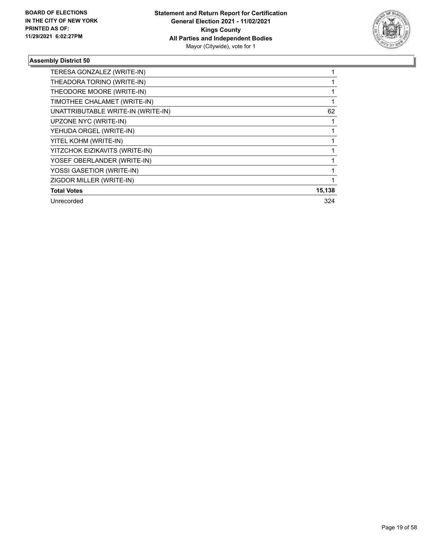

| TERESA GONZALEZ (WRITE-IN)         |        |
|------------------------------------|--------|
| THEADORA TORINO (WRITE-IN)         |        |
| THEODORE MOORE (WRITE-IN)          |        |
| TIMOTHEE CHALAMET (WRITE-IN)       |        |
| UNATTRIBUTABLE WRITE-IN (WRITE-IN) | 62     |
| UPZONE NYC (WRITE-IN)              |        |
| YEHUDA ORGEL (WRITE-IN)            |        |
| YITEL KOHM (WRITE-IN)              |        |
| YITZCHOK EIZIKAVITS (WRITE-IN)     |        |
| YOSEF OBERLANDER (WRITE-IN)        |        |
| YOSSI GASETIOR (WRITE-IN)          |        |
| ZIGDOR MILLER (WRITE-IN)           |        |
| <b>Total Votes</b>                 | 15,138 |
| Unrecorded                         | 324    |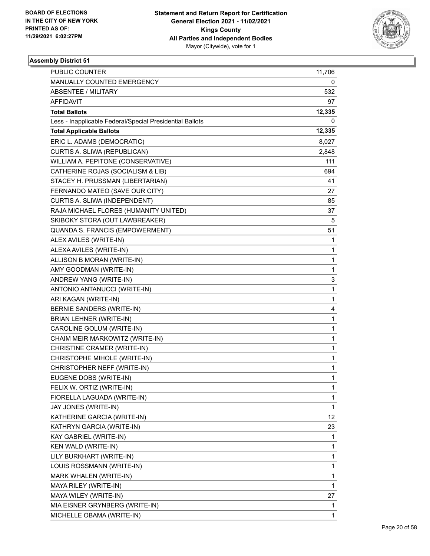

| PUBLIC COUNTER                                           | 11,706       |
|----------------------------------------------------------|--------------|
| MANUALLY COUNTED EMERGENCY                               | 0            |
| <b>ABSENTEE / MILITARY</b>                               | 532          |
| AFFIDAVIT                                                | 97           |
| <b>Total Ballots</b>                                     | 12,335       |
| Less - Inapplicable Federal/Special Presidential Ballots | 0            |
| <b>Total Applicable Ballots</b>                          | 12,335       |
| ERIC L. ADAMS (DEMOCRATIC)                               | 8,027        |
| CURTIS A. SLIWA (REPUBLICAN)                             | 2,848        |
| WILLIAM A. PEPITONE (CONSERVATIVE)                       | 111          |
| CATHERINE ROJAS (SOCIALISM & LIB)                        | 694          |
| STACEY H. PRUSSMAN (LIBERTARIAN)                         | 41           |
| FERNANDO MATEO (SAVE OUR CITY)                           | 27           |
| CURTIS A. SLIWA (INDEPENDENT)                            | 85           |
| RAJA MICHAEL FLORES (HUMANITY UNITED)                    | 37           |
| SKIBOKY STORA (OUT LAWBREAKER)                           | 5            |
| QUANDA S. FRANCIS (EMPOWERMENT)                          | 51           |
| ALEX AVILES (WRITE-IN)                                   | 1            |
| ALEXA AVILES (WRITE-IN)                                  | 1            |
| ALLISON B MORAN (WRITE-IN)                               | 1            |
| AMY GOODMAN (WRITE-IN)                                   | 1            |
| ANDREW YANG (WRITE-IN)                                   | 3            |
| ANTONIO ANTANUCCI (WRITE-IN)                             | 1            |
| ARI KAGAN (WRITE-IN)                                     | 1            |
| BERNIE SANDERS (WRITE-IN)                                | 4            |
| BRIAN LEHNER (WRITE-IN)                                  | 1            |
| CAROLINE GOLUM (WRITE-IN)                                | 1            |
| CHAIM MEIR MARKOWITZ (WRITE-IN)                          | 1            |
| CHRISTINE CRAMER (WRITE-IN)                              | 1            |
| CHRISTOPHE MIHOLE (WRITE-IN)                             | 1            |
| CHRISTOPHER NEFF (WRITE-IN)                              | 1            |
| EUGENE DOBS (WRITE-IN)                                   | $\mathbf{1}$ |
| FELIX W. ORTIZ (WRITE-IN)                                | 1            |
| FIORELLA LAGUADA (WRITE-IN)                              | 1            |
| JAY JONES (WRITE-IN)                                     | 1            |
| KATHERINE GARCIA (WRITE-IN)                              | 12           |
| KATHRYN GARCIA (WRITE-IN)                                | 23           |
| KAY GABRIEL (WRITE-IN)                                   | 1            |
| KEN WALD (WRITE-IN)                                      | 1            |
| LILY BURKHART (WRITE-IN)                                 | 1            |
| LOUIS ROSSMANN (WRITE-IN)                                | 1            |
| MARK WHALEN (WRITE-IN)                                   | 1            |
| MAYA RILEY (WRITE-IN)                                    | 1            |
| MAYA WILEY (WRITE-IN)                                    | 27           |
| MIA EISNER GRYNBERG (WRITE-IN)                           | 1            |
| MICHELLE OBAMA (WRITE-IN)                                | 1            |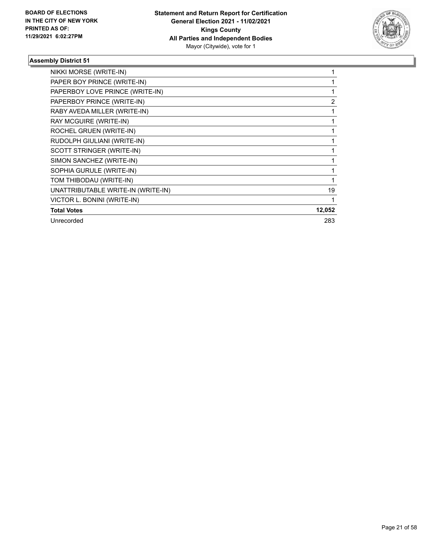

| NIKKI MORSE (WRITE-IN)             |        |
|------------------------------------|--------|
| PAPER BOY PRINCE (WRITE-IN)        |        |
| PAPERBOY LOVE PRINCE (WRITE-IN)    |        |
| PAPERBOY PRINCE (WRITE-IN)         | 2      |
| RABY AVEDA MILLER (WRITE-IN)       |        |
| RAY MCGUIRE (WRITE-IN)             |        |
| ROCHEL GRUEN (WRITE-IN)            |        |
| RUDOLPH GIULIANI (WRITE-IN)        |        |
| SCOTT STRINGER (WRITE-IN)          |        |
| SIMON SANCHEZ (WRITE-IN)           |        |
| SOPHIA GURULE (WRITE-IN)           |        |
| TOM THIBODAU (WRITE-IN)            |        |
| UNATTRIBUTABLE WRITE-IN (WRITE-IN) | 19     |
| VICTOR L. BONINI (WRITE-IN)        |        |
| <b>Total Votes</b>                 | 12,052 |
| Unrecorded                         | 283    |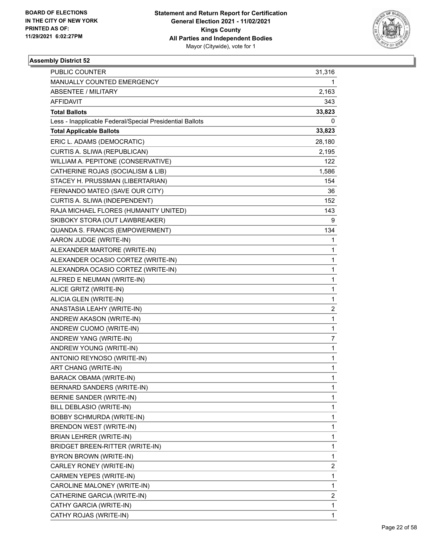

| PUBLIC COUNTER                                           | 31,316                  |
|----------------------------------------------------------|-------------------------|
| MANUALLY COUNTED EMERGENCY                               | 1                       |
| <b>ABSENTEE / MILITARY</b>                               | 2,163                   |
| AFFIDAVIT                                                | 343                     |
| <b>Total Ballots</b>                                     | 33,823                  |
| Less - Inapplicable Federal/Special Presidential Ballots | 0                       |
| <b>Total Applicable Ballots</b>                          | 33,823                  |
| ERIC L. ADAMS (DEMOCRATIC)                               | 28,180                  |
| CURTIS A. SLIWA (REPUBLICAN)                             | 2,195                   |
| WILLIAM A. PEPITONE (CONSERVATIVE)                       | 122                     |
| CATHERINE ROJAS (SOCIALISM & LIB)                        | 1,586                   |
| STACEY H. PRUSSMAN (LIBERTARIAN)                         | 154                     |
| FERNANDO MATEO (SAVE OUR CITY)                           | 36                      |
| CURTIS A. SLIWA (INDEPENDENT)                            | 152                     |
| RAJA MICHAEL FLORES (HUMANITY UNITED)                    | 143                     |
| SKIBOKY STORA (OUT LAWBREAKER)                           | 9                       |
| QUANDA S. FRANCIS (EMPOWERMENT)                          | 134                     |
| AARON JUDGE (WRITE-IN)                                   | 1                       |
| ALEXANDER MARTORE (WRITE-IN)                             | 1                       |
| ALEXANDER OCASIO CORTEZ (WRITE-IN)                       | 1                       |
| ALEXANDRA OCASIO CORTEZ (WRITE-IN)                       | 1                       |
| ALFRED E NEUMAN (WRITE-IN)                               | 1                       |
| ALICE GRITZ (WRITE-IN)                                   | 1                       |
| ALICIA GLEN (WRITE-IN)                                   | 1                       |
| ANASTASIA LEAHY (WRITE-IN)                               | $\overline{\mathbf{c}}$ |
| ANDREW AKASON (WRITE-IN)                                 | 1                       |
| ANDREW CUOMO (WRITE-IN)                                  | 1                       |
| ANDREW YANG (WRITE-IN)                                   | 7                       |
| ANDREW YOUNG (WRITE-IN)                                  | 1                       |
| ANTONIO REYNOSO (WRITE-IN)                               | 1                       |
| ART CHANG (WRITE-IN)                                     | 1                       |
| <b>BARACK OBAMA (WRITE-IN)</b>                           | $\mathbf{1}$            |
| BERNARD SANDERS (WRITE-IN)                               | 1                       |
| BERNIE SANDER (WRITE-IN)                                 | 1                       |
| BILL DEBLASIO (WRITE-IN)                                 | 1                       |
| <b>BOBBY SCHMURDA (WRITE-IN)</b>                         | 1                       |
| BRENDON WEST (WRITE-IN)                                  | 1                       |
| BRIAN LEHRER (WRITE-IN)                                  | 1                       |
| BRIDGET BREEN-RITTER (WRITE-IN)                          | 1                       |
| BYRON BROWN (WRITE-IN)                                   | 1                       |
| CARLEY RONEY (WRITE-IN)                                  | 2                       |
| CARMEN YEPES (WRITE-IN)                                  | 1                       |
| CAROLINE MALONEY (WRITE-IN)                              | 1                       |
| CATHERINE GARCIA (WRITE-IN)                              | 2                       |
| CATHY GARCIA (WRITE-IN)                                  | 1                       |
| CATHY ROJAS (WRITE-IN)                                   | $\mathbf{1}$            |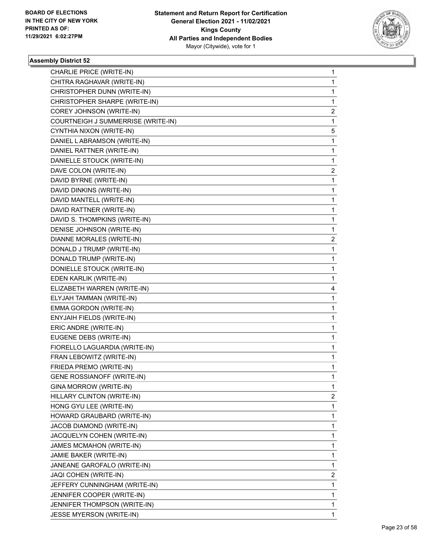

| CHARLIE PRICE (WRITE-IN)           | 1                       |
|------------------------------------|-------------------------|
| CHITRA RAGHAVAR (WRITE-IN)         | $\mathbf{1}$            |
| CHRISTOPHER DUNN (WRITE-IN)        | 1                       |
| CHRISTOPHER SHARPE (WRITE-IN)      | $\mathbf{1}$            |
| COREY JOHNSON (WRITE-IN)           | 2                       |
| COURTNEIGH J SUMMERRISE (WRITE-IN) | 1                       |
| CYNTHIA NIXON (WRITE-IN)           | 5                       |
| DANIEL LABRAMSON (WRITE-IN)        | $\mathbf{1}$            |
| DANIEL RATTNER (WRITE-IN)          | 1                       |
| DANIELLE STOUCK (WRITE-IN)         | $\mathbf{1}$            |
| DAVE COLON (WRITE-IN)              | 2                       |
| DAVID BYRNE (WRITE-IN)             | 1                       |
| DAVID DINKINS (WRITE-IN)           | $\mathbf{1}$            |
| DAVID MANTELL (WRITE-IN)           | 1                       |
| DAVID RATTNER (WRITE-IN)           | 1                       |
| DAVID S. THOMPKINS (WRITE-IN)      | $\mathbf{1}$            |
| DENISE JOHNSON (WRITE-IN)          | 1                       |
| DIANNE MORALES (WRITE-IN)          | 2                       |
| DONALD J TRUMP (WRITE-IN)          | $\mathbf{1}$            |
| DONALD TRUMP (WRITE-IN)            | 1                       |
| DONIELLE STOUCK (WRITE-IN)         | 1                       |
| EDEN KARLIK (WRITE-IN)             | $\mathbf{1}$            |
| ELIZABETH WARREN (WRITE-IN)        | 4                       |
| ELYJAH TAMMAN (WRITE-IN)           | 1                       |
| EMMA GORDON (WRITE-IN)             | $\mathbf{1}$            |
| ENYJAIH FIELDS (WRITE-IN)          | 1                       |
| ERIC ANDRE (WRITE-IN)              | 1                       |
| EUGENE DEBS (WRITE-IN)             | $\mathbf{1}$            |
| FIORELLO LAGUARDIA (WRITE-IN)      | 1                       |
| FRAN LEBOWITZ (WRITE-IN)           | 1                       |
| FRIEDA PREMO (WRITE-IN)            | $\mathbf{1}$            |
| GENE ROSSIANOFF (WRITE-IN)         | 1                       |
| GINA MORROW (WRITE-IN)             | 1                       |
| HILLARY CLINTON (WRITE-IN)         | $\overline{2}$          |
| HONG GYU LEE (WRITE-IN)            | $\mathbf{1}$            |
| HOWARD GRAUBARD (WRITE-IN)         | 1                       |
| JACOB DIAMOND (WRITE-IN)           | $\mathbf{1}$            |
| JACQUELYN COHEN (WRITE-IN)         | 1                       |
| JAMES MCMAHON (WRITE-IN)           | 1                       |
| JAMIE BAKER (WRITE-IN)             | $\mathbf{1}$            |
| JANEANE GAROFALO (WRITE-IN)        | $\mathbf{1}$            |
| JAQI COHEN (WRITE-IN)              | $\overline{\mathbf{c}}$ |
| JEFFERY CUNNINGHAM (WRITE-IN)      | $\mathbf{1}$            |
| JENNIFER COOPER (WRITE-IN)         | 1                       |
| JENNIFER THOMPSON (WRITE-IN)       | 1                       |
| JESSE MYERSON (WRITE-IN)           | $\mathbf{1}$            |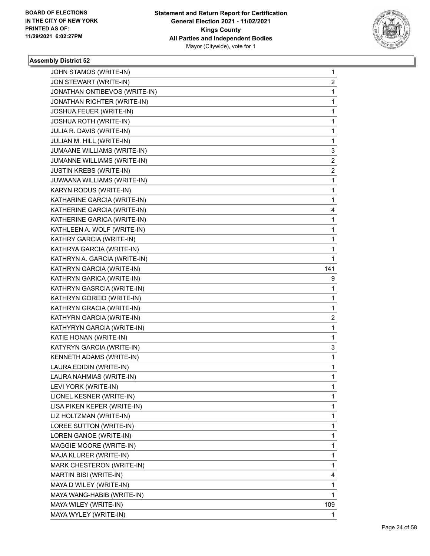

| JOHN STAMOS (WRITE-IN)        | 1                       |
|-------------------------------|-------------------------|
| JON STEWART (WRITE-IN)        | $\overline{c}$          |
| JONATHAN ONTIBEVOS (WRITE-IN) | $\mathbf{1}$            |
| JONATHAN RICHTER (WRITE-IN)   | 1                       |
| JOSHUA FEUER (WRITE-IN)       | 1                       |
| JOSHUA ROTH (WRITE-IN)        | 1                       |
| JULIA R. DAVIS (WRITE-IN)     | 1                       |
| JULIAN M. HILL (WRITE-IN)     | 1                       |
| JUMAANE WILLIAMS (WRITE-IN)   | 3                       |
| JUMANNE WILLIAMS (WRITE-IN)   | $\overline{2}$          |
| JUSTIN KREBS (WRITE-IN)       | $\overline{c}$          |
| JUWAANA WILLIAMS (WRITE-IN)   | $\mathbf{1}$            |
| KARYN RODUS (WRITE-IN)        | 1                       |
| KATHARINE GARCIA (WRITE-IN)   | 1                       |
| KATHERINE GARCIA (WRITE-IN)   | 4                       |
| KATHERINE GARICA (WRITE-IN)   | 1                       |
| KATHLEEN A. WOLF (WRITE-IN)   | 1                       |
| KATHRY GARCIA (WRITE-IN)      | 1                       |
| KATHRYA GARCIA (WRITE-IN)     | 1                       |
| KATHRYN A. GARCIA (WRITE-IN)  | 1                       |
| KATHRYN GARCIA (WRITE-IN)     | 141                     |
| KATHRYN GARICA (WRITE-IN)     | 9                       |
| KATHRYN GASRCIA (WRITE-IN)    | 1                       |
| KATHRYN GOREID (WRITE-IN)     | 1                       |
| KATHRYN GRACIA (WRITE-IN)     | 1                       |
| KATHYRN GARCIA (WRITE-IN)     | $\overline{\mathbf{c}}$ |
| KATHYRYN GARCIA (WRITE-IN)    | 1                       |
| KATIE HONAN (WRITE-IN)        | 1                       |
| KATYRYN GARCIA (WRITE-IN)     | 3                       |
| KENNETH ADAMS (WRITE-IN)      | 1                       |
| LAURA EDIDIN (WRITE-IN)       | 1                       |
| LAURA NAHMIAS (WRITE-IN)      | 1                       |
| LEVI YORK (WRITE-IN)          | 1                       |
| LIONEL KESNER (WRITE-IN)      | 1                       |
| LISA PIKEN KEPER (WRITE-IN)   | 1                       |
| LIZ HOLTZMAN (WRITE-IN)       | 1                       |
| LOREE SUTTON (WRITE-IN)       | 1                       |
| LOREN GANOE (WRITE-IN)        | 1                       |
| MAGGIE MOORE (WRITE-IN)       | 1                       |
| MAJA KLURER (WRITE-IN)        | 1                       |
| MARK CHESTERON (WRITE-IN)     | 1                       |
| MARTIN BISI (WRITE-IN)        | 4                       |
| MAYA D WILEY (WRITE-IN)       | 1                       |
| MAYA WANG-HABIB (WRITE-IN)    | 1                       |
| MAYA WILEY (WRITE-IN)         | 109                     |
| MAYA WYLEY (WRITE-IN)         | 1                       |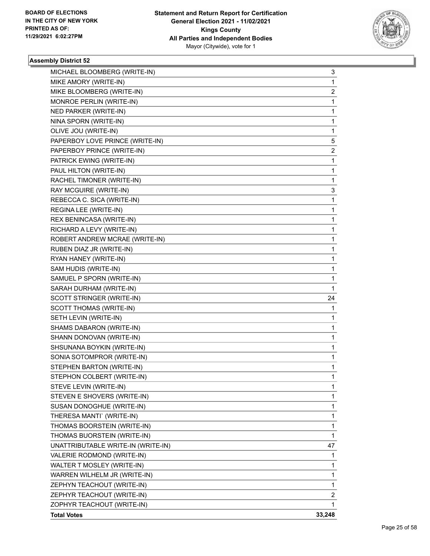

| MICHAEL BLOOMBERG (WRITE-IN)       | 3  |
|------------------------------------|----|
| MIKE AMORY (WRITE-IN)              | 1  |
| MIKE BLOOMBERG (WRITE-IN)          | 2  |
| MONROE PERLIN (WRITE-IN)           | 1  |
| NED PARKER (WRITE-IN)              | 1  |
| NINA SPORN (WRITE-IN)              | 1  |
| OLIVE JOU (WRITE-IN)               | 1  |
| PAPERBOY LOVE PRINCE (WRITE-IN)    | 5  |
| PAPERBOY PRINCE (WRITE-IN)         | 2  |
| PATRICK EWING (WRITE-IN)           | 1  |
| PAUL HILTON (WRITE-IN)             | 1  |
| RACHEL TIMONER (WRITE-IN)          | 1  |
| RAY MCGUIRE (WRITE-IN)             | 3  |
| REBECCA C. SICA (WRITE-IN)         | 1  |
| REGINA LEE (WRITE-IN)              | 1  |
| REX BENINCASA (WRITE-IN)           | 1  |
| RICHARD A LEVY (WRITE-IN)          | 1  |
| ROBERT ANDREW MCRAE (WRITE-IN)     | 1  |
| RUBEN DIAZ JR (WRITE-IN)           | 1  |
| RYAN HANEY (WRITE-IN)              | 1  |
| SAM HUDIS (WRITE-IN)               | 1  |
| SAMUEL P SPORN (WRITE-IN)          | 1  |
| SARAH DURHAM (WRITE-IN)            | 1  |
|                                    |    |
| SCOTT STRINGER (WRITE-IN)          | 24 |
| SCOTT THOMAS (WRITE-IN)            | 1  |
| SETH LEVIN (WRITE-IN)              | 1  |
| SHAMS DABARON (WRITE-IN)           | 1  |
| SHANN DONOVAN (WRITE-IN)           | 1  |
| SHSUNANA BOYKIN (WRITE-IN)         | 1  |
| SONIA SOTOMPROR (WRITE-IN)         | 1  |
| STEPHEN BARTON (WRITE-IN)          | 1  |
| STEPHON COLBERT (WRITE-IN)         | 1  |
| STEVE LEVIN (WRITE-IN)             | 1  |
| STEVEN E SHOVERS (WRITE-IN)        | 1  |
| SUSAN DONOGHUE (WRITE-IN)          | 1  |
| THERESA MANTI` (WRITE-IN)          | 1  |
| THOMAS BOORSTEIN (WRITE-IN)        | 1  |
| THOMAS BUORSTEIN (WRITE-IN)        | 1  |
| UNATTRIBUTABLE WRITE-IN (WRITE-IN) | 47 |
| VALERIE RODMOND (WRITE-IN)         | 1  |
| WALTER T MOSLEY (WRITE-IN)         | 1  |
| WARREN WILHELM JR (WRITE-IN)       | 1  |
| ZEPHYN TEACHOUT (WRITE-IN)         | 1  |
| ZEPHYR TEACHOUT (WRITE-IN)         | 2  |
| ZOPHYR TEACHOUT (WRITE-IN)         | 1  |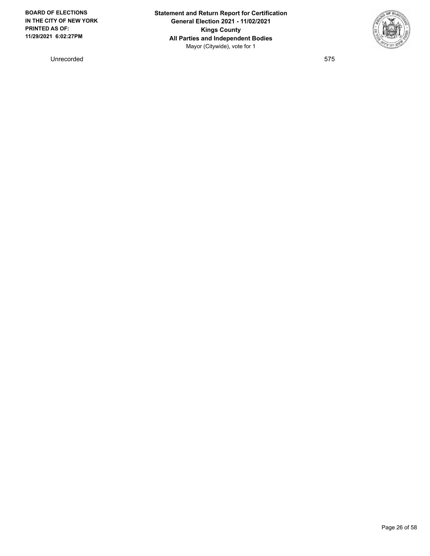Unrecorded 575

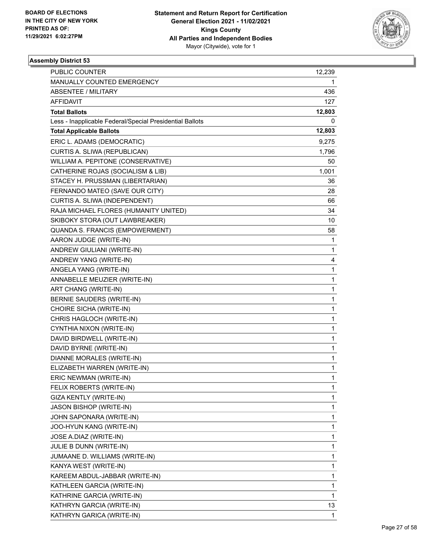

| PUBLIC COUNTER                                           | 12,239       |
|----------------------------------------------------------|--------------|
| MANUALLY COUNTED EMERGENCY                               | 1            |
| <b>ABSENTEE / MILITARY</b>                               | 436          |
| <b>AFFIDAVIT</b>                                         | 127          |
| <b>Total Ballots</b>                                     | 12,803       |
| Less - Inapplicable Federal/Special Presidential Ballots | 0            |
| <b>Total Applicable Ballots</b>                          | 12,803       |
| ERIC L. ADAMS (DEMOCRATIC)                               | 9,275        |
| CURTIS A. SLIWA (REPUBLICAN)                             | 1,796        |
| WILLIAM A. PEPITONE (CONSERVATIVE)                       | 50           |
| CATHERINE ROJAS (SOCIALISM & LIB)                        | 1,001        |
| STACEY H. PRUSSMAN (LIBERTARIAN)                         | 36           |
| FERNANDO MATEO (SAVE OUR CITY)                           | 28           |
| CURTIS A. SLIWA (INDEPENDENT)                            | 66           |
| RAJA MICHAEL FLORES (HUMANITY UNITED)                    | 34           |
| SKIBOKY STORA (OUT LAWBREAKER)                           | 10           |
| QUANDA S. FRANCIS (EMPOWERMENT)                          | 58           |
| AARON JUDGE (WRITE-IN)                                   | 1            |
| ANDREW GIULIANI (WRITE-IN)                               | 1            |
| ANDREW YANG (WRITE-IN)                                   | 4            |
| ANGELA YANG (WRITE-IN)                                   | 1            |
| ANNABELLE MEUZIER (WRITE-IN)                             | 1            |
| ART CHANG (WRITE-IN)                                     | 1            |
| BERNIE SAUDERS (WRITE-IN)                                | 1            |
| CHOIRE SICHA (WRITE-IN)                                  | 1            |
| CHRIS HAGLOCH (WRITE-IN)                                 | 1            |
| CYNTHIA NIXON (WRITE-IN)                                 | 1            |
| DAVID BIRDWELL (WRITE-IN)                                | 1            |
| DAVID BYRNE (WRITE-IN)                                   | 1            |
| DIANNE MORALES (WRITE-IN)                                | $\mathbf{1}$ |
| ELIZABETH WARREN (WRITE-IN)                              | 1            |
| ERIC NEWMAN (WRITE-IN)                                   | 1            |
| FELIX ROBERTS (WRITE-IN)                                 | 1            |
| GIZA KENTLY (WRITE-IN)                                   | 1            |
| <b>JASON BISHOP (WRITE-IN)</b>                           | 1            |
| JOHN SAPONARA (WRITE-IN)                                 | 1            |
| JOO-HYUN KANG (WRITE-IN)                                 | 1            |
| JOSE A.DIAZ (WRITE-IN)                                   | 1            |
| JULIE B DUNN (WRITE-IN)                                  | 1            |
| JUMAANE D. WILLIAMS (WRITE-IN)                           | 1            |
| KANYA WEST (WRITE-IN)                                    | 1            |
| KAREEM ABDUL-JABBAR (WRITE-IN)                           | 1            |
| KATHLEEN GARCIA (WRITE-IN)                               | 1            |
| KATHRINE GARCIA (WRITE-IN)                               | 1            |
| KATHRYN GARCIA (WRITE-IN)                                | 13           |
| KATHRYN GARICA (WRITE-IN)                                | 1            |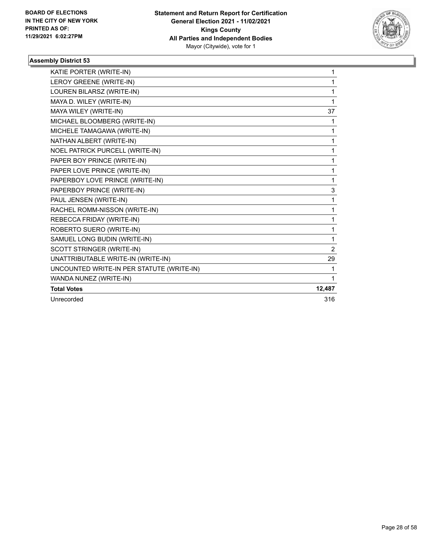

| KATIE PORTER (WRITE-IN)                   | 1              |
|-------------------------------------------|----------------|
| LEROY GREENE (WRITE-IN)                   | 1              |
| LOUREN BILARSZ (WRITE-IN)                 | 1              |
| MAYA D. WILEY (WRITE-IN)                  | 1              |
| MAYA WILEY (WRITE-IN)                     | 37             |
| MICHAEL BLOOMBERG (WRITE-IN)              | 1              |
| MICHELE TAMAGAWA (WRITE-IN)               | 1              |
| NATHAN ALBERT (WRITE-IN)                  | 1              |
| NOEL PATRICK PURCELL (WRITE-IN)           | 1              |
| PAPER BOY PRINCE (WRITE-IN)               | 1              |
| PAPER LOVE PRINCE (WRITE-IN)              | 1              |
| PAPERBOY LOVE PRINCE (WRITE-IN)           | 1              |
| PAPERBOY PRINCE (WRITE-IN)                | 3              |
| PAUL JENSEN (WRITE-IN)                    | 1              |
| RACHEL ROMM-NISSON (WRITE-IN)             | 1              |
| REBECCA FRIDAY (WRITE-IN)                 | 1              |
| ROBERTO SUERO (WRITE-IN)                  | 1              |
| SAMUEL LONG BUDIN (WRITE-IN)              | 1              |
| SCOTT STRINGER (WRITE-IN)                 | $\overline{2}$ |
| UNATTRIBUTABLE WRITE-IN (WRITE-IN)        | 29             |
| UNCOUNTED WRITE-IN PER STATUTE (WRITE-IN) | 1              |
| WANDA NUNEZ (WRITE-IN)                    | 1              |
| <b>Total Votes</b>                        | 12,487         |
| Unrecorded                                | 316            |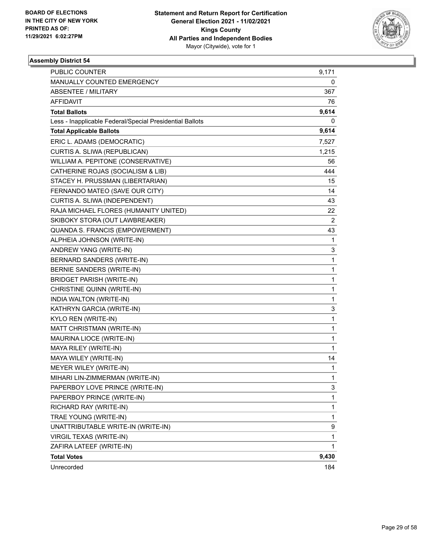

| <b>PUBLIC COUNTER</b>                                    | 9,171          |
|----------------------------------------------------------|----------------|
| MANUALLY COUNTED EMERGENCY                               | 0              |
| <b>ABSENTEE / MILITARY</b>                               | 367            |
| <b>AFFIDAVIT</b>                                         | 76             |
| <b>Total Ballots</b>                                     | 9,614          |
| Less - Inapplicable Federal/Special Presidential Ballots | 0              |
| <b>Total Applicable Ballots</b>                          | 9,614          |
| ERIC L. ADAMS (DEMOCRATIC)                               | 7,527          |
| CURTIS A. SLIWA (REPUBLICAN)                             | 1,215          |
| WILLIAM A. PEPITONE (CONSERVATIVE)                       | 56             |
| CATHERINE ROJAS (SOCIALISM & LIB)                        | 444            |
| STACEY H. PRUSSMAN (LIBERTARIAN)                         | 15             |
| FERNANDO MATEO (SAVE OUR CITY)                           | 14             |
| CURTIS A. SLIWA (INDEPENDENT)                            | 43             |
| RAJA MICHAEL FLORES (HUMANITY UNITED)                    | 22             |
| SKIBOKY STORA (OUT LAWBREAKER)                           | $\overline{2}$ |
| QUANDA S. FRANCIS (EMPOWERMENT)                          | 43             |
| ALPHEIA JOHNSON (WRITE-IN)                               | 1              |
| ANDREW YANG (WRITE-IN)                                   | 3              |
| BERNARD SANDERS (WRITE-IN)                               | 1              |
| BERNIE SANDERS (WRITE-IN)                                | 1              |
| <b>BRIDGET PARISH (WRITE-IN)</b>                         | 1              |
| CHRISTINE QUINN (WRITE-IN)                               | 1              |
| INDIA WALTON (WRITE-IN)                                  | 1              |
| KATHRYN GARCIA (WRITE-IN)                                | 3              |
| KYLO REN (WRITE-IN)                                      | 1              |
| MATT CHRISTMAN (WRITE-IN)                                | 1              |
| MAURINA LIOCE (WRITE-IN)                                 | 1              |
| MAYA RILEY (WRITE-IN)                                    | $\mathbf{1}$   |
| MAYA WILEY (WRITE-IN)                                    | 14             |
| MEYER WILEY (WRITE-IN)                                   | 1              |
| MIHARI LIN-ZIMMERMAN (WRITE-IN)                          | $\mathbf{1}$   |
| PAPERBOY LOVE PRINCE (WRITE-IN)                          | 3              |
| PAPERBOY PRINCE (WRITE-IN)                               | 1              |
| RICHARD RAY (WRITE-IN)                                   | 1              |
| TRAE YOUNG (WRITE-IN)                                    | 1              |
| UNATTRIBUTABLE WRITE-IN (WRITE-IN)                       | 9              |
| VIRGIL TEXAS (WRITE-IN)                                  | $\mathbf{1}$   |
| ZAFIRA LATEEF (WRITE-IN)                                 | 1              |
| <b>Total Votes</b>                                       | 9,430          |
| Unrecorded                                               | 184            |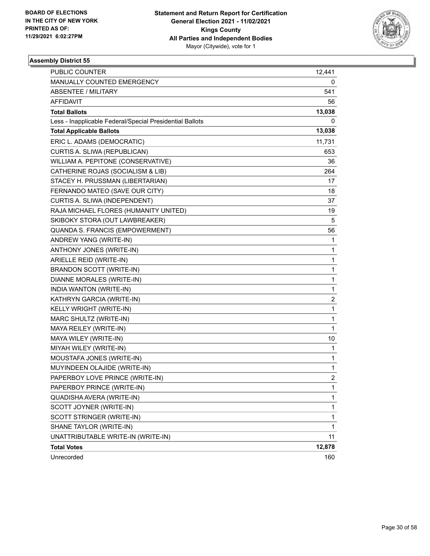

| <b>PUBLIC COUNTER</b>                                    | 12,441         |
|----------------------------------------------------------|----------------|
| MANUALLY COUNTED EMERGENCY                               | 0              |
| <b>ABSENTEE / MILITARY</b>                               | 541            |
| AFFIDAVIT                                                | 56             |
| <b>Total Ballots</b>                                     | 13,038         |
| Less - Inapplicable Federal/Special Presidential Ballots | 0              |
| <b>Total Applicable Ballots</b>                          | 13,038         |
| ERIC L. ADAMS (DEMOCRATIC)                               | 11,731         |
| CURTIS A. SLIWA (REPUBLICAN)                             | 653            |
| WILLIAM A. PEPITONE (CONSERVATIVE)                       | 36             |
| CATHERINE ROJAS (SOCIALISM & LIB)                        | 264            |
| STACEY H. PRUSSMAN (LIBERTARIAN)                         | 17             |
| FERNANDO MATEO (SAVE OUR CITY)                           | 18             |
| CURTIS A. SLIWA (INDEPENDENT)                            | 37             |
| RAJA MICHAEL FLORES (HUMANITY UNITED)                    | 19             |
| SKIBOKY STORA (OUT LAWBREAKER)                           | 5              |
| QUANDA S. FRANCIS (EMPOWERMENT)                          | 56             |
| ANDREW YANG (WRITE-IN)                                   | 1              |
| ANTHONY JONES (WRITE-IN)                                 | 1              |
| ARIELLE REID (WRITE-IN)                                  | 1              |
| <b>BRANDON SCOTT (WRITE-IN)</b>                          | 1              |
| DIANNE MORALES (WRITE-IN)                                | 1              |
| INDIA WANTON (WRITE-IN)                                  | 1              |
| KATHRYN GARCIA (WRITE-IN)                                | 2              |
| KELLY WRIGHT (WRITE-IN)                                  | 1              |
| MARC SHULTZ (WRITE-IN)                                   | 1              |
| MAYA REILEY (WRITE-IN)                                   | 1              |
| MAYA WILEY (WRITE-IN)                                    | 10             |
| MIYAH WILEY (WRITE-IN)                                   | 1              |
| MOUSTAFA JONES (WRITE-IN)                                | 1              |
| MUYINDEEN OLAJIDE (WRITE-IN)                             | 1              |
| PAPERBOY LOVE PRINCE (WRITE-IN)                          | $\overline{c}$ |
| PAPERBOY PRINCE (WRITE-IN)                               | 1              |
| QUADISHA AVERA (WRITE-IN)                                | 1              |
| SCOTT JOYNER (WRITE-IN)                                  | 1              |
| SCOTT STRINGER (WRITE-IN)                                | 1              |
| SHANE TAYLOR (WRITE-IN)                                  | 1              |
| UNATTRIBUTABLE WRITE-IN (WRITE-IN)                       | 11             |
| <b>Total Votes</b>                                       | 12,878         |
| Unrecorded                                               | 160            |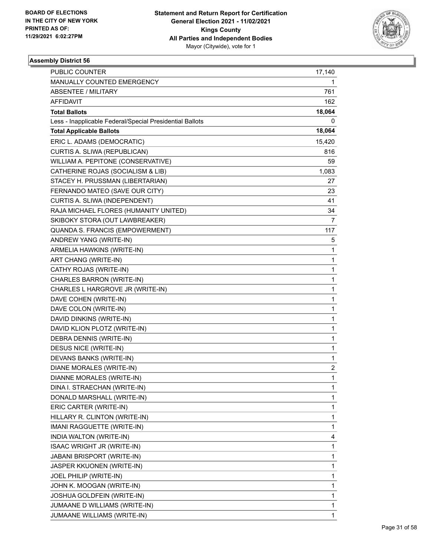

| <b>PUBLIC COUNTER</b>                                    | 17,140       |
|----------------------------------------------------------|--------------|
| MANUALLY COUNTED EMERGENCY                               | 1            |
| <b>ABSENTEE / MILITARY</b>                               | 761          |
| AFFIDAVIT                                                | 162          |
| <b>Total Ballots</b>                                     | 18,064       |
| Less - Inapplicable Federal/Special Presidential Ballots | 0            |
| <b>Total Applicable Ballots</b>                          | 18,064       |
| ERIC L. ADAMS (DEMOCRATIC)                               | 15,420       |
| CURTIS A. SLIWA (REPUBLICAN)                             | 816          |
| WILLIAM A. PEPITONE (CONSERVATIVE)                       | 59           |
| CATHERINE ROJAS (SOCIALISM & LIB)                        | 1,083        |
| STACEY H. PRUSSMAN (LIBERTARIAN)                         | 27           |
| FERNANDO MATEO (SAVE OUR CITY)                           | 23           |
| CURTIS A. SLIWA (INDEPENDENT)                            | 41           |
| RAJA MICHAEL FLORES (HUMANITY UNITED)                    | 34           |
| SKIBOKY STORA (OUT LAWBREAKER)                           | 7            |
| QUANDA S. FRANCIS (EMPOWERMENT)                          | 117          |
| ANDREW YANG (WRITE-IN)                                   | 5            |
| ARMELIA HAWKINS (WRITE-IN)                               | 1            |
| ART CHANG (WRITE-IN)                                     | 1            |
| CATHY ROJAS (WRITE-IN)                                   | 1            |
| CHARLES BARRON (WRITE-IN)                                | 1            |
| CHARLES L HARGROVE JR (WRITE-IN)                         | 1            |
| DAVE COHEN (WRITE-IN)                                    | 1            |
| DAVE COLON (WRITE-IN)                                    | 1            |
| DAVID DINKINS (WRITE-IN)                                 | 1            |
| DAVID KLION PLOTZ (WRITE-IN)                             | 1            |
| DEBRA DENNIS (WRITE-IN)                                  | 1            |
| DESUS NICE (WRITE-IN)                                    | 1            |
| DEVANS BANKS (WRITE-IN)                                  | 1            |
| DIANE MORALES (WRITE-IN)                                 | 2            |
| DIANNE MORALES (WRITE-IN)                                | $\mathbf{1}$ |
| DINA I. STRAECHAN (WRITE-IN)                             | 1            |
| DONALD MARSHALL (WRITE-IN)                               | 1            |
| ERIC CARTER (WRITE-IN)                                   | 1            |
| HILLARY R. CLINTON (WRITE-IN)                            | 1            |
| IMANI RAGGUETTE (WRITE-IN)                               | 1            |
| INDIA WALTON (WRITE-IN)                                  | 4            |
| ISAAC WRIGHT JR (WRITE-IN)                               | 1            |
| <b>JABANI BRISPORT (WRITE-IN)</b>                        | 1            |
| JASPER KKUONEN (WRITE-IN)                                | 1            |
| JOEL PHILIP (WRITE-IN)                                   | 1            |
| JOHN K. MOOGAN (WRITE-IN)                                | 1            |
| JOSHUA GOLDFEIN (WRITE-IN)                               | 1            |
| JUMAANE D WILLIAMS (WRITE-IN)                            | 1            |
| JUMAANE WILLIAMS (WRITE-IN)                              | 1            |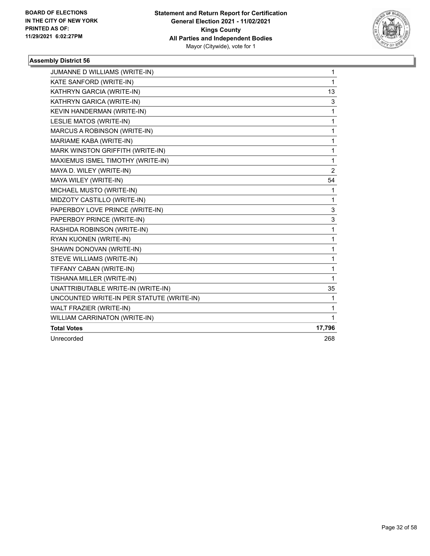

| JUMANNE D WILLIAMS (WRITE-IN)             | 1              |
|-------------------------------------------|----------------|
| KATE SANFORD (WRITE-IN)                   | 1              |
| KATHRYN GARCIA (WRITE-IN)                 | 13             |
| KATHRYN GARICA (WRITE-IN)                 | 3              |
| KEVIN HANDERMAN (WRITE-IN)                | 1              |
| LESLIE MATOS (WRITE-IN)                   | 1              |
| MARCUS A ROBINSON (WRITE-IN)              | 1              |
| MARIAME KABA (WRITE-IN)                   | 1              |
| MARK WINSTON GRIFFITH (WRITE-IN)          | 1              |
| MAXIEMUS ISMEL TIMOTHY (WRITE-IN)         | 1              |
| MAYA D. WILEY (WRITE-IN)                  | $\overline{2}$ |
| MAYA WILEY (WRITE-IN)                     | 54             |
| MICHAEL MUSTO (WRITE-IN)                  | 1              |
| MIDZOTY CASTILLO (WRITE-IN)               | 1              |
| PAPERBOY LOVE PRINCE (WRITE-IN)           | 3              |
| PAPERBOY PRINCE (WRITE-IN)                | 3              |
| RASHIDA ROBINSON (WRITE-IN)               | 1              |
| RYAN KUONEN (WRITE-IN)                    | 1              |
| SHAWN DONOVAN (WRITE-IN)                  | 1              |
| STEVE WILLIAMS (WRITE-IN)                 | 1              |
| TIFFANY CABAN (WRITE-IN)                  | 1              |
| TISHANA MILLER (WRITE-IN)                 | 1              |
| UNATTRIBUTABLE WRITE-IN (WRITE-IN)        | 35             |
| UNCOUNTED WRITE-IN PER STATUTE (WRITE-IN) | 1              |
| WALT FRAZIER (WRITE-IN)                   | 1              |
| <b>WILLIAM CARRINATON (WRITE-IN)</b>      | 1              |
| <b>Total Votes</b>                        | 17,796         |
| Unrecorded                                | 268            |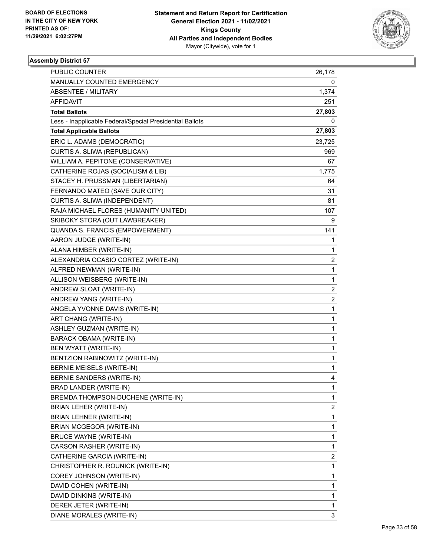

| <b>PUBLIC COUNTER</b>                                    | 26,178                  |
|----------------------------------------------------------|-------------------------|
| MANUALLY COUNTED EMERGENCY                               | 0                       |
| <b>ABSENTEE / MILITARY</b>                               | 1,374                   |
| AFFIDAVIT                                                | 251                     |
| <b>Total Ballots</b>                                     | 27,803                  |
| Less - Inapplicable Federal/Special Presidential Ballots | 0                       |
| <b>Total Applicable Ballots</b>                          | 27,803                  |
| ERIC L. ADAMS (DEMOCRATIC)                               | 23,725                  |
| CURTIS A. SLIWA (REPUBLICAN)                             | 969                     |
| WILLIAM A. PEPITONE (CONSERVATIVE)                       | 67                      |
| CATHERINE ROJAS (SOCIALISM & LIB)                        | 1,775                   |
| STACEY H. PRUSSMAN (LIBERTARIAN)                         | 64                      |
| FERNANDO MATEO (SAVE OUR CITY)                           | 31                      |
| CURTIS A. SLIWA (INDEPENDENT)                            | 81                      |
| RAJA MICHAEL FLORES (HUMANITY UNITED)                    | 107                     |
| SKIBOKY STORA (OUT LAWBREAKER)                           | 9                       |
| QUANDA S. FRANCIS (EMPOWERMENT)                          | 141                     |
| AARON JUDGE (WRITE-IN)                                   | 1                       |
| ALANA HIMBER (WRITE-IN)                                  | 1                       |
| ALEXANDRIA OCASIO CORTEZ (WRITE-IN)                      | $\overline{\mathbf{c}}$ |
| ALFRED NEWMAN (WRITE-IN)                                 | 1                       |
| ALLISON WEISBERG (WRITE-IN)                              | 1                       |
| ANDREW SLOAT (WRITE-IN)                                  | $\overline{\mathbf{c}}$ |
| ANDREW YANG (WRITE-IN)                                   | $\overline{\mathbf{c}}$ |
| ANGELA YVONNE DAVIS (WRITE-IN)                           | 1                       |
| ART CHANG (WRITE-IN)                                     | 1                       |
| ASHLEY GUZMAN (WRITE-IN)                                 | 1                       |
| <b>BARACK OBAMA (WRITE-IN)</b>                           | 1                       |
| BEN WYATT (WRITE-IN)                                     | 1                       |
| BENTZION RABINOWITZ (WRITE-IN)                           | 1                       |
| BERNIE MEISELS (WRITE-IN)                                | 1                       |
| BERNIE SANDERS (WRITE-IN)                                | 4                       |
| BRAD LANDER (WRITE-IN)                                   | 1                       |
| BREMDA THOMPSON-DUCHENE (WRITE-IN)                       | 1                       |
| BRIAN LEHER (WRITE-IN)                                   | $\overline{\mathbf{c}}$ |
| BRIAN LEHNER (WRITE-IN)                                  | 1                       |
| BRIAN MCGEGOR (WRITE-IN)                                 | 1                       |
| <b>BRUCE WAYNE (WRITE-IN)</b>                            | 1                       |
| CARSON RASHER (WRITE-IN)                                 | 1                       |
| CATHERINE GARCIA (WRITE-IN)                              | 2                       |
| CHRISTOPHER R. ROUNICK (WRITE-IN)                        | 1                       |
| COREY JOHNSON (WRITE-IN)                                 | 1                       |
| DAVID COHEN (WRITE-IN)                                   | 1                       |
| DAVID DINKINS (WRITE-IN)                                 | 1                       |
| DEREK JETER (WRITE-IN)                                   | 1                       |
| DIANE MORALES (WRITE-IN)                                 | 3                       |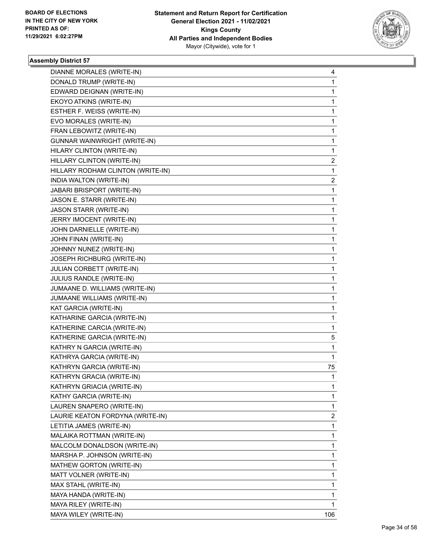

| DIANNE MORALES (WRITE-IN)         | 4            |
|-----------------------------------|--------------|
| DONALD TRUMP (WRITE-IN)           | 1            |
| EDWARD DEIGNAN (WRITE-IN)         | 1            |
| EKOYO ATKINS (WRITE-IN)           | 1            |
| ESTHER F. WEISS (WRITE-IN)        | 1            |
| EVO MORALES (WRITE-IN)            | 1            |
| FRAN LEBOWITZ (WRITE-IN)          | 1            |
| GUNNAR WAINWRIGHT (WRITE-IN)      | 1            |
| HILARY CLINTON (WRITE-IN)         | 1            |
| HILLARY CLINTON (WRITE-IN)        | 2            |
| HILLARY RODHAM CLINTON (WRITE-IN) | 1            |
| INDIA WALTON (WRITE-IN)           | 2            |
| JABARI BRISPORT (WRITE-IN)        | $\mathbf{1}$ |
| JASON E. STARR (WRITE-IN)         | 1            |
| <b>JASON STARR (WRITE-IN)</b>     | 1            |
| JERRY IMOCENT (WRITE-IN)          | 1            |
| JOHN DARNIELLE (WRITE-IN)         | 1            |
| JOHN FINAN (WRITE-IN)             | 1            |
| JOHNNY NUNEZ (WRITE-IN)           | 1            |
| JOSEPH RICHBURG (WRITE-IN)        | 1            |
| JULIAN CORBETT (WRITE-IN)         | 1            |
| JULIUS RANDLE (WRITE-IN)          | 1            |
| JUMAANE D. WILLIAMS (WRITE-IN)    | 1            |
| JUMAANE WILLIAMS (WRITE-IN)       | 1            |
| KAT GARCIA (WRITE-IN)             | 1            |
| KATHARINE GARCIA (WRITE-IN)       | 1            |
| KATHERINE CARCIA (WRITE-IN)       | 1            |
| KATHERINE GARCIA (WRITE-IN)       | 5            |
| KATHRY N GARCIA (WRITE-IN)        | 1            |
| KATHRYA GARCIA (WRITE-IN)         | 1            |
| KATHRYN GARCIA (WRITE-IN)         | 75           |
| KATHRYN GRACIA (WRITE-IN)         | $\mathbf{1}$ |
| KATHRYN GRIACIA (WRITE-IN)        | 1            |
| KATHY GARCIA (WRITE-IN)           | 1            |
| LAUREN SNAPERO (WRITE-IN)         | 1            |
| LAURIE KEATON FORDYNA (WRITE-IN)  | 2            |
| LETITIA JAMES (WRITE-IN)          | 1            |
| MALAIKA ROTTMAN (WRITE-IN)        | 1            |
| MALCOLM DONALDSON (WRITE-IN)      | 1            |
| MARSHA P. JOHNSON (WRITE-IN)      | 1            |
| MATHEW GORTON (WRITE-IN)          | 1            |
| MATT VOLNER (WRITE-IN)            | 1            |
| MAX STAHL (WRITE-IN)              | 1            |
| MAYA HANDA (WRITE-IN)             | 1            |
| MAYA RILEY (WRITE-IN)             | 1            |
| MAYA WILEY (WRITE-IN)             | 106          |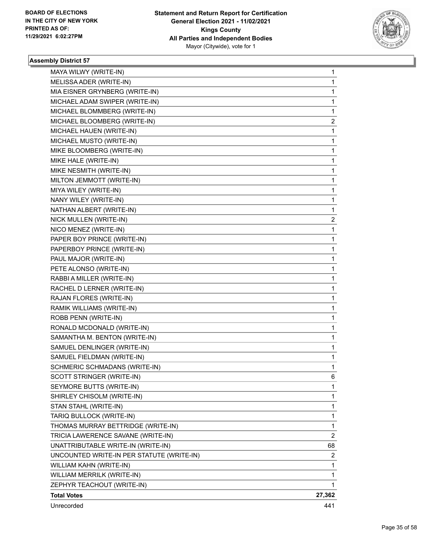

| MAYA WILWY (WRITE-IN)                     | 1              |
|-------------------------------------------|----------------|
| MELISSA ADER (WRITE-IN)                   | 1              |
| MIA EISNER GRYNBERG (WRITE-IN)            | 1              |
| MICHAEL ADAM SWIPER (WRITE-IN)            | 1              |
| MICHAEL BLOMMBERG (WRITE-IN)              | 1              |
| MICHAEL BLOOMBERG (WRITE-IN)              | 2              |
| MICHAEL HAUEN (WRITE-IN)                  | 1              |
| MICHAEL MUSTO (WRITE-IN)                  | 1              |
| MIKE BLOOMBERG (WRITE-IN)                 | 1              |
| MIKE HALE (WRITE-IN)                      | 1              |
| MIKE NESMITH (WRITE-IN)                   | 1              |
| MILTON JEMMOTT (WRITE-IN)                 | 1              |
| MIYA WILEY (WRITE-IN)                     | 1              |
| NANY WILEY (WRITE-IN)                     | 1              |
| NATHAN ALBERT (WRITE-IN)                  | 1              |
| NICK MULLEN (WRITE-IN)                    | $\overline{2}$ |
| NICO MENEZ (WRITE-IN)                     | 1              |
| PAPER BOY PRINCE (WRITE-IN)               | 1              |
| PAPERBOY PRINCE (WRITE-IN)                | 1              |
| PAUL MAJOR (WRITE-IN)                     | 1              |
| PETE ALONSO (WRITE-IN)                    | 1              |
| RABBI A MILLER (WRITE-IN)                 | 1              |
| RACHEL D LERNER (WRITE-IN)                | 1              |
| RAJAN FLORES (WRITE-IN)                   | 1              |
| RAMIK WILLIAMS (WRITE-IN)                 | 1              |
| ROBB PENN (WRITE-IN)                      | 1              |
| RONALD MCDONALD (WRITE-IN)                | 1              |
| SAMANTHA M. BENTON (WRITE-IN)             | 1              |
| SAMUEL DENLINGER (WRITE-IN)               | 1              |
| SAMUEL FIELDMAN (WRITE-IN)                | 1              |
| SCHMERIC SCHMADANS (WRITE-IN)             | 1              |
| SCOTT STRINGER (WRITE-IN)                 | 6              |
| SEYMORE BUTTS (WRITE-IN)                  | 1              |
| SHIRLEY CHISOLM (WRITE-IN)                | 1              |
| STAN STAHL (WRITE-IN)                     | 1              |
| TARIQ BULLOCK (WRITE-IN)                  | 1              |
| THOMAS MURRAY BETTRIDGE (WRITE-IN)        | 1              |
| TRICIA LAWERENCE SAVANE (WRITE-IN)        | 2              |
| UNATTRIBUTABLE WRITE-IN (WRITE-IN)        | 68             |
| UNCOUNTED WRITE-IN PER STATUTE (WRITE-IN) | 2              |
| WILLIAM KAHN (WRITE-IN)                   | 1              |
| WILLIAM MERRILK (WRITE-IN)                | 1              |
| ZEPHYR TEACHOUT (WRITE-IN)                | 1              |
| <b>Total Votes</b>                        | 27,362         |
| Unrecorded                                | 441            |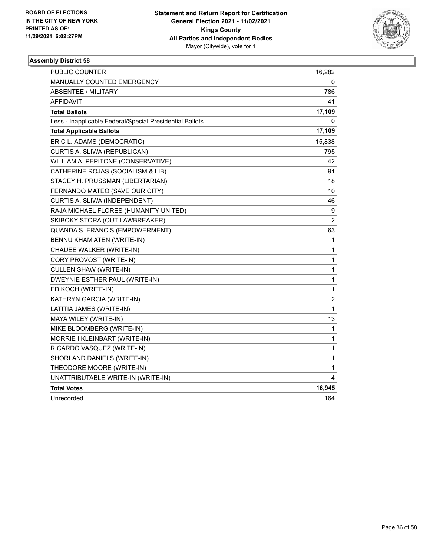

| PUBLIC COUNTER                                           | 16,282                  |
|----------------------------------------------------------|-------------------------|
| MANUALLY COUNTED EMERGENCY                               | 0                       |
| <b>ABSENTEE / MILITARY</b>                               | 786                     |
| <b>AFFIDAVIT</b>                                         | 41                      |
| <b>Total Ballots</b>                                     | 17,109                  |
| Less - Inapplicable Federal/Special Presidential Ballots | 0                       |
| <b>Total Applicable Ballots</b>                          | 17,109                  |
| ERIC L. ADAMS (DEMOCRATIC)                               | 15,838                  |
| CURTIS A. SLIWA (REPUBLICAN)                             | 795                     |
| WILLIAM A. PEPITONE (CONSERVATIVE)                       | 42                      |
| CATHERINE ROJAS (SOCIALISM & LIB)                        | 91                      |
| STACEY H. PRUSSMAN (LIBERTARIAN)                         | 18                      |
| FERNANDO MATEO (SAVE OUR CITY)                           | 10                      |
| CURTIS A. SLIWA (INDEPENDENT)                            | 46                      |
| RAJA MICHAEL FLORES (HUMANITY UNITED)                    | 9                       |
| SKIBOKY STORA (OUT LAWBREAKER)                           | $\overline{c}$          |
| QUANDA S. FRANCIS (EMPOWERMENT)                          | 63                      |
| BENNU KHAM ATEN (WRITE-IN)                               | 1                       |
| CHAUEE WALKER (WRITE-IN)                                 | 1                       |
| CORY PROVOST (WRITE-IN)                                  | 1                       |
| <b>CULLEN SHAW (WRITE-IN)</b>                            | $\mathbf{1}$            |
| DWEYNIE ESTHER PAUL (WRITE-IN)                           | 1                       |
| ED KOCH (WRITE-IN)                                       | 1                       |
| KATHRYN GARCIA (WRITE-IN)                                | $\overline{\mathbf{c}}$ |
| LATITIA JAMES (WRITE-IN)                                 | 1                       |
| MAYA WILEY (WRITE-IN)                                    | 13                      |
| MIKE BLOOMBERG (WRITE-IN)                                | 1                       |
| MORRIE I KLEINBART (WRITE-IN)                            | 1                       |
| RICARDO VASQUEZ (WRITE-IN)                               | 1                       |
| SHORLAND DANIELS (WRITE-IN)                              | 1                       |
| THEODORE MOORE (WRITE-IN)                                | 1                       |
| UNATTRIBUTABLE WRITE-IN (WRITE-IN)                       | 4                       |
| <b>Total Votes</b>                                       | 16,945                  |
| Unrecorded                                               | 164                     |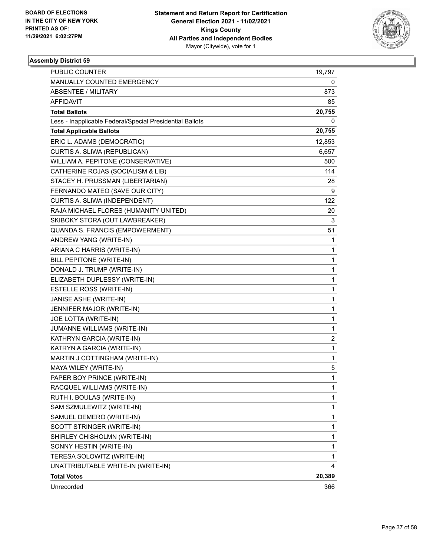

| PUBLIC COUNTER                                           | 19,797       |
|----------------------------------------------------------|--------------|
| MANUALLY COUNTED EMERGENCY                               | 0            |
| <b>ABSENTEE / MILITARY</b>                               | 873          |
| <b>AFFIDAVIT</b>                                         | 85           |
| <b>Total Ballots</b>                                     | 20,755       |
| Less - Inapplicable Federal/Special Presidential Ballots | 0            |
| <b>Total Applicable Ballots</b>                          | 20,755       |
| ERIC L. ADAMS (DEMOCRATIC)                               | 12,853       |
| CURTIS A. SLIWA (REPUBLICAN)                             | 6,657        |
| WILLIAM A. PEPITONE (CONSERVATIVE)                       | 500          |
| CATHERINE ROJAS (SOCIALISM & LIB)                        | 114          |
| STACEY H. PRUSSMAN (LIBERTARIAN)                         | 28           |
| FERNANDO MATEO (SAVE OUR CITY)                           | 9            |
| CURTIS A. SLIWA (INDEPENDENT)                            | 122          |
| RAJA MICHAEL FLORES (HUMANITY UNITED)                    | 20           |
| SKIBOKY STORA (OUT LAWBREAKER)                           | 3            |
| QUANDA S. FRANCIS (EMPOWERMENT)                          | 51           |
| ANDREW YANG (WRITE-IN)                                   | 1            |
| ARIANA C HARRIS (WRITE-IN)                               | 1            |
| BILL PEPITONE (WRITE-IN)                                 | 1            |
| DONALD J. TRUMP (WRITE-IN)                               | 1            |
| ELIZABETH DUPLESSY (WRITE-IN)                            | 1            |
| ESTELLE ROSS (WRITE-IN)                                  | 1            |
| JANISE ASHE (WRITE-IN)                                   | 1            |
| JENNIFER MAJOR (WRITE-IN)                                | 1            |
| JOE LOTTA (WRITE-IN)                                     | 1            |
| JUMANNE WILLIAMS (WRITE-IN)                              | 1            |
| KATHRYN GARCIA (WRITE-IN)                                | 2            |
| KATRYN A GARCIA (WRITE-IN)                               | 1            |
| MARTIN J COTTINGHAM (WRITE-IN)                           | 1            |
| MAYA WILEY (WRITE-IN)                                    | 5            |
| PAPER BOY PRINCE (WRITE-IN)                              | $\mathbf{1}$ |
| RACQUEL WILLIAMS (WRITE-IN)                              | 1            |
| RUTH I. BOULAS (WRITE-IN)                                | 1            |
| SAM SZMULEWITZ (WRITE-IN)                                | 1            |
| SAMUEL DEMERO (WRITE-IN)                                 | 1            |
| SCOTT STRINGER (WRITE-IN)                                | 1            |
| SHIRLEY CHISHOLMN (WRITE-IN)                             | 1            |
| SONNY HESTIN (WRITE-IN)                                  | 1            |
| TERESA SOLOWITZ (WRITE-IN)                               | 1            |
| UNATTRIBUTABLE WRITE-IN (WRITE-IN)                       | 4            |
| <b>Total Votes</b>                                       | 20,389       |
| Unrecorded                                               | 366          |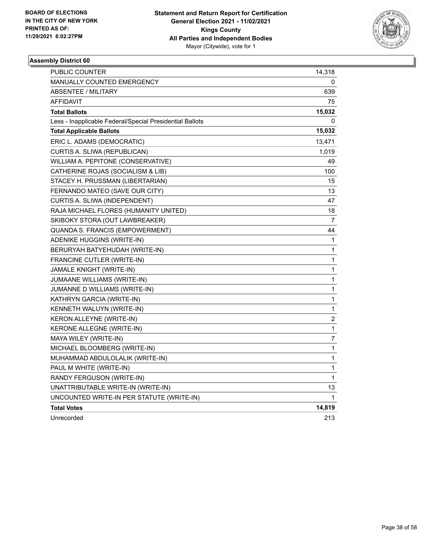

| PUBLIC COUNTER                                           | 14,318                  |
|----------------------------------------------------------|-------------------------|
| <b>MANUALLY COUNTED EMERGENCY</b>                        | 0                       |
| <b>ABSENTEE / MILITARY</b>                               | 639                     |
| AFFIDAVIT                                                | 75                      |
| <b>Total Ballots</b>                                     | 15,032                  |
| Less - Inapplicable Federal/Special Presidential Ballots | 0                       |
| <b>Total Applicable Ballots</b>                          | 15,032                  |
| ERIC L. ADAMS (DEMOCRATIC)                               | 13,471                  |
| CURTIS A. SLIWA (REPUBLICAN)                             | 1,019                   |
| WILLIAM A. PEPITONE (CONSERVATIVE)                       | 49                      |
| CATHERINE ROJAS (SOCIALISM & LIB)                        | 100                     |
| STACEY H. PRUSSMAN (LIBERTARIAN)                         | 15                      |
| FERNANDO MATEO (SAVE OUR CITY)                           | 13                      |
| CURTIS A. SLIWA (INDEPENDENT)                            | 47                      |
| RAJA MICHAEL FLORES (HUMANITY UNITED)                    | 18                      |
| SKIBOKY STORA (OUT LAWBREAKER)                           | 7                       |
| QUANDA S. FRANCIS (EMPOWERMENT)                          | 44                      |
| ADENIKE HUGGINS (WRITE-IN)                               | 1                       |
| BERURYAH BATYEHUDAH (WRITE-IN)                           | 1                       |
| FRANCINE CUTLER (WRITE-IN)                               | 1                       |
| JAMALE KNIGHT (WRITE-IN)                                 | 1                       |
| JUMAANE WILLIAMS (WRITE-IN)                              | 1                       |
| JUMANNE D WILLIAMS (WRITE-IN)                            | 1                       |
| KATHRYN GARCIA (WRITE-IN)                                | 1                       |
| KENNETH WALUYN (WRITE-IN)                                | 1                       |
| KERON ALLEYNE (WRITE-IN)                                 | $\overline{\mathbf{c}}$ |
| KERONE ALLEGNE (WRITE-IN)                                | 1                       |
| MAYA WILEY (WRITE-IN)                                    | $\overline{7}$          |
| MICHAEL BLOOMBERG (WRITE-IN)                             | 1                       |
| MUHAMMAD ABDULOLALIK (WRITE-IN)                          | 1                       |
| PAUL M WHITE (WRITE-IN)                                  | 1                       |
| RANDY FERGUSON (WRITE-IN)                                | 1                       |
| UNATTRIBUTABLE WRITE-IN (WRITE-IN)                       | 13                      |
| UNCOUNTED WRITE-IN PER STATUTE (WRITE-IN)                | 1                       |
| <b>Total Votes</b>                                       | 14,819                  |
| Unrecorded                                               | 213                     |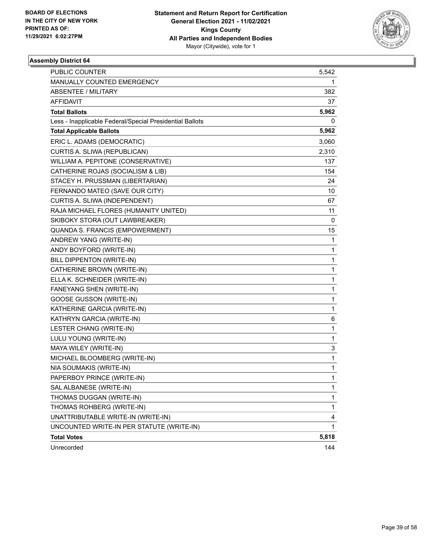

| <b>PUBLIC COUNTER</b>                                    | 5,542 |
|----------------------------------------------------------|-------|
| <b>MANUALLY COUNTED EMERGENCY</b>                        | 1     |
| <b>ABSENTEE / MILITARY</b>                               | 382   |
| AFFIDAVIT                                                | 37    |
| <b>Total Ballots</b>                                     | 5,962 |
| Less - Inapplicable Federal/Special Presidential Ballots | 0     |
| <b>Total Applicable Ballots</b>                          | 5,962 |
| ERIC L. ADAMS (DEMOCRATIC)                               | 3,060 |
| CURTIS A. SLIWA (REPUBLICAN)                             | 2,310 |
| WILLIAM A. PEPITONE (CONSERVATIVE)                       | 137   |
| CATHERINE ROJAS (SOCIALISM & LIB)                        | 154   |
| STACEY H. PRUSSMAN (LIBERTARIAN)                         | 24    |
| FERNANDO MATEO (SAVE OUR CITY)                           | 10    |
| CURTIS A. SLIWA (INDEPENDENT)                            | 67    |
| RAJA MICHAEL FLORES (HUMANITY UNITED)                    | 11    |
| SKIBOKY STORA (OUT LAWBREAKER)                           | 0     |
| QUANDA S. FRANCIS (EMPOWERMENT)                          | 15    |
| ANDREW YANG (WRITE-IN)                                   | 1     |
| ANDY BOYFORD (WRITE-IN)                                  | 1     |
| BILL DIPPENTON (WRITE-IN)                                | 1     |
| CATHERINE BROWN (WRITE-IN)                               | 1     |
| ELLA K. SCHNEIDER (WRITE-IN)                             | 1     |
| FANEYANG SHEN (WRITE-IN)                                 | 1     |
| <b>GOOSE GUSSON (WRITE-IN)</b>                           | 1     |
| KATHERINE GARCIA (WRITE-IN)                              | 1     |
| KATHRYN GARCIA (WRITE-IN)                                | 6     |
| LESTER CHANG (WRITE-IN)                                  | 1     |
| LULU YOUNG (WRITE-IN)                                    | 1     |
| MAYA WILEY (WRITE-IN)                                    | 3     |
| MICHAEL BLOOMBERG (WRITE-IN)                             | 1     |
| NIA SOUMAKIS (WRITE-IN)                                  | 1     |
| PAPERBOY PRINCE (WRITE-IN)                               | 1     |
| SAL ALBANESE (WRITE-IN)                                  | 1     |
| THOMAS DUGGAN (WRITE-IN)                                 | 1     |
| THOMAS ROHBERG (WRITE-IN)                                | 1     |
| UNATTRIBUTABLE WRITE-IN (WRITE-IN)                       | 4     |
| UNCOUNTED WRITE-IN PER STATUTE (WRITE-IN)                | 1     |
| <b>Total Votes</b>                                       | 5,818 |
| Unrecorded                                               | 144   |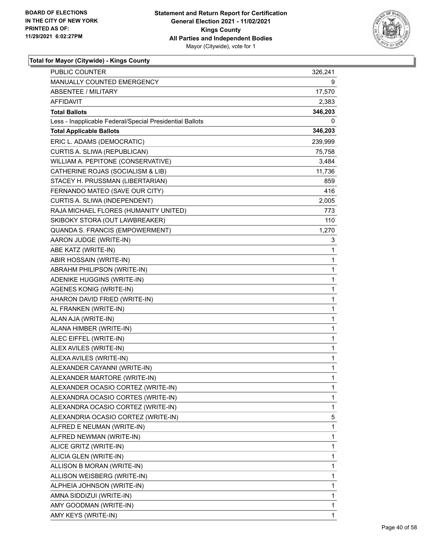

| PUBLIC COUNTER                                           | 326,241      |
|----------------------------------------------------------|--------------|
| <b>MANUALLY COUNTED EMERGENCY</b>                        | 9            |
| <b>ABSENTEE / MILITARY</b>                               | 17,570       |
| AFFIDAVIT                                                | 2,383        |
| <b>Total Ballots</b>                                     | 346,203      |
| Less - Inapplicable Federal/Special Presidential Ballots | 0            |
| <b>Total Applicable Ballots</b>                          | 346,203      |
| ERIC L. ADAMS (DEMOCRATIC)                               | 239,999      |
| CURTIS A. SLIWA (REPUBLICAN)                             | 75,758       |
| WILLIAM A. PEPITONE (CONSERVATIVE)                       | 3,484        |
| CATHERINE ROJAS (SOCIALISM & LIB)                        | 11,736       |
| STACEY H. PRUSSMAN (LIBERTARIAN)                         | 859          |
| FERNANDO MATEO (SAVE OUR CITY)                           | 416          |
| CURTIS A. SLIWA (INDEPENDENT)                            | 2,005        |
| RAJA MICHAEL FLORES (HUMANITY UNITED)                    | 773          |
| SKIBOKY STORA (OUT LAWBREAKER)                           | 110          |
| QUANDA S. FRANCIS (EMPOWERMENT)                          | 1,270        |
| AARON JUDGE (WRITE-IN)                                   | 3            |
| ABE KATZ (WRITE-IN)                                      | 1            |
| ABIR HOSSAIN (WRITE-IN)                                  | 1            |
| ABRAHM PHILIPSON (WRITE-IN)                              | 1            |
| ADENIKE HUGGINS (WRITE-IN)                               | 1            |
| AGENES KONIG (WRITE-IN)                                  | 1            |
| AHARON DAVID FRIED (WRITE-IN)                            | 1            |
| AL FRANKEN (WRITE-IN)                                    | 1            |
| ALAN AJA (WRITE-IN)                                      | 1            |
| ALANA HIMBER (WRITE-IN)                                  | 1            |
| ALEC EIFFEL (WRITE-IN)                                   | 1            |
| ALEX AVILES (WRITE-IN)                                   | 1            |
| ALEXA AVILES (WRITE-IN)                                  | 1            |
| ALEXANDER CAYANNI (WRITE-IN)                             | 1            |
| ALEXANDER MARTORE (WRITE-IN)                             | $\mathbf{1}$ |
| ALEXANDER OCASIO CORTEZ (WRITE-IN)                       | 1            |
| ALEXANDRA OCASIO CORTES (WRITE-IN)                       | 1            |
| ALEXANDRA OCASIO CORTEZ (WRITE-IN)                       | 1            |
| ALEXANDRIA OCASIO CORTEZ (WRITE-IN)                      | 5            |
| ALFRED E NEUMAN (WRITE-IN)                               | 1            |
| ALFRED NEWMAN (WRITE-IN)                                 | 1            |
| ALICE GRITZ (WRITE-IN)                                   | 1            |
| ALICIA GLEN (WRITE-IN)                                   | 1            |
| ALLISON B MORAN (WRITE-IN)                               | 1            |
| ALLISON WEISBERG (WRITE-IN)                              | 1            |
| ALPHEIA JOHNSON (WRITE-IN)                               | 1            |
| AMNA SIDDIZUI (WRITE-IN)                                 | 1            |
| AMY GOODMAN (WRITE-IN)                                   | 1            |
| AMY KEYS (WRITE-IN)                                      | 1            |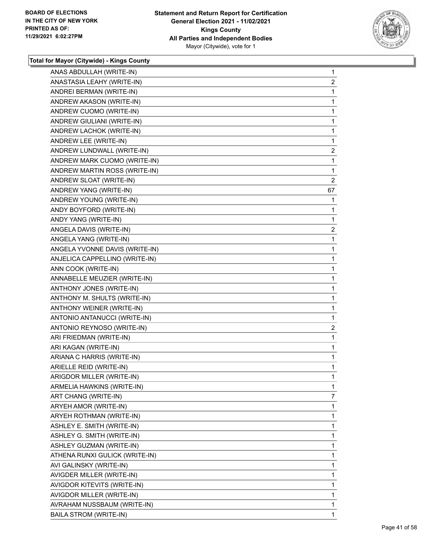

| ANAS ABDULLAH (WRITE-IN)       | $\mathbf{1}$   |
|--------------------------------|----------------|
| ANASTASIA LEAHY (WRITE-IN)     | $\overline{2}$ |
| ANDREI BERMAN (WRITE-IN)       | 1              |
| ANDREW AKASON (WRITE-IN)       | 1              |
| ANDREW CUOMO (WRITE-IN)        | 1              |
| ANDREW GIULIANI (WRITE-IN)     | 1              |
| ANDREW LACHOK (WRITE-IN)       | 1              |
| ANDREW LEE (WRITE-IN)          | 1              |
| ANDREW LUNDWALL (WRITE-IN)     | $\overline{2}$ |
| ANDREW MARK CUOMO (WRITE-IN)   | 1              |
| ANDREW MARTIN ROSS (WRITE-IN)  | 1              |
| ANDREW SLOAT (WRITE-IN)        | $\overline{2}$ |
| ANDREW YANG (WRITE-IN)         | 67             |
| ANDREW YOUNG (WRITE-IN)        | 1              |
| ANDY BOYFORD (WRITE-IN)        | 1              |
| ANDY YANG (WRITE-IN)           | 1              |
| ANGELA DAVIS (WRITE-IN)        | $\overline{2}$ |
| ANGELA YANG (WRITE-IN)         | 1              |
| ANGELA YVONNE DAVIS (WRITE-IN) | 1              |
| ANJELICA CAPPELLINO (WRITE-IN) | 1              |
| ANN COOK (WRITE-IN)            | 1              |
| ANNABELLE MEUZIER (WRITE-IN)   | 1              |
| ANTHONY JONES (WRITE-IN)       | 1              |
| ANTHONY M. SHULTS (WRITE-IN)   | 1              |
| ANTHONY WEINER (WRITE-IN)      | 1              |
| ANTONIO ANTANUCCI (WRITE-IN)   | 1              |
| ANTONIO REYNOSO (WRITE-IN)     | $\overline{c}$ |
| ARI FRIEDMAN (WRITE-IN)        | 1              |
| ARI KAGAN (WRITE-IN)           | 1              |
| ARIANA C HARRIS (WRITE-IN)     | 1              |
| ARIELLE REID (WRITE-IN)        | 1              |
| ARIGDOR MILLER (WRITE-IN)      | 1              |
| ARMELIA HAWKINS (WRITE-IN)     | 1              |
| ART CHANG (WRITE-IN)           | 7              |
| ARYEH AMOR (WRITE-IN)          | 1              |
| ARYEH ROTHMAN (WRITE-IN)       | 1              |
| ASHLEY E. SMITH (WRITE-IN)     | 1              |
| ASHLEY G. SMITH (WRITE-IN)     | 1              |
| ASHLEY GUZMAN (WRITE-IN)       | 1              |
| ATHENA RUNXI GULICK (WRITE-IN) | 1              |
| AVI GALINSKY (WRITE-IN)        | 1              |
| AVIGDER MILLER (WRITE-IN)      | 1              |
| AVIGDOR KITEVITS (WRITE-IN)    | 1              |
| AVIGDOR MILLER (WRITE-IN)      | 1              |
| AVRAHAM NUSSBAUM (WRITE-IN)    | 1              |
| <b>BAILA STROM (WRITE-IN)</b>  | 1              |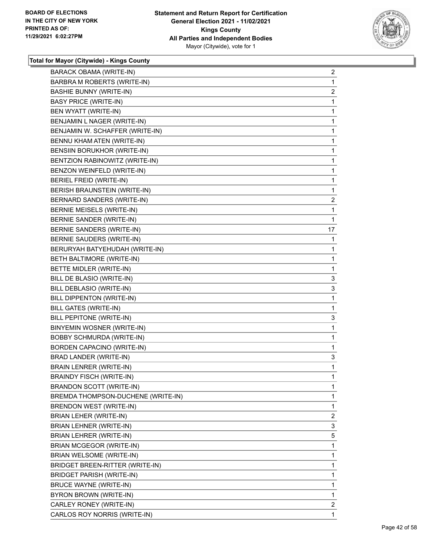

| <b>BARACK OBAMA (WRITE-IN)</b>     | $\overline{2}$          |
|------------------------------------|-------------------------|
| BARBRA M ROBERTS (WRITE-IN)        | 1                       |
| <b>BASHIE BUNNY (WRITE-IN)</b>     | $\overline{\mathbf{c}}$ |
| <b>BASY PRICE (WRITE-IN)</b>       | $\mathbf{1}$            |
| BEN WYATT (WRITE-IN)               | 1                       |
| BENJAMIN L NAGER (WRITE-IN)        | 1                       |
| BENJAMIN W. SCHAFFER (WRITE-IN)    | 1                       |
| BENNU KHAM ATEN (WRITE-IN)         | 1                       |
| BENSIIN BORUKHOR (WRITE-IN)        | 1                       |
| BENTZION RABINOWITZ (WRITE-IN)     | $\mathbf{1}$            |
| BENZON WEINFELD (WRITE-IN)         | 1                       |
| BERIEL FREID (WRITE-IN)            | 1                       |
| BERISH BRAUNSTEIN (WRITE-IN)       | 1                       |
| BERNARD SANDERS (WRITE-IN)         | 2                       |
| BERNIE MEISELS (WRITE-IN)          | $\mathbf{1}$            |
| BERNIE SANDER (WRITE-IN)           | 1                       |
| BERNIE SANDERS (WRITE-IN)          | 17                      |
| BERNIE SAUDERS (WRITE-IN)          | 1                       |
| BERURYAH BATYEHUDAH (WRITE-IN)     | 1                       |
| BETH BALTIMORE (WRITE-IN)          | 1                       |
| BETTE MIDLER (WRITE-IN)            | $\mathbf{1}$            |
| BILL DE BLASIO (WRITE-IN)          | 3                       |
| BILL DEBLASIO (WRITE-IN)           | 3                       |
| BILL DIPPENTON (WRITE-IN)          | 1                       |
| BILL GATES (WRITE-IN)              | 1                       |
| BILL PEPITONE (WRITE-IN)           | 3                       |
| BINYEMIN WOSNER (WRITE-IN)         | $\mathbf{1}$            |
| <b>BOBBY SCHMURDA (WRITE-IN)</b>   | 1                       |
| BORDEN CAPACINO (WRITE-IN)         | 1                       |
| BRAD LANDER (WRITE-IN)             | 3                       |
| <b>BRAIN LENRER (WRITE-IN)</b>     | 1                       |
| <b>BRAINDY FISCH (WRITE-IN)</b>    | 1                       |
| <b>BRANDON SCOTT (WRITE-IN)</b>    | 1                       |
| BREMDA THOMPSON-DUCHENE (WRITE-IN) | 1                       |
| BRENDON WEST (WRITE-IN)            | 1                       |
| BRIAN LEHER (WRITE-IN)             | $\overline{\mathbf{c}}$ |
| BRIAN LEHNER (WRITE-IN)            | 3                       |
| BRIAN LEHRER (WRITE-IN)            | 5                       |
| <b>BRIAN MCGEGOR (WRITE-IN)</b>    | 1                       |
| <b>BRIAN WELSOME (WRITE-IN)</b>    | 1                       |
| BRIDGET BREEN-RITTER (WRITE-IN)    | 1                       |
| BRIDGET PARISH (WRITE-IN)          | $\mathbf{1}$            |
| BRUCE WAYNE (WRITE-IN)             | 1                       |
| BYRON BROWN (WRITE-IN)             | 1                       |
| CARLEY RONEY (WRITE-IN)            | $\overline{2}$          |
| CARLOS ROY NORRIS (WRITE-IN)       | 1                       |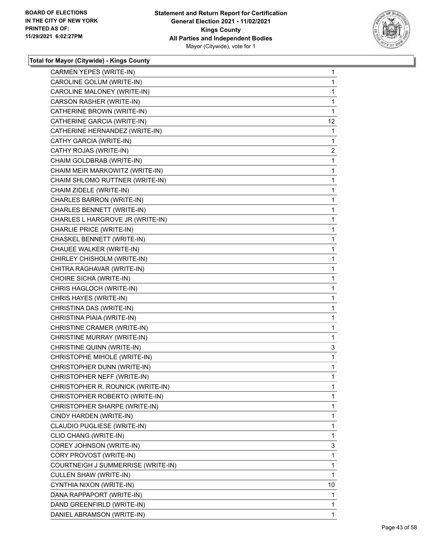

| CAROLINE GOLUM (WRITE-IN)<br>CAROLINE MALONEY (WRITE-IN)<br>CARSON RASHER (WRITE-IN)<br>CATHERINE BROWN (WRITE-IN) | 1<br>1<br>1<br>1<br>12 <sup>°</sup><br>1<br>1<br>$\overline{c}$ |
|--------------------------------------------------------------------------------------------------------------------|-----------------------------------------------------------------|
|                                                                                                                    |                                                                 |
|                                                                                                                    |                                                                 |
|                                                                                                                    |                                                                 |
|                                                                                                                    |                                                                 |
| CATHERINE GARCIA (WRITE-IN)                                                                                        |                                                                 |
| CATHERINE HERNANDEZ (WRITE-IN)                                                                                     |                                                                 |
| CATHY GARCIA (WRITE-IN)                                                                                            |                                                                 |
| CATHY ROJAS (WRITE-IN)                                                                                             |                                                                 |
| CHAIM GOLDBRAB (WRITE-IN)                                                                                          | 1                                                               |
| CHAIM MEIR MARKOWITZ (WRITE-IN)                                                                                    | 1                                                               |
| CHAIM SHLOMO RUTTNER (WRITE-IN)                                                                                    | 1                                                               |
| CHAIM ZIDELE (WRITE-IN)                                                                                            | 1                                                               |
| CHARLES BARRON (WRITE-IN)                                                                                          | 1                                                               |
| CHARLES BENNETT (WRITE-IN)                                                                                         | 1                                                               |
| CHARLES L HARGROVE JR (WRITE-IN)                                                                                   | 1                                                               |
| CHARLIE PRICE (WRITE-IN)                                                                                           | 1                                                               |
| CHASKEL BENNETT (WRITE-IN)                                                                                         | 1                                                               |
| CHAUEE WALKER (WRITE-IN)                                                                                           | 1                                                               |
| CHIRLEY CHISHOLM (WRITE-IN)                                                                                        | 1                                                               |
| CHITRA RAGHAVAR (WRITE-IN)                                                                                         | 1                                                               |
| CHOIRE SICHA (WRITE-IN)                                                                                            | 1                                                               |
| CHRIS HAGLOCH (WRITE-IN)                                                                                           | 1                                                               |
| CHRIS HAYES (WRITE-IN)                                                                                             | 1                                                               |
| CHRISTINA DAS (WRITE-IN)                                                                                           | 1                                                               |
| CHRISTINA PIAIA (WRITE-IN)                                                                                         | 1                                                               |
| CHRISTINE CRAMER (WRITE-IN)                                                                                        | 1                                                               |
| CHRISTINE MURRAY (WRITE-IN)                                                                                        | 1                                                               |
| CHRISTINE QUINN (WRITE-IN)                                                                                         | 3                                                               |
| CHRISTOPHE MIHOLE (WRITE-IN)                                                                                       | 1                                                               |
| CHRISTOPHER DUNN (WRITE-IN)                                                                                        | 1                                                               |
| CHRISTOPHER NEFF (WRITE-IN)                                                                                        | 1                                                               |
| CHRISTOPHER R. ROUNICK (WRITE-IN)                                                                                  | 1                                                               |
| CHRISTOPHER ROBERTO (WRITE-IN)                                                                                     | 1                                                               |
| CHRISTOPHER SHARPE (WRITE-IN)                                                                                      | 1                                                               |
| CINDY HARDEN (WRITE-IN)                                                                                            | 1                                                               |
| CLAUDIO PUGLIESE (WRITE-IN)                                                                                        | 1                                                               |
| CLIO CHANG (WRITE-IN)                                                                                              | 1                                                               |
| COREY JOHNSON (WRITE-IN)                                                                                           | 3                                                               |
| CORY PROVOST (WRITE-IN)                                                                                            | 1                                                               |
| COURTNEIGH J SUMMERRISE (WRITE-IN)                                                                                 | 1                                                               |
| CULLEN SHAW (WRITE-IN)                                                                                             | 1                                                               |
| CYNTHIA NIXON (WRITE-IN)                                                                                           | 10                                                              |
| DANA RAPPAPORT (WRITE-IN)                                                                                          | 1                                                               |
| DAND GREENFIRLD (WRITE-IN)                                                                                         | 1                                                               |
| DANIEL ABRAMSON (WRITE-IN)                                                                                         | 1                                                               |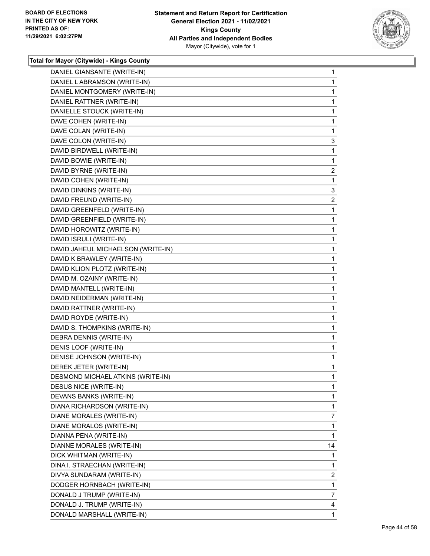

| DANIEL GIANSANTE (WRITE-IN)        | $\mathbf 1$             |
|------------------------------------|-------------------------|
| DANIEL LABRAMSON (WRITE-IN)        | 1                       |
| DANIEL MONTGOMERY (WRITE-IN)       | $\mathbf 1$             |
| DANIEL RATTNER (WRITE-IN)          | 1                       |
| DANIELLE STOUCK (WRITE-IN)         | 1                       |
| DAVE COHEN (WRITE-IN)              | 1                       |
| DAVE COLAN (WRITE-IN)              | 1                       |
| DAVE COLON (WRITE-IN)              | 3                       |
| DAVID BIRDWELL (WRITE-IN)          | $\mathbf{1}$            |
| DAVID BOWIE (WRITE-IN)             | 1                       |
| DAVID BYRNE (WRITE-IN)             | 2                       |
| DAVID COHEN (WRITE-IN)             | 1                       |
| DAVID DINKINS (WRITE-IN)           | 3                       |
| DAVID FREUND (WRITE-IN)            | 2                       |
| DAVID GREENFELD (WRITE-IN)         | $\mathbf{1}$            |
| DAVID GREENFIELD (WRITE-IN)        | 1                       |
| DAVID HOROWITZ (WRITE-IN)          | 1                       |
| DAVID ISRULI (WRITE-IN)            | $\mathbf{1}$            |
| DAVID JAHEUL MICHAELSON (WRITE-IN) | 1                       |
| DAVID K BRAWLEY (WRITE-IN)         | 1                       |
| DAVID KLION PLOTZ (WRITE-IN)       | $\mathbf 1$             |
| DAVID M. OZAINY (WRITE-IN)         | 1                       |
| DAVID MANTELL (WRITE-IN)           | 1                       |
| DAVID NEIDERMAN (WRITE-IN)         | $\mathbf{1}$            |
| DAVID RATTNER (WRITE-IN)           | 1                       |
| DAVID ROYDE (WRITE-IN)             | 1                       |
| DAVID S. THOMPKINS (WRITE-IN)      | $\mathbf 1$             |
| DEBRA DENNIS (WRITE-IN)            | 1                       |
| DENIS LOOF (WRITE-IN)              | 1                       |
| DENISE JOHNSON (WRITE-IN)          | $\mathbf{1}$            |
| DEREK JETER (WRITE-IN)             | 1                       |
| DESMOND MICHAEL ATKINS (WRITE-IN)  | 1                       |
| <b>DESUS NICE (WRITE-IN)</b>       | 1                       |
| DEVANS BANKS (WRITE-IN)            | 1                       |
| DIANA RICHARDSON (WRITE-IN)        | 1                       |
| DIANE MORALES (WRITE-IN)           | 7                       |
| DIANE MORALOS (WRITE-IN)           | 1                       |
| DIANNA PENA (WRITE-IN)             | 1                       |
| DIANNE MORALES (WRITE-IN)          | 14                      |
| DICK WHITMAN (WRITE-IN)            | 1                       |
| DINA I. STRAECHAN (WRITE-IN)       | 1                       |
| DIVYA SUNDARAM (WRITE-IN)          | $\overline{\mathbf{c}}$ |
| DODGER HORNBACH (WRITE-IN)         | 1                       |
| DONALD J TRUMP (WRITE-IN)          | 7                       |
| DONALD J. TRUMP (WRITE-IN)         | 4                       |
| DONALD MARSHALL (WRITE-IN)         | 1                       |
|                                    |                         |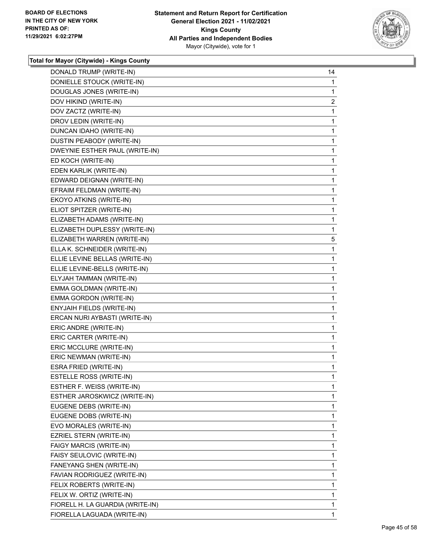

| DONALD TRUMP (WRITE-IN)          | 14             |
|----------------------------------|----------------|
| DONIELLE STOUCK (WRITE-IN)       | 1              |
| DOUGLAS JONES (WRITE-IN)         | 1              |
| DOV HIKIND (WRITE-IN)            | $\overline{2}$ |
| DOV ZACTZ (WRITE-IN)             | 1              |
| DROV LEDIN (WRITE-IN)            | 1              |
| DUNCAN IDAHO (WRITE-IN)          | 1              |
| DUSTIN PEABODY (WRITE-IN)        | 1              |
| DWEYNIE ESTHER PAUL (WRITE-IN)   | 1              |
| ED KOCH (WRITE-IN)               | 1              |
| EDEN KARLIK (WRITE-IN)           | 1              |
| EDWARD DEIGNAN (WRITE-IN)        | 1              |
| EFRAIM FELDMAN (WRITE-IN)        | 1              |
| EKOYO ATKINS (WRITE-IN)          | 1              |
| ELIOT SPITZER (WRITE-IN)         | 1              |
| ELIZABETH ADAMS (WRITE-IN)       | 1              |
| ELIZABETH DUPLESSY (WRITE-IN)    | 1              |
| ELIZABETH WARREN (WRITE-IN)      | 5              |
| ELLA K. SCHNEIDER (WRITE-IN)     | 1              |
| ELLIE LEVINE BELLAS (WRITE-IN)   | 1              |
| ELLIE LEVINE-BELLS (WRITE-IN)    | 1              |
| ELYJAH TAMMAN (WRITE-IN)         | 1              |
| EMMA GOLDMAN (WRITE-IN)          | 1              |
| EMMA GORDON (WRITE-IN)           | 1              |
| ENYJAIH FIELDS (WRITE-IN)        | 1              |
| ERCAN NURI AYBASTI (WRITE-IN)    | 1              |
| ERIC ANDRE (WRITE-IN)            | 1              |
| ERIC CARTER (WRITE-IN)           | 1              |
| ERIC MCCLURE (WRITE-IN)          | 1              |
| ERIC NEWMAN (WRITE-IN)           | 1              |
| ESRA FRIED (WRITE-IN)            | 1              |
| ESTELLE ROSS (WRITE-IN)          | 1              |
| ESTHER F. WEISS (WRITE-IN)       | 1              |
| ESTHER JAROSKWICZ (WRITE-IN)     | 1              |
| EUGENE DEBS (WRITE-IN)           | 1              |
| EUGENE DOBS (WRITE-IN)           | 1              |
| EVO MORALES (WRITE-IN)           | 1              |
| EZRIEL STERN (WRITE-IN)          | 1              |
| FAIGY MARCIS (WRITE-IN)          | 1              |
| FAISY SEULOVIC (WRITE-IN)        | 1              |
| FANEYANG SHEN (WRITE-IN)         | 1              |
| FAVIAN RODRIGUEZ (WRITE-IN)      | 1              |
| FELIX ROBERTS (WRITE-IN)         | 1              |
| FELIX W. ORTIZ (WRITE-IN)        | 1              |
| FIORELL H. LA GUARDIA (WRITE-IN) | 1              |
| FIORELLA LAGUADA (WRITE-IN)      | $\mathbf{1}$   |
|                                  |                |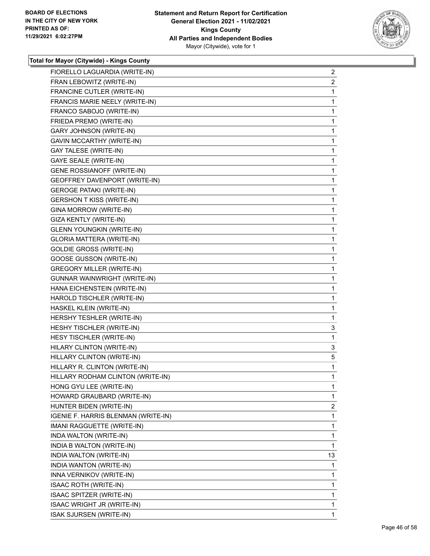

| FIORELLO LAGUARDIA (WRITE-IN)       | $\overline{c}$ |
|-------------------------------------|----------------|
| FRAN LEBOWITZ (WRITE-IN)            | $\overline{2}$ |
| FRANCINE CUTLER (WRITE-IN)          | 1              |
| FRANCIS MARIE NEELY (WRITE-IN)      | 1              |
| FRANCO SABOJO (WRITE-IN)            | 1              |
| FRIEDA PREMO (WRITE-IN)             | 1              |
| GARY JOHNSON (WRITE-IN)             | 1              |
| GAVIN MCCARTHY (WRITE-IN)           | 1              |
| <b>GAY TALESE (WRITE-IN)</b>        | 1              |
| <b>GAYE SEALE (WRITE-IN)</b>        | 1              |
| GENE ROSSIANOFF (WRITE-IN)          | $\mathbf{1}$   |
| GEOFFREY DAVENPORT (WRITE-IN)       | 1              |
| <b>GEROGE PATAKI (WRITE-IN)</b>     | 1              |
| <b>GERSHON T KISS (WRITE-IN)</b>    | 1              |
| GINA MORROW (WRITE-IN)              | 1              |
| GIZA KENTLY (WRITE-IN)              | 1              |
| <b>GLENN YOUNGKIN (WRITE-IN)</b>    | $\mathbf{1}$   |
| GLORIA MATTERA (WRITE-IN)           | 1              |
| <b>GOLDIE GROSS (WRITE-IN)</b>      | 1              |
| <b>GOOSE GUSSON (WRITE-IN)</b>      | 1              |
| <b>GREGORY MILLER (WRITE-IN)</b>    | 1              |
| GUNNAR WAINWRIGHT (WRITE-IN)        | 1              |
| HANA EICHENSTEIN (WRITE-IN)         | $\mathbf{1}$   |
| HAROLD TISCHLER (WRITE-IN)          | 1              |
| HASKEL KLEIN (WRITE-IN)             | 1              |
| HERSHY TESHLER (WRITE-IN)           | 1              |
| HESHY TISCHLER (WRITE-IN)           | 3              |
| HESY TISCHLER (WRITE-IN)            | 1              |
| HILARY CLINTON (WRITE-IN)           | 3              |
| HILLARY CLINTON (WRITE-IN)          | 5              |
| HILLARY R. CLINTON (WRITE-IN)       | 1              |
| HILLARY RODHAM CLINTON (WRITE-IN)   | 1              |
| HONG GYU LEE (WRITE-IN)             | 1              |
| HOWARD GRAUBARD (WRITE-IN)          | 1              |
| HUNTER BIDEN (WRITE-IN)             | $\overline{2}$ |
| IGENIE F. HARRIS BLENMAN (WRITE-IN) | 1              |
| IMANI RAGGUETTE (WRITE-IN)          | 1              |
| INDA WALTON (WRITE-IN)              | 1              |
| INDIA B WALTON (WRITE-IN)           | 1              |
| INDIA WALTON (WRITE-IN)             | 13             |
| INDIA WANTON (WRITE-IN)             | 1              |
| INNA VERNIKOV (WRITE-IN)            | 1              |
| <b>ISAAC ROTH (WRITE-IN)</b>        | 1              |
| ISAAC SPITZER (WRITE-IN)            | 1              |
| ISAAC WRIGHT JR (WRITE-IN)          | 1              |
| <b>ISAK SJURSEN (WRITE-IN)</b>      | 1              |
|                                     |                |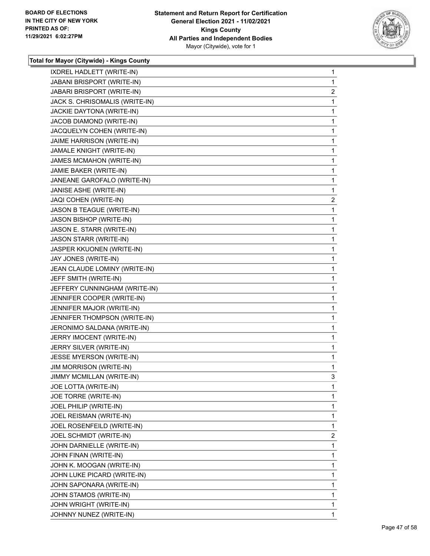

| IXDREL HADLETT (WRITE-IN)      | 1              |
|--------------------------------|----------------|
| JABANI BRISPORT (WRITE-IN)     | 1              |
| JABARI BRISPORT (WRITE-IN)     | $\overline{c}$ |
| JACK S. CHRISOMALIS (WRITE-IN) | 1              |
| JACKIE DAYTONA (WRITE-IN)      | 1              |
| JACOB DIAMOND (WRITE-IN)       | 1              |
| JACQUELYN COHEN (WRITE-IN)     | 1              |
| JAIME HARRISON (WRITE-IN)      | 1              |
| JAMALE KNIGHT (WRITE-IN)       | 1              |
| JAMES MCMAHON (WRITE-IN)       | 1              |
| JAMIE BAKER (WRITE-IN)         | 1              |
| JANEANE GAROFALO (WRITE-IN)    | 1              |
| JANISE ASHE (WRITE-IN)         | 1              |
| JAQI COHEN (WRITE-IN)          | $\overline{2}$ |
| JASON B TEAGUE (WRITE-IN)      | 1              |
| <b>JASON BISHOP (WRITE-IN)</b> | 1              |
| JASON E. STARR (WRITE-IN)      | 1              |
| JASON STARR (WRITE-IN)         | 1              |
| JASPER KKUONEN (WRITE-IN)      | 1              |
| JAY JONES (WRITE-IN)           | 1              |
| JEAN CLAUDE LOMINY (WRITE-IN)  | 1              |
| JEFF SMITH (WRITE-IN)          | 1              |
| JEFFERY CUNNINGHAM (WRITE-IN)  | 1              |
| JENNIFER COOPER (WRITE-IN)     | 1              |
| JENNIFER MAJOR (WRITE-IN)      | 1              |
| JENNIFER THOMPSON (WRITE-IN)   | 1              |
| JERONIMO SALDANA (WRITE-IN)    | 1              |
| JERRY IMOCENT (WRITE-IN)       | 1              |
| JERRY SILVER (WRITE-IN)        | 1              |
| JESSE MYERSON (WRITE-IN)       | 1              |
| <b>JIM MORRISON (WRITE-IN)</b> | 1              |
| JIMMY MCMILLAN (WRITE-IN)      | 3              |
| JOE LOTTA (WRITE-IN)           | 1              |
| JOE TORRE (WRITE-IN)           | 1              |
| JOEL PHILIP (WRITE-IN)         | 1              |
| JOEL REISMAN (WRITE-IN)        | 1              |
| JOEL ROSENFEILD (WRITE-IN)     | 1              |
| JOEL SCHMIDT (WRITE-IN)        | $\overline{2}$ |
| JOHN DARNIELLE (WRITE-IN)      | 1              |
| JOHN FINAN (WRITE-IN)          | 1              |
| JOHN K. MOOGAN (WRITE-IN)      | 1              |
| JOHN LUKE PICARD (WRITE-IN)    | 1              |
| JOHN SAPONARA (WRITE-IN)       | 1              |
| JOHN STAMOS (WRITE-IN)         | 1              |
| JOHN WRIGHT (WRITE-IN)         | 1              |
| JOHNNY NUNEZ (WRITE-IN)        | 1.             |
|                                |                |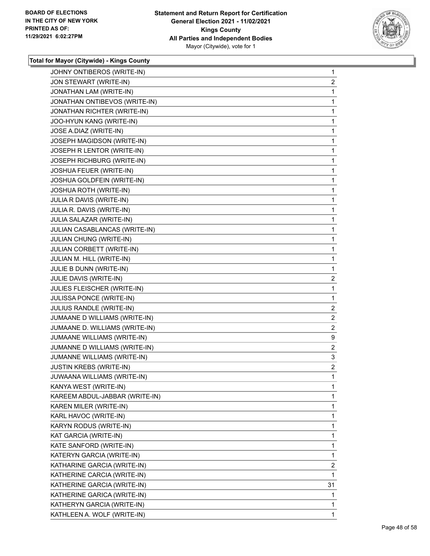

| JOHNY ONTIBEROS (WRITE-IN)     | 1                       |
|--------------------------------|-------------------------|
| JON STEWART (WRITE-IN)         | $\overline{2}$          |
| JONATHAN LAM (WRITE-IN)        | 1                       |
| JONATHAN ONTIBEVOS (WRITE-IN)  | 1                       |
| JONATHAN RICHTER (WRITE-IN)    | 1                       |
| JOO-HYUN KANG (WRITE-IN)       | 1                       |
| JOSE A.DIAZ (WRITE-IN)         | 1                       |
| JOSEPH MAGIDSON (WRITE-IN)     | 1                       |
| JOSEPH R LENTOR (WRITE-IN)     | 1                       |
| JOSEPH RICHBURG (WRITE-IN)     | 1                       |
| JOSHUA FEUER (WRITE-IN)        | 1                       |
| JOSHUA GOLDFEIN (WRITE-IN)     | 1                       |
| JOSHUA ROTH (WRITE-IN)         | 1                       |
| JULIA R DAVIS (WRITE-IN)       | 1                       |
| JULIA R. DAVIS (WRITE-IN)      | 1                       |
| JULIA SALAZAR (WRITE-IN)       | 1                       |
| JULIAN CASABLANCAS (WRITE-IN)  | 1                       |
| JULIAN CHUNG (WRITE-IN)        | 1                       |
| JULIAN CORBETT (WRITE-IN)      | 1                       |
| JULIAN M. HILL (WRITE-IN)      | 1                       |
| JULIE B DUNN (WRITE-IN)        | 1                       |
| JULIE DAVIS (WRITE-IN)         | $\overline{\mathbf{c}}$ |
| JULIES FLEISCHER (WRITE-IN)    | 1                       |
| JULISSA PONCE (WRITE-IN)       | 1                       |
| JULIUS RANDLE (WRITE-IN)       | $\overline{\mathbf{c}}$ |
| JUMAANE D WILLIAMS (WRITE-IN)  | $\overline{2}$          |
| JUMAANE D. WILLIAMS (WRITE-IN) | $\overline{2}$          |
| JUMAANE WILLIAMS (WRITE-IN)    | 9                       |
| JUMANNE D WILLIAMS (WRITE-IN)  | $\overline{c}$          |
| JUMANNE WILLIAMS (WRITE-IN)    | 3                       |
| <b>JUSTIN KREBS (WRITE-IN)</b> | $\overline{\mathbf{c}}$ |
| JUWAANA WILLIAMS (WRITE-IN)    | 1                       |
| KANYA WEST (WRITE-IN)          | 1                       |
| KAREEM ABDUL-JABBAR (WRITE-IN) | 1                       |
| KAREN MILER (WRITE-IN)         | 1                       |
| KARL HAVOC (WRITE-IN)          | 1                       |
| KARYN RODUS (WRITE-IN)         | 1                       |
| KAT GARCIA (WRITE-IN)          | 1                       |
| KATE SANFORD (WRITE-IN)        | 1                       |
| KATERYN GARCIA (WRITE-IN)      | 1                       |
| KATHARINE GARCIA (WRITE-IN)    | $\overline{2}$          |
| KATHERINE CARCIA (WRITE-IN)    | 1                       |
| KATHERINE GARCIA (WRITE-IN)    | 31                      |
| KATHERINE GARICA (WRITE-IN)    | 1                       |
| KATHERYN GARCIA (WRITE-IN)     | 1                       |
| KATHLEEN A. WOLF (WRITE-IN)    | 1                       |
|                                |                         |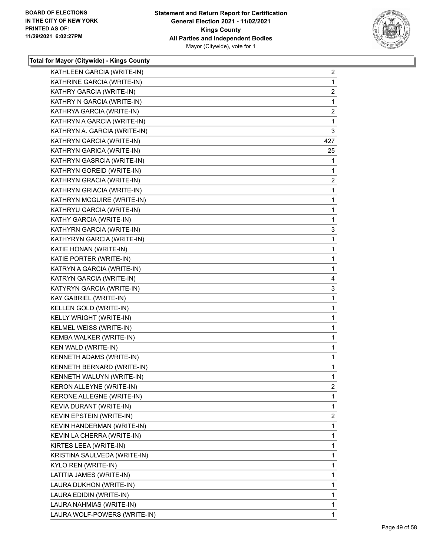

| KATHLEEN GARCIA (WRITE-IN)      | $\mathbf{2}$   |
|---------------------------------|----------------|
| KATHRINE GARCIA (WRITE-IN)      | $\mathbf 1$    |
| KATHRY GARCIA (WRITE-IN)        | $\overline{2}$ |
| KATHRY N GARCIA (WRITE-IN)      | 1              |
| KATHRYA GARCIA (WRITE-IN)       | 2              |
| KATHRYN A GARCIA (WRITE-IN)     | 1              |
| KATHRYN A. GARCIA (WRITE-IN)    | 3              |
| KATHRYN GARCIA (WRITE-IN)       | 427            |
| KATHRYN GARICA (WRITE-IN)       | 25             |
| KATHRYN GASRCIA (WRITE-IN)      | 1              |
| KATHRYN GOREID (WRITE-IN)       | 1              |
| KATHRYN GRACIA (WRITE-IN)       | $\overline{2}$ |
| KATHRYN GRIACIA (WRITE-IN)      | 1              |
| KATHRYN MCGUIRE (WRITE-IN)      | 1              |
| KATHRYU GARCIA (WRITE-IN)       | 1              |
| KATHY GARCIA (WRITE-IN)         | 1              |
| KATHYRN GARCIA (WRITE-IN)       | 3              |
| KATHYRYN GARCIA (WRITE-IN)      | 1              |
| KATIE HONAN (WRITE-IN)          | 1              |
| KATIE PORTER (WRITE-IN)         | 1              |
| KATRYN A GARCIA (WRITE-IN)      | 1              |
| KATRYN GARCIA (WRITE-IN)        | 4              |
| KATYRYN GARCIA (WRITE-IN)       | 3              |
| KAY GABRIEL (WRITE-IN)          | 1              |
| KELLEN GOLD (WRITE-IN)          | 1              |
| KELLY WRIGHT (WRITE-IN)         | 1              |
| KELMEL WEISS (WRITE-IN)         | 1              |
| KEMBA WALKER (WRITE-IN)         | 1              |
| KEN WALD (WRITE-IN)             | 1              |
| KENNETH ADAMS (WRITE-IN)        | 1              |
| KENNETH BERNARD (WRITE-IN)      | $\mathbf{1}$   |
| KENNETH WALUYN (WRITE-IN)       | $\mathbf{1}$   |
| <b>KERON ALLEYNE (WRITE-IN)</b> | 2              |
| KERONE ALLEGNE (WRITE-IN)       | 1              |
| KEVIA DURANT (WRITE-IN)         | 1              |
| KEVIN EPSTEIN (WRITE-IN)        | 2              |
| KEVIN HANDERMAN (WRITE-IN)      | 1              |
| KEVIN LA CHERRA (WRITE-IN)      | 1              |
| KIRTES LEEA (WRITE-IN)          | 1              |
| KRISTINA SAULVEDA (WRITE-IN)    | 1              |
| KYLO REN (WRITE-IN)             | 1              |
| LATITIA JAMES (WRITE-IN)        | 1              |
| LAURA DUKHON (WRITE-IN)         | 1              |
| LAURA EDIDIN (WRITE-IN)         | 1              |
| LAURA NAHMIAS (WRITE-IN)        | 1              |
| LAURA WOLF-POWERS (WRITE-IN)    | 1              |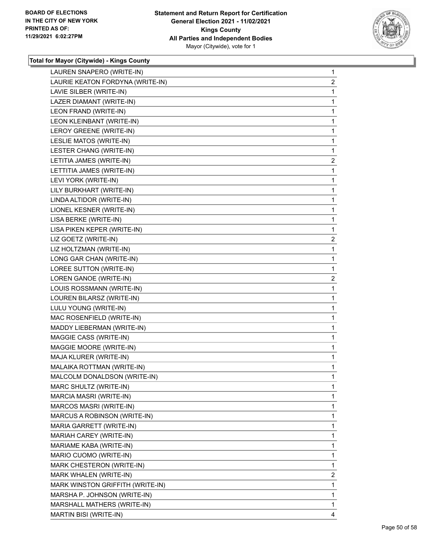

| LAUREN SNAPERO (WRITE-IN)        | $\mathbf{1}$   |
|----------------------------------|----------------|
| LAURIE KEATON FORDYNA (WRITE-IN) | $\overline{a}$ |
| LAVIE SILBER (WRITE-IN)          | 1              |
| LAZER DIAMANT (WRITE-IN)         | 1              |
| LEON FRAND (WRITE-IN)            | 1              |
| LEON KLEINBANT (WRITE-IN)        | $\mathbf{1}$   |
| LEROY GREENE (WRITE-IN)          | $\mathbf{1}$   |
| LESLIE MATOS (WRITE-IN)          | 1              |
| LESTER CHANG (WRITE-IN)          | $\mathbf{1}$   |
| LETITIA JAMES (WRITE-IN)         | $\overline{2}$ |
| LETTITIA JAMES (WRITE-IN)        | 1              |
| LEVI YORK (WRITE-IN)             | 1              |
| LILY BURKHART (WRITE-IN)         | $\mathbf{1}$   |
| LINDA ALTIDOR (WRITE-IN)         | 1              |
| LIONEL KESNER (WRITE-IN)         | 1              |
| LISA BERKE (WRITE-IN)            | 1              |
| LISA PIKEN KEPER (WRITE-IN)      | 1              |
| LIZ GOETZ (WRITE-IN)             | $\overline{2}$ |
| LIZ HOLTZMAN (WRITE-IN)          | $\mathbf{1}$   |
| LONG GAR CHAN (WRITE-IN)         | 1              |
| LOREE SUTTON (WRITE-IN)          | 1              |
| LOREN GANOE (WRITE-IN)           | $\overline{2}$ |
| LOUIS ROSSMANN (WRITE-IN)        | 1              |
| LOUREN BILARSZ (WRITE-IN)        | 1              |
| LULU YOUNG (WRITE-IN)            | $\mathbf{1}$   |
| MAC ROSENFIELD (WRITE-IN)        | 1              |
| MADDY LIEBERMAN (WRITE-IN)       | 1              |
| MAGGIE CASS (WRITE-IN)           | 1              |
| MAGGIE MOORE (WRITE-IN)          | 1              |
| MAJA KLURER (WRITE-IN)           | 1              |
| MALAIKA ROTTMAN (WRITE-IN)       | 1              |
| MALCOLM DONALDSON (WRITE-IN)     | 1              |
| MARC SHULTZ (WRITE-IN)           | 1              |
| MARCIA MASRI (WRITE-IN)          | 1              |
| MARCOS MASRI (WRITE-IN)          | 1              |
| MARCUS A ROBINSON (WRITE-IN)     | 1              |
| MARIA GARRETT (WRITE-IN)         | 1              |
| MARIAH CAREY (WRITE-IN)          | 1              |
| MARIAME KABA (WRITE-IN)          | 1              |
| MARIO CUOMO (WRITE-IN)           | 1              |
| MARK CHESTERON (WRITE-IN)        | 1              |
| MARK WHALEN (WRITE-IN)           | $\overline{2}$ |
| MARK WINSTON GRIFFITH (WRITE-IN) | 1              |
| MARSHA P. JOHNSON (WRITE-IN)     | 1              |
| MARSHALL MATHERS (WRITE-IN)      | 1              |
| MARTIN BISI (WRITE-IN)           | 4              |
|                                  |                |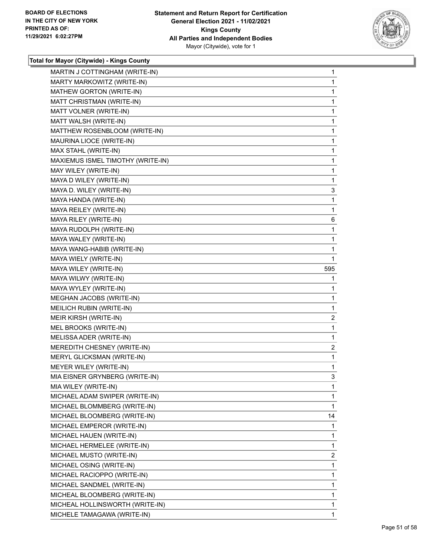

| MARTIN J COTTINGHAM (WRITE-IN)    | $\mathbf{1}$   |
|-----------------------------------|----------------|
| MARTY MARKOWITZ (WRITE-IN)        | $\mathbf{1}$   |
| MATHEW GORTON (WRITE-IN)          | 1              |
| MATT CHRISTMAN (WRITE-IN)         | $\mathbf{1}$   |
| MATT VOLNER (WRITE-IN)            | 1              |
| MATT WALSH (WRITE-IN)             | 1              |
| MATTHEW ROSENBLOOM (WRITE-IN)     | 1              |
| MAURINA LIOCE (WRITE-IN)          | $\mathbf{1}$   |
| MAX STAHL (WRITE-IN)              | 1              |
| MAXIEMUS ISMEL TIMOTHY (WRITE-IN) | $\mathbf{1}$   |
| MAY WILEY (WRITE-IN)              | 1              |
| MAYA D WILEY (WRITE-IN)           | 1              |
| MAYA D. WILEY (WRITE-IN)          | 3              |
| MAYA HANDA (WRITE-IN)             | $\mathbf{1}$   |
| MAYA REILEY (WRITE-IN)            | $\mathbf{1}$   |
| MAYA RILEY (WRITE-IN)             | 6              |
| MAYA RUDOLPH (WRITE-IN)           | 1              |
| MAYA WALEY (WRITE-IN)             | 1              |
| MAYA WANG-HABIB (WRITE-IN)        | 1              |
| MAYA WIELY (WRITE-IN)             | 1              |
| MAYA WILEY (WRITE-IN)             | 595            |
| MAYA WILWY (WRITE-IN)             | 1              |
| MAYA WYLEY (WRITE-IN)             | 1              |
| MEGHAN JACOBS (WRITE-IN)          | $\mathbf{1}$   |
| MEILICH RUBIN (WRITE-IN)          | 1              |
| MEIR KIRSH (WRITE-IN)             | $\overline{c}$ |
| MEL BROOKS (WRITE-IN)             | 1              |
| MELISSA ADER (WRITE-IN)           | 1              |
| MEREDITH CHESNEY (WRITE-IN)       | 2              |
| MERYL GLICKSMAN (WRITE-IN)        | 1              |
| MEYER WILEY (WRITE-IN)            | 1              |
| MIA EISNER GRYNBERG (WRITE-IN)    | 3              |
| MIA WILEY (WRITE-IN)              | 1              |
| MICHAEL ADAM SWIPER (WRITE-IN)    | $\mathbf 1$    |
| MICHAEL BLOMMBERG (WRITE-IN)      | 1              |
| MICHAEL BLOOMBERG (WRITE-IN)      | 14             |
| MICHAEL EMPEROR (WRITE-IN)        | 1              |
| MICHAEL HAUEN (WRITE-IN)          | 1              |
| MICHAEL HERMELEE (WRITE-IN)       | 1              |
| MICHAEL MUSTO (WRITE-IN)          | 2              |
| MICHAEL OSING (WRITE-IN)          | 1              |
| MICHAEL RACIOPPO (WRITE-IN)       | $\mathbf{1}$   |
| MICHAEL SANDMEL (WRITE-IN)        | 1              |
| MICHEAL BLOOMBERG (WRITE-IN)      | 1              |
| MICHEAL HOLLINSWORTH (WRITE-IN)   | $\mathbf{1}$   |
| MICHELE TAMAGAWA (WRITE-IN)       | 1              |
|                                   |                |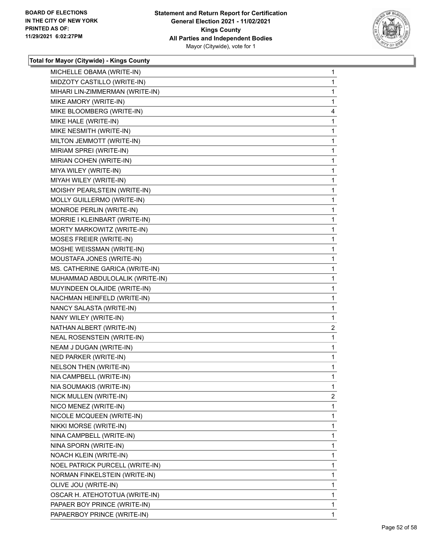

| MICHELLE OBAMA (WRITE-IN)       | $\mathbf 1$ |
|---------------------------------|-------------|
| MIDZOTY CASTILLO (WRITE-IN)     | 1           |
| MIHARI LIN-ZIMMERMAN (WRITE-IN) | 1           |
| MIKE AMORY (WRITE-IN)           | 1           |
| MIKE BLOOMBERG (WRITE-IN)       | 4           |
| MIKE HALE (WRITE-IN)            | 1           |
| MIKE NESMITH (WRITE-IN)         | 1           |
| MILTON JEMMOTT (WRITE-IN)       | 1           |
| MIRIAM SPREI (WRITE-IN)         | 1           |
| MIRIAN COHEN (WRITE-IN)         | 1           |
| MIYA WILEY (WRITE-IN)           | 1           |
| MIYAH WILEY (WRITE-IN)          | 1           |
| MOISHY PEARLSTEIN (WRITE-IN)    | 1           |
| MOLLY GUILLERMO (WRITE-IN)      | 1           |
| MONROE PERLIN (WRITE-IN)        | 1           |
| MORRIE I KLEINBART (WRITE-IN)   | 1           |
| MORTY MARKOWITZ (WRITE-IN)      | 1           |
| MOSES FREIER (WRITE-IN)         | 1           |
| MOSHE WEISSMAN (WRITE-IN)       | 1           |
| MOUSTAFA JONES (WRITE-IN)       | 1           |
| MS. CATHERINE GARICA (WRITE-IN) | 1           |
| MUHAMMAD ABDULOLALIK (WRITE-IN) | 1           |
| MUYINDEEN OLAJIDE (WRITE-IN)    | 1           |
| NACHMAN HEINFELD (WRITE-IN)     | 1           |
| NANCY SALASTA (WRITE-IN)        | 1           |
| NANY WILEY (WRITE-IN)           | 1           |
| NATHAN ALBERT (WRITE-IN)        | 2           |
| NEAL ROSENSTEIN (WRITE-IN)      | 1           |
| NEAM J DUGAN (WRITE-IN)         | 1           |
| NED PARKER (WRITE-IN)           | 1           |
| NELSON THEN (WRITE-IN)          | 1           |
| NIA CAMPBELL (WRITE-IN)         | 1           |
| NIA SOUMAKIS (WRITE-IN)         | 1           |
| NICK MULLEN (WRITE-IN)          | 2           |
| NICO MENEZ (WRITE-IN)           | 1           |
| NICOLE MCQUEEN (WRITE-IN)       | 1           |
| NIKKI MORSE (WRITE-IN)          | 1           |
| NINA CAMPBELL (WRITE-IN)        | 1           |
| NINA SPORN (WRITE-IN)           | 1           |
| <b>NOACH KLEIN (WRITE-IN)</b>   | 1           |
| NOEL PATRICK PURCELL (WRITE-IN) | 1           |
| NORMAN FINKELSTEIN (WRITE-IN)   | 1           |
| OLIVE JOU (WRITE-IN)            | 1           |
| OSCAR H. ATEHOTOTUA (WRITE-IN)  |             |
|                                 | 1           |
| PAPAER BOY PRINCE (WRITE-IN)    | 1           |
| PAPAERBOY PRINCE (WRITE-IN)     | 1           |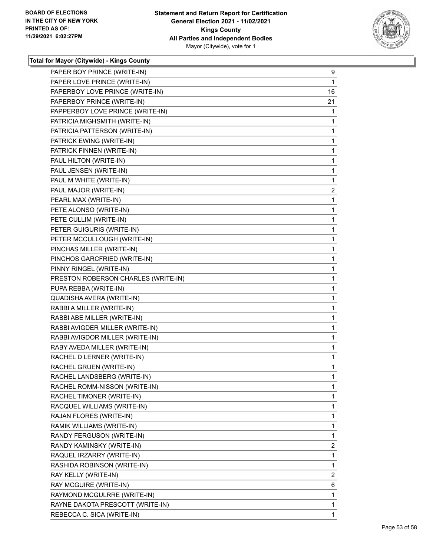

| PAPER BOY PRINCE (WRITE-IN)         | 9              |
|-------------------------------------|----------------|
| PAPER LOVE PRINCE (WRITE-IN)        | 1              |
| PAPERBOY LOVE PRINCE (WRITE-IN)     | 16             |
| PAPERBOY PRINCE (WRITE-IN)          | 21             |
| PAPPERBOY LOVE PRINCE (WRITE-IN)    | 1              |
| PATRICIA MIGHSMITH (WRITE-IN)       | 1              |
| PATRICIA PATTERSON (WRITE-IN)       | 1              |
| PATRICK EWING (WRITE-IN)            | 1              |
| PATRICK FINNEN (WRITE-IN)           | 1              |
| PAUL HILTON (WRITE-IN)              | 1              |
| PAUL JENSEN (WRITE-IN)              | 1              |
| PAUL M WHITE (WRITE-IN)             | 1              |
| PAUL MAJOR (WRITE-IN)               | $\overline{2}$ |
| PEARL MAX (WRITE-IN)                | 1              |
| PETE ALONSO (WRITE-IN)              | 1              |
| PETE CULLIM (WRITE-IN)              | 1              |
| PETER GUIGURIS (WRITE-IN)           | 1              |
| PETER MCCULLOUGH (WRITE-IN)         | 1              |
| PINCHAS MILLER (WRITE-IN)           | 1              |
| PINCHOS GARCFRIED (WRITE-IN)        | 1              |
| PINNY RINGEL (WRITE-IN)             | 1              |
| PRESTON ROBERSON CHARLES (WRITE-IN) | 1              |
| PUPA REBBA (WRITE-IN)               | 1              |
| QUADISHA AVERA (WRITE-IN)           | 1              |
| RABBI A MILLER (WRITE-IN)           | 1              |
| RABBI ABE MILLER (WRITE-IN)         | 1              |
| RABBI AVIGDER MILLER (WRITE-IN)     | 1              |
| RABBI AVIGDOR MILLER (WRITE-IN)     | 1              |
| RABY AVEDA MILLER (WRITE-IN)        | 1              |
| RACHEL D LERNER (WRITE-IN)          | 1              |
| RACHEL GRUEN (WRITE-IN)             | 1              |
| RACHEL LANDSBERG (WRITE-IN)         | $\mathbf{1}$   |
| RACHEL ROMM-NISSON (WRITE-IN)       | 1              |
| RACHEL TIMONER (WRITE-IN)           | 1              |
| RACQUEL WILLIAMS (WRITE-IN)         | 1              |
| RAJAN FLORES (WRITE-IN)             | 1              |
| RAMIK WILLIAMS (WRITE-IN)           | 1              |
| RANDY FERGUSON (WRITE-IN)           | 1              |
| RANDY KAMINSKY (WRITE-IN)           | 2              |
| RAQUEL IRZARRY (WRITE-IN)           | 1              |
| RASHIDA ROBINSON (WRITE-IN)         | 1              |
| RAY KELLY (WRITE-IN)                | 2              |
| RAY MCGUIRE (WRITE-IN)              | 6              |
| RAYMOND MCGULRRE (WRITE-IN)         | 1              |
| RAYNE DAKOTA PRESCOTT (WRITE-IN)    | 1              |
| REBECCA C. SICA (WRITE-IN)          | 1              |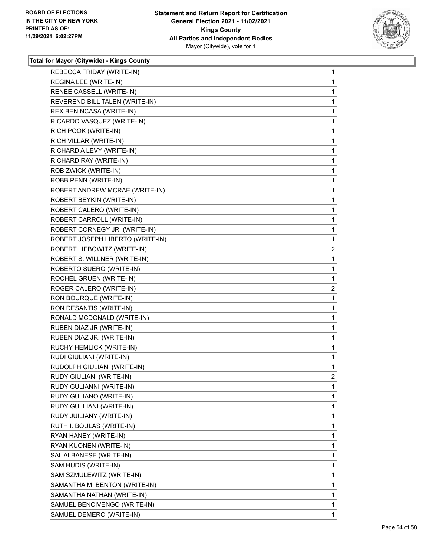

| REBECCA FRIDAY (WRITE-IN)        | $\mathbf{1}$   |
|----------------------------------|----------------|
| REGINA LEE (WRITE-IN)            | 1              |
| RENEE CASSELL (WRITE-IN)         | 1              |
| REVEREND BILL TALEN (WRITE-IN)   | 1              |
| REX BENINCASA (WRITE-IN)         | 1              |
| RICARDO VASQUEZ (WRITE-IN)       | 1              |
| RICH POOK (WRITE-IN)             | 1              |
| RICH VILLAR (WRITE-IN)           | 1              |
| RICHARD A LEVY (WRITE-IN)        | 1              |
| RICHARD RAY (WRITE-IN)           | 1              |
| ROB ZWICK (WRITE-IN)             | 1              |
| ROBB PENN (WRITE-IN)             | 1              |
| ROBERT ANDREW MCRAE (WRITE-IN)   | 1              |
| ROBERT BEYKIN (WRITE-IN)         | 1              |
| ROBERT CALERO (WRITE-IN)         | 1              |
| ROBERT CARROLL (WRITE-IN)        | 1              |
| ROBERT CORNEGY JR. (WRITE-IN)    | 1              |
| ROBERT JOSEPH LIBERTO (WRITE-IN) | 1              |
| ROBERT LIEBOWITZ (WRITE-IN)      | $\overline{2}$ |
| ROBERT S. WILLNER (WRITE-IN)     | 1              |
| ROBERTO SUERO (WRITE-IN)         | 1              |
| ROCHEL GRUEN (WRITE-IN)          | 1              |
| ROGER CALERO (WRITE-IN)          | $\overline{2}$ |
| RON BOURQUE (WRITE-IN)           | 1              |
| RON DESANTIS (WRITE-IN)          | 1              |
| RONALD MCDONALD (WRITE-IN)       | 1              |
| RUBEN DIAZ JR (WRITE-IN)         | 1              |
| RUBEN DIAZ JR. (WRITE-IN)        | 1              |
| RUCHY HEMLICK (WRITE-IN)         | 1              |
| RUDI GIULIANI (WRITE-IN)         | 1              |
| RUDOLPH GIULIANI (WRITE-IN)      | 1              |
| RUDY GIULIANI (WRITE-IN)         | $\overline{2}$ |
| RUDY GULIANNI (WRITE-IN)         | 1              |
| RUDY GULIANO (WRITE-IN)          | 1              |
| RUDY GULLIANI (WRITE-IN)         | 1              |
| RUDY JUILIANY (WRITE-IN)         | 1              |
| RUTH I. BOULAS (WRITE-IN)        | 1              |
| RYAN HANEY (WRITE-IN)            | 1              |
| RYAN KUONEN (WRITE-IN)           | 1              |
| SAL ALBANESE (WRITE-IN)          | 1              |
| SAM HUDIS (WRITE-IN)             | 1              |
| SAM SZMULEWITZ (WRITE-IN)        | 1              |
| SAMANTHA M. BENTON (WRITE-IN)    | 1              |
| SAMANTHA NATHAN (WRITE-IN)       | 1              |
| SAMUEL BENCIVENGO (WRITE-IN)     | 1              |
| SAMUEL DEMERO (WRITE-IN)         | 1              |
|                                  |                |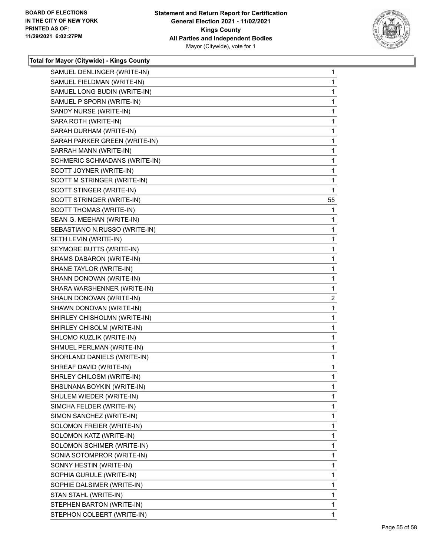

| SAMUEL FIELDMAN (WRITE-IN)<br>1<br>SAMUEL LONG BUDIN (WRITE-IN)<br>1<br>SAMUEL P SPORN (WRITE-IN)<br>1<br>SANDY NURSE (WRITE-IN)<br>$\mathbf{1}$<br>SARA ROTH (WRITE-IN)<br>1<br>SARAH DURHAM (WRITE-IN)<br>1<br>SARAH PARKER GREEN (WRITE-IN)<br>1<br>SARRAH MANN (WRITE-IN)<br>1<br>SCHMERIC SCHMADANS (WRITE-IN)<br>1<br>SCOTT JOYNER (WRITE-IN)<br>$\mathbf{1}$<br>SCOTT M STRINGER (WRITE-IN)<br>1<br>SCOTT STINGER (WRITE-IN)<br>1<br>SCOTT STRINGER (WRITE-IN)<br>55<br>SCOTT THOMAS (WRITE-IN)<br>1<br>SEAN G. MEEHAN (WRITE-IN)<br>1<br>SEBASTIANO N.RUSSO (WRITE-IN)<br>1<br>SETH LEVIN (WRITE-IN)<br>1<br>SEYMORE BUTTS (WRITE-IN)<br>1<br>SHAMS DABARON (WRITE-IN)<br>$\mathbf{1}$<br>SHANE TAYLOR (WRITE-IN)<br>1<br>SHANN DONOVAN (WRITE-IN)<br>1<br>SHARA WARSHENNER (WRITE-IN)<br>1<br>SHAUN DONOVAN (WRITE-IN)<br>$\overline{2}$<br>SHAWN DONOVAN (WRITE-IN)<br>1<br>SHIRLEY CHISHOLMN (WRITE-IN)<br>$\mathbf{1}$<br>SHIRLEY CHISOLM (WRITE-IN)<br>1<br>SHLOMO KUZLIK (WRITE-IN)<br>1<br>SHMUEL PERLMAN (WRITE-IN)<br>$\mathbf{1}$<br>SHORLAND DANIELS (WRITE-IN)<br>1<br>SHREAF DAVID (WRITE-IN)<br>1<br>SHRLEY CHILOSM (WRITE-IN)<br>1<br>1<br>SHSUNANA BOYKIN (WRITE-IN)<br>SHULEM WIEDER (WRITE-IN)<br>1<br>1<br>SIMCHA FELDER (WRITE-IN)<br>1<br>SIMON SANCHEZ (WRITE-IN)<br>SOLOMON FREIER (WRITE-IN)<br>1<br>SOLOMON KATZ (WRITE-IN)<br>1<br>1<br>SOLOMON SCHIMER (WRITE-IN)<br>SONIA SOTOMPROR (WRITE-IN)<br>1<br>SONNY HESTIN (WRITE-IN)<br>1<br>1<br>SOPHIA GURULE (WRITE-IN)<br>SOPHIE DALSIMER (WRITE-IN)<br>1<br>STAN STAHL (WRITE-IN)<br>1<br>1<br>STEPHEN BARTON (WRITE-IN)<br>STEPHON COLBERT (WRITE-IN)<br>1 | SAMUEL DENLINGER (WRITE-IN) | $\mathbf{1}$ |
|------------------------------------------------------------------------------------------------------------------------------------------------------------------------------------------------------------------------------------------------------------------------------------------------------------------------------------------------------------------------------------------------------------------------------------------------------------------------------------------------------------------------------------------------------------------------------------------------------------------------------------------------------------------------------------------------------------------------------------------------------------------------------------------------------------------------------------------------------------------------------------------------------------------------------------------------------------------------------------------------------------------------------------------------------------------------------------------------------------------------------------------------------------------------------------------------------------------------------------------------------------------------------------------------------------------------------------------------------------------------------------------------------------------------------------------------------------------------------------------------------------------------------------------------------------------------------------------------------------------------------------------------|-----------------------------|--------------|
|                                                                                                                                                                                                                                                                                                                                                                                                                                                                                                                                                                                                                                                                                                                                                                                                                                                                                                                                                                                                                                                                                                                                                                                                                                                                                                                                                                                                                                                                                                                                                                                                                                                |                             |              |
|                                                                                                                                                                                                                                                                                                                                                                                                                                                                                                                                                                                                                                                                                                                                                                                                                                                                                                                                                                                                                                                                                                                                                                                                                                                                                                                                                                                                                                                                                                                                                                                                                                                |                             |              |
|                                                                                                                                                                                                                                                                                                                                                                                                                                                                                                                                                                                                                                                                                                                                                                                                                                                                                                                                                                                                                                                                                                                                                                                                                                                                                                                                                                                                                                                                                                                                                                                                                                                |                             |              |
|                                                                                                                                                                                                                                                                                                                                                                                                                                                                                                                                                                                                                                                                                                                                                                                                                                                                                                                                                                                                                                                                                                                                                                                                                                                                                                                                                                                                                                                                                                                                                                                                                                                |                             |              |
|                                                                                                                                                                                                                                                                                                                                                                                                                                                                                                                                                                                                                                                                                                                                                                                                                                                                                                                                                                                                                                                                                                                                                                                                                                                                                                                                                                                                                                                                                                                                                                                                                                                |                             |              |
|                                                                                                                                                                                                                                                                                                                                                                                                                                                                                                                                                                                                                                                                                                                                                                                                                                                                                                                                                                                                                                                                                                                                                                                                                                                                                                                                                                                                                                                                                                                                                                                                                                                |                             |              |
|                                                                                                                                                                                                                                                                                                                                                                                                                                                                                                                                                                                                                                                                                                                                                                                                                                                                                                                                                                                                                                                                                                                                                                                                                                                                                                                                                                                                                                                                                                                                                                                                                                                |                             |              |
|                                                                                                                                                                                                                                                                                                                                                                                                                                                                                                                                                                                                                                                                                                                                                                                                                                                                                                                                                                                                                                                                                                                                                                                                                                                                                                                                                                                                                                                                                                                                                                                                                                                |                             |              |
|                                                                                                                                                                                                                                                                                                                                                                                                                                                                                                                                                                                                                                                                                                                                                                                                                                                                                                                                                                                                                                                                                                                                                                                                                                                                                                                                                                                                                                                                                                                                                                                                                                                |                             |              |
|                                                                                                                                                                                                                                                                                                                                                                                                                                                                                                                                                                                                                                                                                                                                                                                                                                                                                                                                                                                                                                                                                                                                                                                                                                                                                                                                                                                                                                                                                                                                                                                                                                                |                             |              |
|                                                                                                                                                                                                                                                                                                                                                                                                                                                                                                                                                                                                                                                                                                                                                                                                                                                                                                                                                                                                                                                                                                                                                                                                                                                                                                                                                                                                                                                                                                                                                                                                                                                |                             |              |
|                                                                                                                                                                                                                                                                                                                                                                                                                                                                                                                                                                                                                                                                                                                                                                                                                                                                                                                                                                                                                                                                                                                                                                                                                                                                                                                                                                                                                                                                                                                                                                                                                                                |                             |              |
|                                                                                                                                                                                                                                                                                                                                                                                                                                                                                                                                                                                                                                                                                                                                                                                                                                                                                                                                                                                                                                                                                                                                                                                                                                                                                                                                                                                                                                                                                                                                                                                                                                                |                             |              |
|                                                                                                                                                                                                                                                                                                                                                                                                                                                                                                                                                                                                                                                                                                                                                                                                                                                                                                                                                                                                                                                                                                                                                                                                                                                                                                                                                                                                                                                                                                                                                                                                                                                |                             |              |
|                                                                                                                                                                                                                                                                                                                                                                                                                                                                                                                                                                                                                                                                                                                                                                                                                                                                                                                                                                                                                                                                                                                                                                                                                                                                                                                                                                                                                                                                                                                                                                                                                                                |                             |              |
|                                                                                                                                                                                                                                                                                                                                                                                                                                                                                                                                                                                                                                                                                                                                                                                                                                                                                                                                                                                                                                                                                                                                                                                                                                                                                                                                                                                                                                                                                                                                                                                                                                                |                             |              |
|                                                                                                                                                                                                                                                                                                                                                                                                                                                                                                                                                                                                                                                                                                                                                                                                                                                                                                                                                                                                                                                                                                                                                                                                                                                                                                                                                                                                                                                                                                                                                                                                                                                |                             |              |
|                                                                                                                                                                                                                                                                                                                                                                                                                                                                                                                                                                                                                                                                                                                                                                                                                                                                                                                                                                                                                                                                                                                                                                                                                                                                                                                                                                                                                                                                                                                                                                                                                                                |                             |              |
|                                                                                                                                                                                                                                                                                                                                                                                                                                                                                                                                                                                                                                                                                                                                                                                                                                                                                                                                                                                                                                                                                                                                                                                                                                                                                                                                                                                                                                                                                                                                                                                                                                                |                             |              |
|                                                                                                                                                                                                                                                                                                                                                                                                                                                                                                                                                                                                                                                                                                                                                                                                                                                                                                                                                                                                                                                                                                                                                                                                                                                                                                                                                                                                                                                                                                                                                                                                                                                |                             |              |
|                                                                                                                                                                                                                                                                                                                                                                                                                                                                                                                                                                                                                                                                                                                                                                                                                                                                                                                                                                                                                                                                                                                                                                                                                                                                                                                                                                                                                                                                                                                                                                                                                                                |                             |              |
|                                                                                                                                                                                                                                                                                                                                                                                                                                                                                                                                                                                                                                                                                                                                                                                                                                                                                                                                                                                                                                                                                                                                                                                                                                                                                                                                                                                                                                                                                                                                                                                                                                                |                             |              |
|                                                                                                                                                                                                                                                                                                                                                                                                                                                                                                                                                                                                                                                                                                                                                                                                                                                                                                                                                                                                                                                                                                                                                                                                                                                                                                                                                                                                                                                                                                                                                                                                                                                |                             |              |
|                                                                                                                                                                                                                                                                                                                                                                                                                                                                                                                                                                                                                                                                                                                                                                                                                                                                                                                                                                                                                                                                                                                                                                                                                                                                                                                                                                                                                                                                                                                                                                                                                                                |                             |              |
|                                                                                                                                                                                                                                                                                                                                                                                                                                                                                                                                                                                                                                                                                                                                                                                                                                                                                                                                                                                                                                                                                                                                                                                                                                                                                                                                                                                                                                                                                                                                                                                                                                                |                             |              |
|                                                                                                                                                                                                                                                                                                                                                                                                                                                                                                                                                                                                                                                                                                                                                                                                                                                                                                                                                                                                                                                                                                                                                                                                                                                                                                                                                                                                                                                                                                                                                                                                                                                |                             |              |
|                                                                                                                                                                                                                                                                                                                                                                                                                                                                                                                                                                                                                                                                                                                                                                                                                                                                                                                                                                                                                                                                                                                                                                                                                                                                                                                                                                                                                                                                                                                                                                                                                                                |                             |              |
|                                                                                                                                                                                                                                                                                                                                                                                                                                                                                                                                                                                                                                                                                                                                                                                                                                                                                                                                                                                                                                                                                                                                                                                                                                                                                                                                                                                                                                                                                                                                                                                                                                                |                             |              |
|                                                                                                                                                                                                                                                                                                                                                                                                                                                                                                                                                                                                                                                                                                                                                                                                                                                                                                                                                                                                                                                                                                                                                                                                                                                                                                                                                                                                                                                                                                                                                                                                                                                |                             |              |
|                                                                                                                                                                                                                                                                                                                                                                                                                                                                                                                                                                                                                                                                                                                                                                                                                                                                                                                                                                                                                                                                                                                                                                                                                                                                                                                                                                                                                                                                                                                                                                                                                                                |                             |              |
|                                                                                                                                                                                                                                                                                                                                                                                                                                                                                                                                                                                                                                                                                                                                                                                                                                                                                                                                                                                                                                                                                                                                                                                                                                                                                                                                                                                                                                                                                                                                                                                                                                                |                             |              |
|                                                                                                                                                                                                                                                                                                                                                                                                                                                                                                                                                                                                                                                                                                                                                                                                                                                                                                                                                                                                                                                                                                                                                                                                                                                                                                                                                                                                                                                                                                                                                                                                                                                |                             |              |
|                                                                                                                                                                                                                                                                                                                                                                                                                                                                                                                                                                                                                                                                                                                                                                                                                                                                                                                                                                                                                                                                                                                                                                                                                                                                                                                                                                                                                                                                                                                                                                                                                                                |                             |              |
|                                                                                                                                                                                                                                                                                                                                                                                                                                                                                                                                                                                                                                                                                                                                                                                                                                                                                                                                                                                                                                                                                                                                                                                                                                                                                                                                                                                                                                                                                                                                                                                                                                                |                             |              |
|                                                                                                                                                                                                                                                                                                                                                                                                                                                                                                                                                                                                                                                                                                                                                                                                                                                                                                                                                                                                                                                                                                                                                                                                                                                                                                                                                                                                                                                                                                                                                                                                                                                |                             |              |
|                                                                                                                                                                                                                                                                                                                                                                                                                                                                                                                                                                                                                                                                                                                                                                                                                                                                                                                                                                                                                                                                                                                                                                                                                                                                                                                                                                                                                                                                                                                                                                                                                                                |                             |              |
|                                                                                                                                                                                                                                                                                                                                                                                                                                                                                                                                                                                                                                                                                                                                                                                                                                                                                                                                                                                                                                                                                                                                                                                                                                                                                                                                                                                                                                                                                                                                                                                                                                                |                             |              |
|                                                                                                                                                                                                                                                                                                                                                                                                                                                                                                                                                                                                                                                                                                                                                                                                                                                                                                                                                                                                                                                                                                                                                                                                                                                                                                                                                                                                                                                                                                                                                                                                                                                |                             |              |
|                                                                                                                                                                                                                                                                                                                                                                                                                                                                                                                                                                                                                                                                                                                                                                                                                                                                                                                                                                                                                                                                                                                                                                                                                                                                                                                                                                                                                                                                                                                                                                                                                                                |                             |              |
|                                                                                                                                                                                                                                                                                                                                                                                                                                                                                                                                                                                                                                                                                                                                                                                                                                                                                                                                                                                                                                                                                                                                                                                                                                                                                                                                                                                                                                                                                                                                                                                                                                                |                             |              |
|                                                                                                                                                                                                                                                                                                                                                                                                                                                                                                                                                                                                                                                                                                                                                                                                                                                                                                                                                                                                                                                                                                                                                                                                                                                                                                                                                                                                                                                                                                                                                                                                                                                |                             |              |
|                                                                                                                                                                                                                                                                                                                                                                                                                                                                                                                                                                                                                                                                                                                                                                                                                                                                                                                                                                                                                                                                                                                                                                                                                                                                                                                                                                                                                                                                                                                                                                                                                                                |                             |              |
|                                                                                                                                                                                                                                                                                                                                                                                                                                                                                                                                                                                                                                                                                                                                                                                                                                                                                                                                                                                                                                                                                                                                                                                                                                                                                                                                                                                                                                                                                                                                                                                                                                                |                             |              |
|                                                                                                                                                                                                                                                                                                                                                                                                                                                                                                                                                                                                                                                                                                                                                                                                                                                                                                                                                                                                                                                                                                                                                                                                                                                                                                                                                                                                                                                                                                                                                                                                                                                |                             |              |
|                                                                                                                                                                                                                                                                                                                                                                                                                                                                                                                                                                                                                                                                                                                                                                                                                                                                                                                                                                                                                                                                                                                                                                                                                                                                                                                                                                                                                                                                                                                                                                                                                                                |                             |              |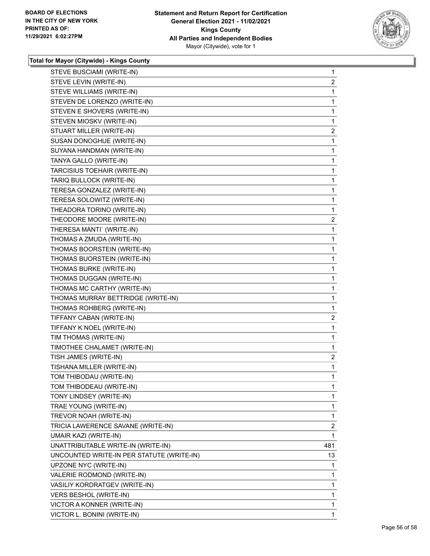

| STEVE BUSCIAMI (WRITE-IN)                 | $\mathbf{1}$   |
|-------------------------------------------|----------------|
| STEVE LEVIN (WRITE-IN)                    | $\overline{c}$ |
| STEVE WILLIAMS (WRITE-IN)                 | 1              |
| STEVEN DE LORENZO (WRITE-IN)              | 1              |
| STEVEN E SHOVERS (WRITE-IN)               | 1              |
| STEVEN MIOSKV (WRITE-IN)                  | 1              |
| STUART MILLER (WRITE-IN)                  | 2              |
| SUSAN DONOGHUE (WRITE-IN)                 | 1              |
| SUYANA HANDMAN (WRITE-IN)                 | 1              |
| TANYA GALLO (WRITE-IN)                    | 1              |
| TARCISIUS TOEHAIR (WRITE-IN)              | 1              |
| TARIQ BULLOCK (WRITE-IN)                  | 1              |
| TERESA GONZALEZ (WRITE-IN)                | 1              |
| TERESA SOLOWITZ (WRITE-IN)                | 1              |
| THEADORA TORINO (WRITE-IN)                | 1              |
| THEODORE MOORE (WRITE-IN)                 | $\overline{2}$ |
| THERESA MANTI` (WRITE-IN)                 | 1              |
| THOMAS A ZMUDA (WRITE-IN)                 | 1              |
| THOMAS BOORSTEIN (WRITE-IN)               | 1              |
| THOMAS BUORSTEIN (WRITE-IN)               | 1              |
| THOMAS BURKE (WRITE-IN)                   | 1              |
| THOMAS DUGGAN (WRITE-IN)                  | 1              |
| THOMAS MC CARTHY (WRITE-IN)               | 1              |
| THOMAS MURRAY BETTRIDGE (WRITE-IN)        | 1              |
| THOMAS ROHBERG (WRITE-IN)                 | 1              |
| TIFFANY CABAN (WRITE-IN)                  | $\overline{c}$ |
| TIFFANY K NOEL (WRITE-IN)                 | 1              |
| TIM THOMAS (WRITE-IN)                     | 1              |
| TIMOTHEE CHALAMET (WRITE-IN)              | 1              |
| TISH JAMES (WRITE-IN)                     | 2              |
| TISHANA MILLER (WRITE-IN)                 | 1              |
| TOM THIBODAU (WRITE-IN)                   | 1              |
| TOM THIBODEAU (WRITE-IN)                  | 1              |
| TONY LINDSEY (WRITE-IN)                   | $\mathbf{1}$   |
| TRAE YOUNG (WRITE-IN)                     | 1              |
| TREVOR NOAH (WRITE-IN)                    | 1              |
| TRICIA LAWERENCE SAVANE (WRITE-IN)        | $\overline{2}$ |
| UMAIR KAZI (WRITE-IN)                     | 1              |
| UNATTRIBUTABLE WRITE-IN (WRITE-IN)        | 481            |
| UNCOUNTED WRITE-IN PER STATUTE (WRITE-IN) | 13             |
| UPZONE NYC (WRITE-IN)                     | 1              |
| VALERIE RODMOND (WRITE-IN)                | 1              |
| VASILIY KORDRATGEV (WRITE-IN)             | 1              |
| VERS BESHOL (WRITE-IN)                    | 1              |
| VICTOR A KONNER (WRITE-IN)                | 1              |
| VICTOR L. BONINI (WRITE-IN)               | $\mathbf{1}$   |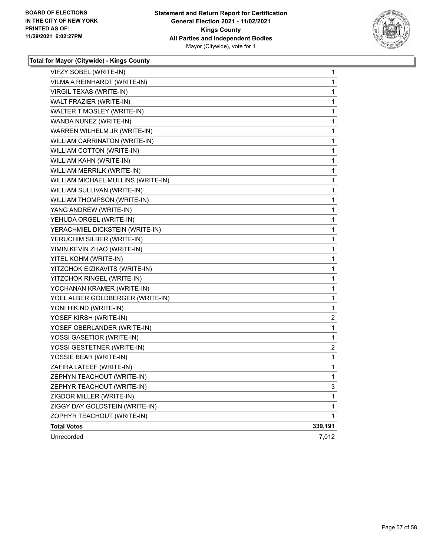

| VIFZY SOBEL (WRITE-IN)             | 1       |
|------------------------------------|---------|
| VILMA A REINHARDT (WRITE-IN)       | 1       |
| VIRGIL TEXAS (WRITE-IN)            | 1       |
| WALT FRAZIER (WRITE-IN)            | 1       |
| WALTER T MOSLEY (WRITE-IN)         | 1       |
| WANDA NUNEZ (WRITE-IN)             | 1       |
| WARREN WILHELM JR (WRITE-IN)       | 1       |
| WILLIAM CARRINATON (WRITE-IN)      | 1       |
| WILLIAM COTTON (WRITE-IN)          | 1       |
| WILLIAM KAHN (WRITE-IN)            | 1       |
| WILLIAM MERRILK (WRITE-IN)         | 1       |
| WILLIAM MICHAEL MULLINS (WRITE-IN) | 1       |
| WILLIAM SULLIVAN (WRITE-IN)        | 1       |
| WILLIAM THOMPSON (WRITE-IN)        | 1       |
| YANG ANDREW (WRITE-IN)             | 1       |
| YEHUDA ORGEL (WRITE-IN)            | 1       |
| YERACHMIEL DICKSTEIN (WRITE-IN)    | 1       |
| YERUCHIM SILBER (WRITE-IN)         | 1       |
| YIMIN KEVIN ZHAO (WRITE-IN)        | 1       |
| YITEL KOHM (WRITE-IN)              | 1       |
| YITZCHOK EIZIKAVITS (WRITE-IN)     | 1       |
| YITZCHOK RINGEL (WRITE-IN)         | 1       |
| YOCHANAN KRAMER (WRITE-IN)         | 1       |
| YOEL ALBER GOLDBERGER (WRITE-IN)   | 1       |
| YONI HIKIND (WRITE-IN)             | 1       |
| YOSEF KIRSH (WRITE-IN)             | 2       |
| YOSEF OBERLANDER (WRITE-IN)        | 1       |
| YOSSI GASETIOR (WRITE-IN)          | 1       |
| YOSSI GESTETNER (WRITE-IN)         | 2       |
| YOSSIE BEAR (WRITE-IN)             | 1       |
| ZAFIRA LATEEF (WRITE-IN)           | 1       |
| ZEPHYN TEACHOUT (WRITE-IN)         | 1       |
| ZEPHYR TEACHOUT (WRITE-IN)         | 3       |
| ZIGDOR MILLER (WRITE-IN)           | 1       |
| ZIGGY DAY GOLDSTEIN (WRITE-IN)     | 1       |
| ZOPHYR TEACHOUT (WRITE-IN)         | 1       |
| <b>Total Votes</b>                 | 339,191 |
| Unrecorded                         | 7,012   |